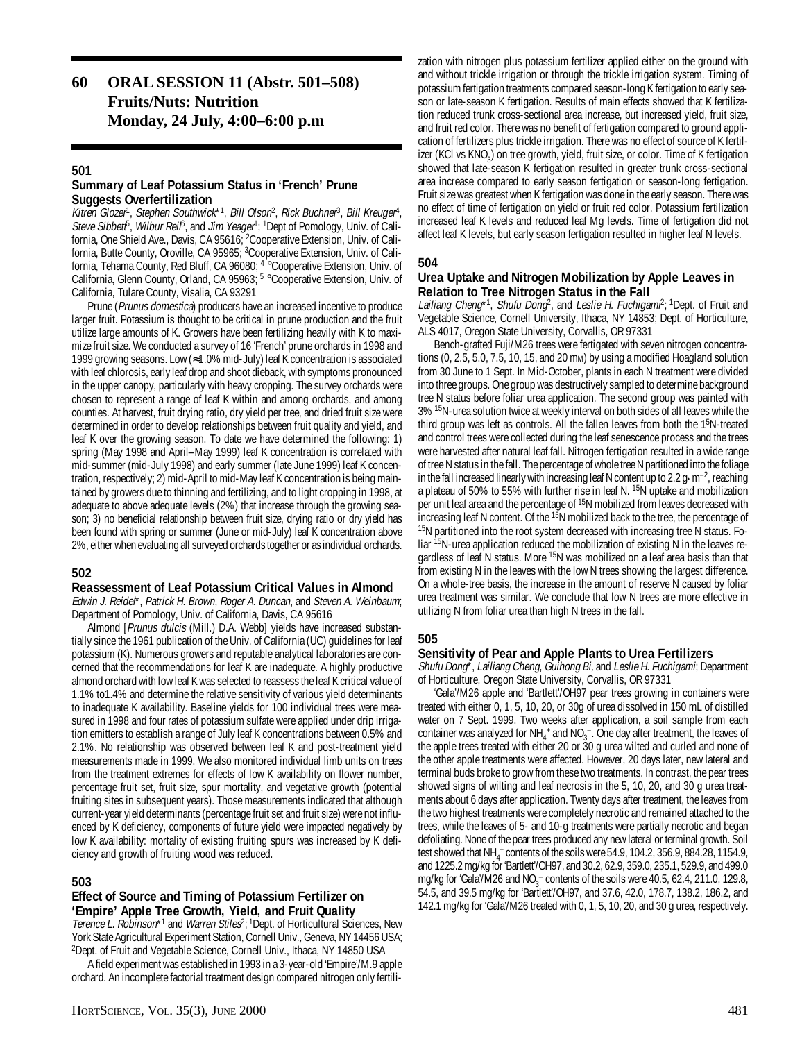# **60 ORAL SESSION 11 (Abstr. 501–508) Fruits/Nuts: Nutrition Monday, 24 July, 4:00–6:00 p.m**

#### **501**

# **Summary of Leaf Potassium Status in 'French' Prune Suggests Overfertilization**

Kitren Glozer<sup>1</sup>, Stephen Southwick\*<sup>1</sup>, Bill Olson<sup>2</sup>, Rick Buchner<sup>3</sup>, Bill Kreuger<sup>4</sup>, Steve Sibbet<sup>5</sup>, Wilbur Rei<sup>6</sup>, and Jim Yeager<sup>1</sup>; <sup>1</sup>Dept of Pomology, Univ. of California, One Shield Ave., Davis, CA 95616; 2 Cooperative Extension, Univ. of California, Butte County, Oroville, CA 95965; <sup>3</sup>Cooperative Extension, Univ. of California, Tehama County, Red Bluff, CA 96080; 4 °Cooperative Extension, Univ. of California, Glenn County, Orland, CA 95963; <sup>5</sup> °Cooperative Extension, Univ. of California, Tulare County, Visalia, CA 93291

Prune (Prunus domestica) producers have an increased incentive to produce larger fruit. Potassium is thought to be critical in prune production and the fruit utilize large amounts of K. Growers have been fertilizing heavily with K to maximize fruit size. We conducted a survey of 16 'French' prune orchards in 1998 and 1999 growing seasons. Low (≈1.0% mid-July) leaf K concentration is associated with leaf chlorosis, early leaf drop and shoot dieback, with symptoms pronounced in the upper canopy, particularly with heavy cropping. The survey orchards were chosen to represent a range of leaf K within and among orchards, and among counties. At harvest, fruit drying ratio, dry yield per tree, and dried fruit size were determined in order to develop relationships between fruit quality and yield, and leaf K over the growing season. To date we have determined the following: 1) spring (May 1998 and April–May 1999) leaf K concentration is correlated with mid-summer (mid-July 1998) and early summer (late June 1999) leaf K concentration, respectively; 2) mid-April to mid-May leaf K concentration is being maintained by growers due to thinning and fertilizing, and to light cropping in 1998, at adequate to above adequate levels (2%) that increase through the growing season; 3) no beneficial relationship between fruit size, drying ratio or dry yield has been found with spring or summer (June or mid-July) leaf K concentration above 2%, either when evaluating all surveyed orchards together or as individual orchards.

# **502**

#### **Reassessment of Leaf Potassium Critical Values in Almond**

Edwin J. Reidel\*, Patrick H. Brown, Roger A. Duncan, and Steven A. Weinbaum; Department of Pomology, Univ. of California, Davis, CA 95616

Almond [Prunus dulcis (Mill.) D.A. Webb] yields have increased substantially since the 1961 publication of the Univ. of California (UC) guidelines for leaf potassium (K). Numerous growers and reputable analytical laboratories are concerned that the recommendations for leaf K are inadequate. A highly productive almond orchard with low leaf K was selected to reassess the leaf K critical value of 1.1% to1.4% and determine the relative sensitivity of various yield determinants to inadequate K availability. Baseline yields for 100 individual trees were measured in 1998 and four rates of potassium sulfate were applied under drip irrigation emitters to establish a range of July leaf K concentrations between 0.5% and 2.1%. No relationship was observed between leaf K and post-treatment yield measurements made in 1999. We also monitored individual limb units on trees from the treatment extremes for effects of low K availability on flower number, percentage fruit set, fruit size, spur mortality, and vegetative growth (potential fruiting sites in subsequent years). Those measurements indicated that although current-year yield determinants (percentage fruit set and fruit size) were not influenced by K deficiency, components of future yield were impacted negatively by low K availability: mortality of existing fruiting spurs was increased by K deficiency and growth of fruiting wood was reduced.

# **503**

# **Effect of Source and Timing of Potassium Fertilizer on 'Empire' Apple Tree Growth, Yield, and Fruit Quality**

Terence L. Robinson\*1 and Warren Stiles<sup>2</sup>; <sup>1</sup>Dept. of Horticultural Sciences, New York State Agricultural Experiment Station, Cornell Univ., Geneva, NY 14456 USA; 2 Dept. of Fruit and Vegetable Science, Cornell Univ., Ithaca, NY 14850 USA

A field experiment was established in 1993 in a 3-year-old 'Empire'/M.9 apple orchard. An incomplete factorial treatment design compared nitrogen only fertili-

zation with nitrogen plus potassium fertilizer applied either on the ground with and without trickle irrigation or through the trickle irrigation system. Timing of potassium fertigation treatments compared season-long K fertigation to early season or late-season K fertigation. Results of main effects showed that K fertilization reduced trunk cross-sectional area increase, but increased yield, fruit size, and fruit red color. There was no benefit of fertigation compared to ground application of fertilizers plus trickle irrigation. There was no effect of source of K fertilizer (KCI vs KNO<sub>3</sub>) on tree growth, yield, fruit size, or color. Time of K fertigation showed that late-season K fertigation resulted in greater trunk cross-sectional area increase compared to early season fertigation or season-long fertigation. Fruit size was greatest when K fertigation was done in the early season. There was no effect of time of fertigation on yield or fruit red color. Potassium fertilization increased leaf K levels and reduced leaf Mg levels. Time of fertigation did not affect leaf K levels, but early season fertigation resulted in higher leaf N levels.

# **504**

# **Urea Uptake and Nitrogen Mobilization by Apple Leaves in Relation to Tree Nitrogen Status in the Fall**

Lailiang Cheng\*1, Shufu Dong<sup>2</sup>, and Leslie H. Fuchigam<sup>p</sup>; <sup>1</sup>Dept. of Fruit and Vegetable Science, Cornell University, Ithaca, NY 14853; Dept. of Horticulture, ALS 4017, Oregon State University, Corvallis, OR 97331

Bench-grafted Fuji/M26 trees were fertigated with seven nitrogen concentrations (0, 2.5, 5.0, 7.5, 10, 15, and 20 mm) by using a modified Hoagland solution from 30 June to 1 Sept. In Mid-October, plants in each N treatment were divided into three groups. One group was destructively sampled to determine background tree N status before foliar urea application. The second group was painted with 3% 15N-urea solution twice at weekly interval on both sides of all leaves while the third group was left as controls. All the fallen leaves from both the 1<sup>5</sup>N-treated and control trees were collected during the leaf senescence process and the trees were harvested after natural leaf fall. Nitrogen fertigation resulted in a wide range of tree N status in the fall. The percentage of whole tree N partitioned into the foliage in the fall increased linearly with increasing leaf N content up to  $2.2 \text{ g} \cdot \text{m}^{-2}$ , reaching a plateau of 50% to 55% with further rise in leaf N. 15N uptake and mobilization per unit leaf area and the percentage of 15N mobilized from leaves decreased with increasing leaf N content. Of the <sup>15</sup>N mobilized back to the tree, the percentage of <sup>15</sup>N partitioned into the root system decreased with increasing tree N status. Foliar 15N-urea application reduced the mobilization of existing N in the leaves regardless of leaf N status. More <sup>15</sup>N was mobilized on a leaf area basis than that from existing N in the leaves with the low N trees showing the largest difference. On a whole-tree basis, the increase in the amount of reserve N caused by foliar urea treatment was similar. We conclude that low N trees are more effective in utilizing N from foliar urea than high N trees in the fall.

# **505**

#### **Sensitivity of Pear and Apple Plants to Urea Fertilizers**

Shufu Dong\*, Lailiang Cheng, Guihong Bi, and Leslie H. Fuchigami; Department of Horticulture, Oregon State University, Corvallis, OR 97331

'Gala'/M26 apple and 'Bartlett'/OH97 pear trees growing in containers were treated with either 0, 1, 5, 10, 20, or 30g of urea dissolved in 150 mL of distilled water on 7 Sept. 1999. Two weeks after application, a soil sample from each container was analyzed for NH<sub>4</sub><sup>+</sup> and NO<sub>3</sub><sup>-</sup>. One day after treatment, the leaves of the apple trees treated with either 20 or 30 g urea wilted and curled and none of the other apple treatments were affected. However, 20 days later, new lateral and terminal buds broke to grow from these two treatments. In contrast, the pear trees showed signs of wilting and leaf necrosis in the 5, 10, 20, and 30 g urea treatments about 6 days after application. Twenty days after treatment, the leaves from the two highest treatments were completely necrotic and remained attached to the trees, while the leaves of 5- and 10-g treatments were partially necrotic and began defoliating. None of the pear trees produced any new lateral or terminal growth. Soil test showed that NH<sub>4</sub><sup>+</sup> contents of the soils were 54.9, 104.2, 356.9, 884.28, 1154.9, and 1225.2 mg/kg for 'Bartlett'/OH97, and 30.2, 62.9, 359.0, 235.1, 529.9, and 499.0 mg/kg for 'Gala'/M26 and  $NO_3^-$  contents of the soils were 40.5, 62.4, 211.0, 129.8, 54.5, and 39.5 mg/kg for 'Bartlett'/OH97, and 37.6, 42.0, 178.7, 138.2, 186.2, and 142.1 mg/kg for 'Gala'/M26 treated with 0, 1, 5, 10, 20, and 30 g urea, respectively.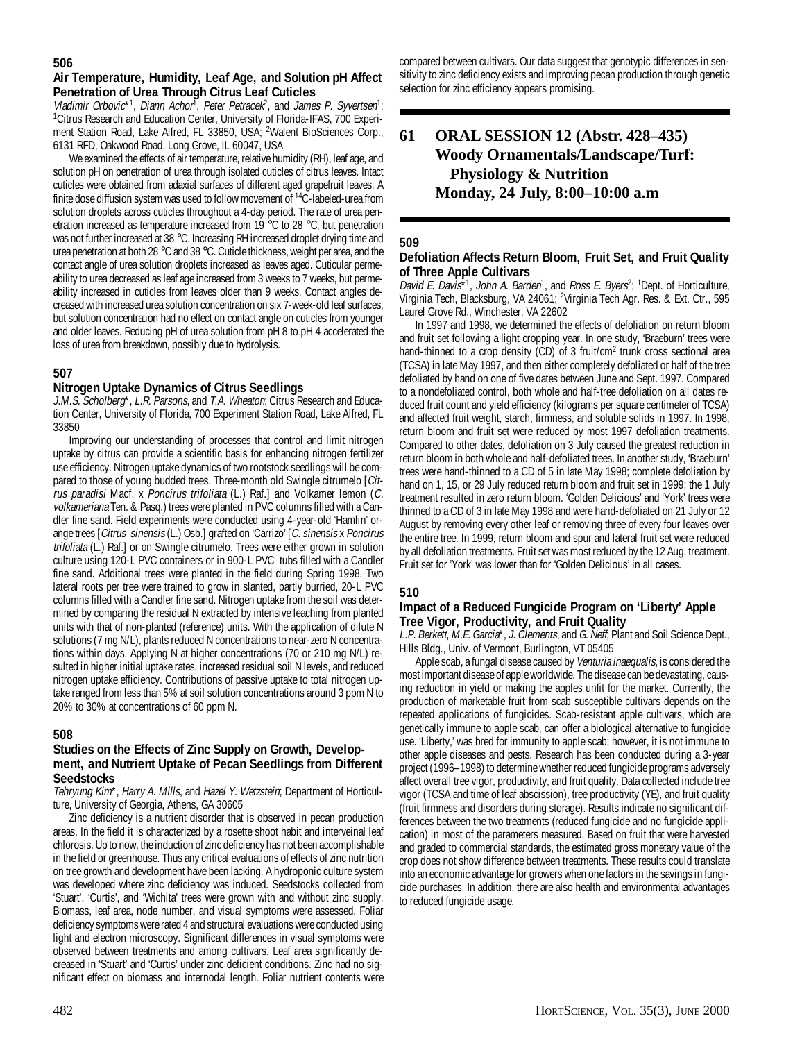# **506**

# **Air Temperature, Humidity, Leaf Age, and Solution pH Affect Penetration of Urea Through Citrus Leaf Cuticles**

Vladimir Orbovic\*1, Diann Achor<sup>T</sup>, Peter Petracek<sup>2</sup>, and James P. Syvertsen<sup>1</sup>; <sup>1</sup> Citrus Research and Education Center, University of Florida-IFAS, 700 Experiment Station Road, Lake Alfred, FL 33850, USA; <sup>2</sup>Walent BioSciences Corp., 6131 RFD, Oakwood Road, Long Grove, IL 60047, USA

We examined the effects of air temperature, relative humidity (RH), leaf age, and solution pH on penetration of urea through isolated cuticles of citrus leaves. Intact cuticles were obtained from adaxial surfaces of different aged grapefruit leaves. A finite dose diffusion system was used to follow movement of <sup>14</sup>C-labeled-urea from solution droplets across cuticles throughout a 4-day period. The rate of urea penetration increased as temperature increased from 19 °C to 28 °C, but penetration was not further increased at 38 °C. Increasing RH increased droplet drying time and urea penetration at both 28 °C and 38 °C. Cuticle thickness, weight per area, and the contact angle of urea solution droplets increased as leaves aged. Cuticular permeability to urea decreased as leaf age increased from 3 weeks to 7 weeks, but permeability increased in cuticles from leaves older than 9 weeks. Contact angles decreased with increased urea solution concentration on six 7-week-old leaf surfaces, but solution concentration had no effect on contact angle on cuticles from younger and older leaves. Reducing pH of urea solution from pH 8 to pH 4 accelerated the loss of urea from breakdown, possibly due to hydrolysis.

# **507**

# **Nitrogen Uptake Dynamics of Citrus Seedlings**

J.M.S. Scholberg\*, L.R. Parsons, and T.A. Wheaton; Citrus Research and Education Center, University of Florida, 700 Experiment Station Road, Lake Alfred, FL 33850

Improving our understanding of processes that control and limit nitrogen uptake by citrus can provide a scientific basis for enhancing nitrogen fertilizer use efficiency. Nitrogen uptake dynamics of two rootstock seedlings will be compared to those of young budded trees. Three-month old Swingle citrumelo [Citrus paradisi Macf. x Poncirus trifoliata (L.) Raf.] and Volkamer lemon (C. volkameriana Ten. & Pasq.) trees were planted in PVC columns filled with a Candler fine sand. Field experiments were conducted using 4-year-old 'Hamlin' orange trees [Citrus sinensis (L.) Osb.] grafted on 'Carrizo' [C. sinensis x Poncirus trifoliata (L.) Raf.] or on Swingle citrumelo. Trees were either grown in solution culture using 120-L PVC containers or in 900-L PVC tubs filled with a Candler fine sand. Additional trees were planted in the field during Spring 1998. Two lateral roots per tree were trained to grow in slanted, partly burried, 20-L PVC columns filled with a Candler fine sand. Nitrogen uptake from the soil was determined by comparing the residual N extracted by intensive leaching from planted units with that of non-planted (reference) units. With the application of dilute N solutions (7 mg N/L), plants reduced N concentrations to near-zero N concentrations within days. Applying N at higher concentrations (70 or 210 mg N/L) resulted in higher initial uptake rates, increased residual soil N levels, and reduced nitrogen uptake efficiency. Contributions of passive uptake to total nitrogen uptake ranged from less than 5% at soil solution concentrations around 3 ppm N to 20% to 30% at concentrations of 60 ppm N.

# **508**

### **Studies on the Effects of Zinc Supply on Growth, Development, and Nutrient Uptake of Pecan Seedlings from Different Seedstocks**

Tehryung Kim\*, Harry A. Mills, and Hazel Y. Wetzstein; Department of Horticulture, University of Georgia, Athens, GA 30605

Zinc deficiency is a nutrient disorder that is observed in pecan production areas. In the field it is characterized by a rosette shoot habit and interveinal leaf chlorosis. Up to now, the induction of zinc deficiency has not been accomplishable in the field or greenhouse. Thus any critical evaluations of effects of zinc nutrition on tree growth and development have been lacking. A hydroponic culture system was developed where zinc deficiency was induced. Seedstocks collected from 'Stuart', 'Curtis', and 'Wichita' trees were grown with and without zinc supply. Biomass, leaf area, node number, and visual symptoms were assessed. Foliar deficiency symptoms were rated 4 and structural evaluations were conducted using light and electron microscopy. Significant differences in visual symptoms were observed between treatments and among cultivars. Leaf area significantly decreased in 'Stuart' and 'Curtis' under zinc deficient conditions. Zinc had no significant effect on biomass and internodal length. Foliar nutrient contents were

compared between cultivars. Our data suggest that genotypic differences in sensitivity to zinc deficiency exists and improving pecan production through genetic selection for zinc efficiency appears promising.

# **61 ORAL SESSION 12 (Abstr. 428–435) Woody Ornamentals/Landscape/Turf: Physiology & Nutrition Monday, 24 July, 8:00–10:00 a.m**

#### **509**

### **Defoliation Affects Return Bloom, Fruit Set, and Fruit Quality of Three Apple Cultivars**

David E. Davis\*1, John A. Barden<sup>1</sup>, and Ross E. Byers<sup>2</sup>; <sup>1</sup>Dept. of Horticulture, Virginia Tech, Blacksburg, VA 24061; 2 Virginia Tech Agr. Res. & Ext. Ctr., 595 Laurel Grove Rd., Winchester, VA 22602

In 1997 and 1998, we determined the effects of defoliation on return bloom and fruit set following a light cropping year. In one study, 'Braeburn' trees were hand-thinned to a crop density (CD) of 3 fruit/cm<sup>2</sup> trunk cross sectional area (TCSA) in late May 1997, and then either completely defoliated or half of the tree defoliated by hand on one of five dates between June and Sept. 1997. Compared to a nondefoliated control, both whole and half-tree defoliation on all dates reduced fruit count and yield efficiency (kilograms per square centimeter of TCSA) and affected fruit weight, starch, firmness, and soluble solids in 1997. In 1998, return bloom and fruit set were reduced by most 1997 defoliation treatments. Compared to other dates, defoliation on 3 July caused the greatest reduction in return bloom in both whole and half-defoliated trees. In another study, 'Braeburn' trees were hand-thinned to a CD of 5 in late May 1998; complete defoliation by hand on 1, 15, or 29 July reduced return bloom and fruit set in 1999; the 1 July treatment resulted in zero return bloom. 'Golden Delicious' and 'York' trees were thinned to a CD of 3 in late May 1998 and were hand-defoliated on 21 July or 12 August by removing every other leaf or removing three of every four leaves over the entire tree. In 1999, return bloom and spur and lateral fruit set were reduced by all defoliation treatments. Fruit set was most reduced by the 12 Aug. treatment. Fruit set for 'York' was lower than for 'Golden Delicious' in all cases.

#### **510**

# **Impact of a Reduced Fungicide Program on 'Liberty' Apple Tree Vigor, Productivity, and Fruit Quality**

L.P. Berkett, M.E. Garcia\*, J. Clements, and G. Neff, Plant and Soil Science Dept., Hills Bldg., Univ. of Vermont, Burlington, VT 05405

Apple scab, a fungal disease caused by Venturia inaequalis, is considered the most important disease of apple worldwide. The disease can be devastating, causing reduction in yield or making the apples unfit for the market. Currently, the production of marketable fruit from scab susceptible cultivars depends on the repeated applications of fungicides. Scab-resistant apple cultivars, which are genetically immune to apple scab, can offer a biological alternative to fungicide use. 'Liberty,' was bred for immunity to apple scab; however, it is not immune to other apple diseases and pests. Research has been conducted during a 3-year project (1996–1998) to determine whether reduced fungicide programs adversely affect overall tree vigor, productivity, and fruit quality. Data collected include tree vigor (TCSA and time of leaf abscission), tree productivity (YE), and fruit quality (fruit firmness and disorders during storage). Results indicate no significant differences between the two treatments (reduced fungicide and no fungicide application) in most of the parameters measured. Based on fruit that were harvested and graded to commercial standards, the estimated gross monetary value of the crop does not show difference between treatments. These results could translate into an economic advantage for growers when one factors in the savings in fungicide purchases. In addition, there are also health and environmental advantages to reduced fungicide usage.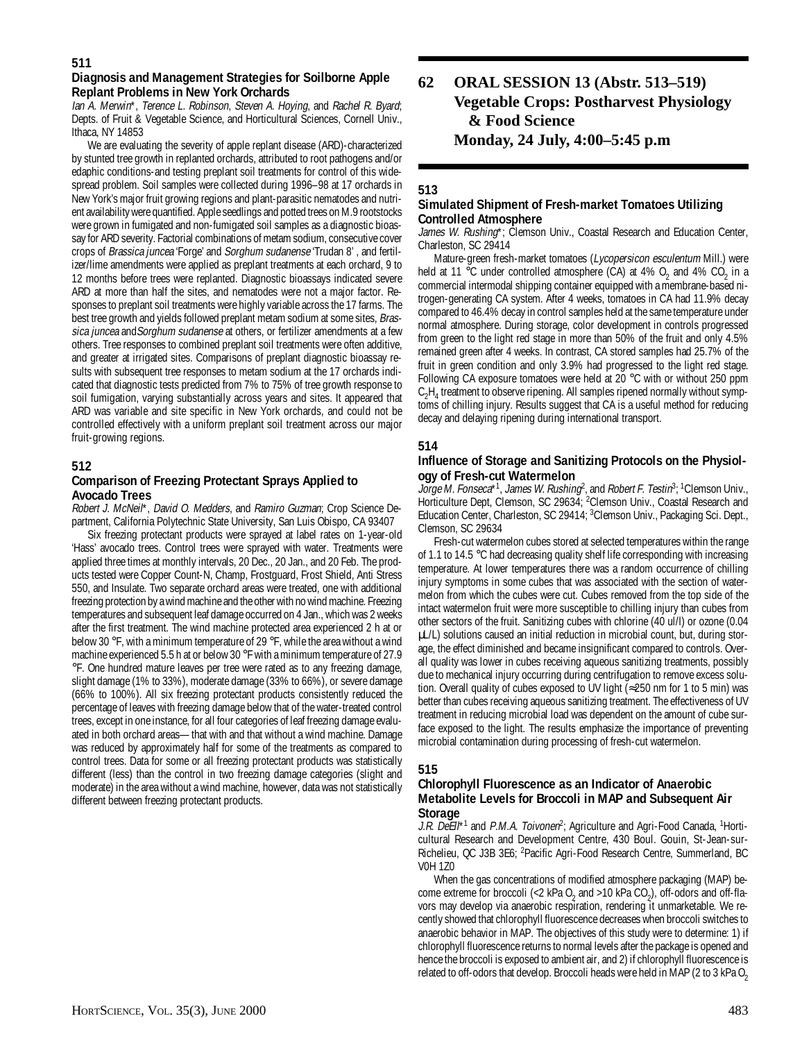# **Diagnosis and Management Strategies for Soilborne Apple Replant Problems in New York Orchards**

Ian A. Merwin\*, Terence L. Robinson, Steven A. Hoying, and Rachel R. Byard; Depts. of Fruit & Vegetable Science, and Horticultural Sciences, Cornell Univ., Ithaca, NY 14853

We are evaluating the severity of apple replant disease (ARD)-characterized by stunted tree growth in replanted orchards, attributed to root pathogens and/or edaphic conditions-and testing preplant soil treatments for control of this widespread problem. Soil samples were collected during 1996–98 at 17 orchards in New York's major fruit growing regions and plant-parasitic nematodes and nutrient availability were quantified. Apple seedlings and potted trees on M.9 rootstocks were grown in fumigated and non-fumigated soil samples as a diagnostic bioassay for ARD severity. Factorial combinations of metam sodium, consecutive cover crops of Brassica juncea 'Forge' and Sorghum sudanense 'Trudan 8', and fertilizer/lime amendments were applied as preplant treatments at each orchard, 9 to 12 months before trees were replanted. Diagnostic bioassays indicated severe ARD at more than half the sites, and nematodes were not a major factor. Responses to preplant soil treatments were highly variable across the 17 farms. The best tree growth and yields followed preplant metam sodium at some sites, Brassica juncea and Sorghum sudanense at others, or fertilizer amendments at a few others. Tree responses to combined preplant soil treatments were often additive, and greater at irrigated sites. Comparisons of preplant diagnostic bioassay results with subsequent tree responses to metam sodium at the 17 orchards indicated that diagnostic tests predicted from 7% to 75% of tree growth response to soil fumigation, varying substantially across years and sites. It appeared that ARD was variable and site specific in New York orchards, and could not be controlled effectively with a uniform preplant soil treatment across our major fruit-growing regions.

# **512**

# **Comparison of Freezing Protectant Sprays Applied to Avocado Trees**

Robert J. McNeil\*, David O. Medders, and Ramiro Guzman; Crop Science Department, California Polytechnic State University, San Luis Obispo, CA 93407

Six freezing protectant products were sprayed at label rates on 1-year-old 'Hass' avocado trees. Control trees were sprayed with water. Treatments were applied three times at monthly intervals, 20 Dec., 20 Jan., and 20 Feb. The products tested were Copper Count-N, Champ, Frostguard, Frost Shield, Anti Stress 550, and Insulate. Two separate orchard areas were treated, one with additional freezing protection by a wind machine and the other with no wind machine. Freezing temperatures and subsequent leaf damage occurred on 4 Jan., which was 2 weeks after the first treatment. The wind machine protected area experienced 2 h at or below 30 °F, with a minimum temperature of 29 °F, while the area without a wind machine experienced 5.5 h at or below 30 °F with a minimum temperature of 27.9 °F. One hundred mature leaves per tree were rated as to any freezing damage, slight damage (1% to 33%), moderate damage (33% to 66%), or severe damage (66% to 100%). All six freezing protectant products consistently reduced the percentage of leaves with freezing damage below that of the water-treated control trees, except in one instance, for all four categories of leaf freezing damage evaluated in both orchard areas—that with and that without a wind machine. Damage was reduced by approximately half for some of the treatments as compared to control trees. Data for some or all freezing protectant products was statistically different (less) than the control in two freezing damage categories (slight and moderate) in the area without a wind machine, however, data was not statistically different between freezing protectant products.

# **62 ORAL SESSION 13 (Abstr. 513–519) Vegetable Crops: Postharvest Physiology & Food Science Monday, 24 July, 4:00–5:45 p.m**

# **513**

# **Simulated Shipment of Fresh-market Tomatoes Utilizing Controlled Atmosphere**

James W. Rushing\*; Clemson Univ., Coastal Research and Education Center, Charleston, SC 29414

Mature-green fresh-market tomatoes (Lycopersicon esculentum Mill.) were held at 11 °C under controlled atmosphere (CA) at 4%  $O_2$  and 4%  $CO_2$  in a commercial intermodal shipping container equipped with a membrane-based nitrogen-generating CA system. After 4 weeks, tomatoes in CA had 11.9% decay compared to 46.4% decay in control samples held at the same temperature under normal atmosphere. During storage, color development in controls progressed from green to the light red stage in more than 50% of the fruit and only 4.5% remained green after 4 weeks. In contrast, CA stored samples had 25.7% of the fruit in green condition and only 3.9% had progressed to the light red stage. Following CA exposure tomatoes were held at 20 °C with or without 250 ppm  $C_2H_4$  treatment to observe ripening. All samples ripened normally without symptoms of chilling injury. Results suggest that CA is a useful method for reducing decay and delaying ripening during international transport.

# **514**

# **Influence of Storage and Sanitizing Protocols on the Physiology of Fresh-cut Watermelon**

Jorge M. Fonseca\*1, James W. Rushing<sup>2</sup>, and Robert F. Testin<sup>3</sup>; <sup>1</sup>Clemson Univ., Horticulture Dept, Clemson, SC 29634; <sup>2</sup>Clemson Univ., Coastal Research and Education Center, Charleston, SC 29414; <sup>3</sup>Clemson Univ., Packaging Sci. Dept., Clemson, SC 29634

Fresh-cut watermelon cubes stored at selected temperatures within the range of 1.1 to 14.5 °C had decreasing quality shelf life corresponding with increasing temperature. At lower temperatures there was a random occurrence of chilling injury symptoms in some cubes that was associated with the section of watermelon from which the cubes were cut. Cubes removed from the top side of the intact watermelon fruit were more susceptible to chilling injury than cubes from other sectors of the fruit. Sanitizing cubes with chlorine (40 ul/l) or ozone (0.04 µL/L) solutions caused an initial reduction in microbial count, but, during storage, the effect diminished and became insignificant compared to controls. Overall quality was lower in cubes receiving aqueous sanitizing treatments, possibly due to mechanical injury occurring during centrifugation to remove excess solution. Overall quality of cubes exposed to UV light (≈250 nm for 1 to 5 min) was better than cubes receiving aqueous sanitizing treatment. The effectiveness of UV treatment in reducing microbial load was dependent on the amount of cube surface exposed to the light. The results emphasize the importance of preventing microbial contamination during processing of fresh-cut watermelon.

# **515**

# **Chlorophyll Fluorescence as an Indicator of Anaerobic Metabolite Levels for Broccoli in MAP and Subsequent Air Storage**

J.R. DeEII<sup>\*1</sup> and P.M.A. Toivonen<sup>2</sup>; Agriculture and Agri-Food Canada, <sup>1</sup>Horticultural Research and Development Centre, 430 Boul. Gouin, St-Jean-sur-Richelieu, QC J3B 3E6; <sup>2</sup>Pacific Agri-Food Research Centre, Summerland, BC V0H 1Z0

When the gas concentrations of modified atmosphere packaging (MAP) become extreme for broccoli (<2 kPa  $O_2$  and >10 kPa  $CO_2$ ), off-odors and off-flavors may develop via anaerobic respiration, rendering it unmarketable. We recently showed that chlorophyll fluorescence decreases when broccoli switches to anaerobic behavior in MAP. The objectives of this study were to determine: 1) if chlorophyll fluorescence returns to normal levels after the package is opened and hence the broccoli is exposed to ambient air, and 2) if chlorophyll fluorescence is related to off-odors that develop. Broccoli heads were held in MAP (2 to 3 kPa  $O<sub>2</sub>$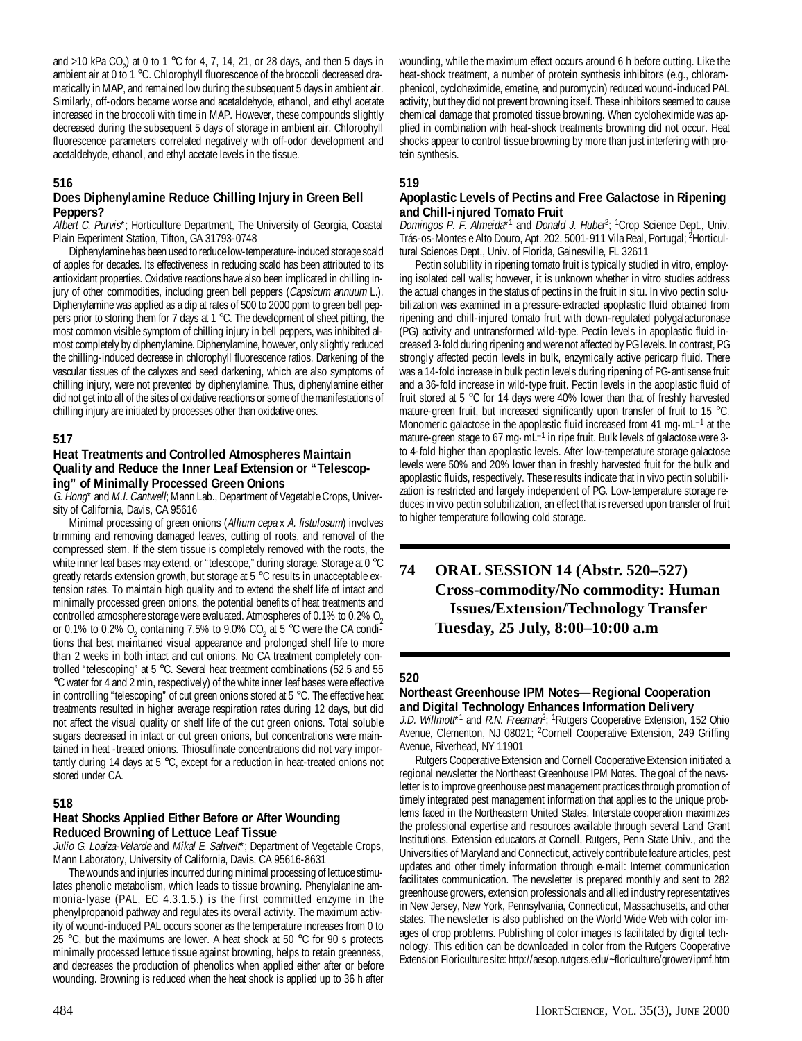and >10 kPa  $CO_2$ ) at 0 to 1 °C for 4, 7, 14, 21, or 28 days, and then 5 days in ambient air at 0 to 1  $^{\circ}$ C. Chlorophyll fluorescence of the broccoli decreased dramatically in MAP, and remained low during the subsequent 5 days in ambient air. Similarly, off-odors became worse and acetaldehyde, ethanol, and ethyl acetate increased in the broccoli with time in MAP. However, these compounds slightly decreased during the subsequent 5 days of storage in ambient air. Chlorophyll fluorescence parameters correlated negatively with off-odor development and acetaldehyde, ethanol, and ethyl acetate levels in the tissue.

# **516**

# **Does Diphenylamine Reduce Chilling Injury in Green Bell Peppers?**

Albert C. Purvis<sup>\*</sup>; Horticulture Department, The University of Georgia, Coastal Plain Experiment Station, Tifton, GA 31793-0748

Diphenylamine has been used to reduce low-temperature-induced storage scald of apples for decades. Its effectiveness in reducing scald has been attributed to its antioxidant properties. Oxidative reactions have also been implicated in chilling injury of other commodities, including green bell peppers (Capsicum annuum L.). Diphenylamine was applied as a dip at rates of 500 to 2000 ppm to green bell peppers prior to storing them for 7 days at 1 °C. The development of sheet pitting, the most common visible symptom of chilling injury in bell peppers, was inhibited almost completely by diphenylamine. Diphenylamine, however, only slightly reduced the chilling-induced decrease in chlorophyll fluorescence ratios. Darkening of the vascular tissues of the calyxes and seed darkening, which are also symptoms of chilling injury, were not prevented by diphenylamine. Thus, diphenylamine either did not get into all of the sites of oxidative reactions or some of the manifestations of chilling injury are initiated by processes other than oxidative ones.

# **517**

#### **Heat Treatments and Controlled Atmospheres Maintain Quality and Reduce the Inner Leaf Extension or "Telescoping" of Minimally Processed Green Onions**

G. Hong\* and M.I. Cantwell; Mann Lab., Department of Vegetable Crops, University of California, Davis, CA 95616

Minimal processing of green onions (Allium cepa x A. fistulosum) involves trimming and removing damaged leaves, cutting of roots, and removal of the compressed stem. If the stem tissue is completely removed with the roots, the white inner leaf bases may extend, or "telescope," during storage. Storage at 0 °C greatly retards extension growth, but storage at 5 °C results in unacceptable extension rates. To maintain high quality and to extend the shelf life of intact and minimally processed green onions, the potential benefits of heat treatments and controlled atmosphere storage were evaluated. Atmospheres of 0.1% to 0.2%  $O<sub>2</sub>$ or 0.1% to 0.2% O<sub>2</sub> containing 7.5% to 9.0% CO<sub>2</sub> at 5 °C were the CA conditions that best maintained visual appearance and prolonged shelf life to more than 2 weeks in both intact and cut onions. No CA treatment completely controlled "telescoping" at 5 °C. Several heat treatment combinations (52.5 and 55 °C water for 4 and 2 min, respectively) of the white inner leaf bases were effective in controlling "telescoping" of cut green onions stored at 5 °C. The effective heat treatments resulted in higher average respiration rates during 12 days, but did not affect the visual quality or shelf life of the cut green onions. Total soluble sugars decreased in intact or cut green onions, but concentrations were maintained in heat -treated onions. Thiosulfinate concentrations did not vary importantly during 14 days at 5 °C, except for a reduction in heat-treated onions not stored under CA.

# **518**

# **Heat Shocks Applied Either Before or After Wounding Reduced Browning of Lettuce Leaf Tissue**

Julio G. Loaiza-Velarde and Mikal E. Saltveit\*; Department of Vegetable Crops, Mann Laboratory, University of California, Davis, CA 95616-8631

The wounds and injuries incurred during minimal processing of lettuce stimulates phenolic metabolism, which leads to tissue browning. Phenylalanine ammonia-lyase (PAL, EC 4.3.1.5.) is the first committed enzyme in the phenylpropanoid pathway and regulates its overall activity. The maximum activity of wound-induced PAL occurs sooner as the temperature increases from 0 to 25 °C, but the maximums are lower. A heat shock at 50 °C for 90 s protects minimally processed lettuce tissue against browning, helps to retain greenness, and decreases the production of phenolics when applied either after or before wounding. Browning is reduced when the heat shock is applied up to 36 h after

wounding, while the maximum effect occurs around 6 h before cutting. Like the heat-shock treatment, a number of protein synthesis inhibitors (e.g., chloramphenicol, cycloheximide, emetine, and puromycin) reduced wound-induced PAL activity, but they did not prevent browning itself. These inhibitors seemed to cause chemical damage that promoted tissue browning. When cycloheximide was applied in combination with heat-shock treatments browning did not occur. Heat shocks appear to control tissue browning by more than just interfering with protein synthesis.

# **519**

# **Apoplastic Levels of Pectins and Free Galactose in Ripening and Chill-injured Tomato Fruit**

Domingos P. F. Almeida\*<sup>1</sup> and Donald J. Huber<sup>2</sup>; <sup>1</sup>Crop Science Dept., Univ. Trás-os-Montes e Alto Douro, Apt. 202, 5001-911 Vila Real, Portugal; <sup>2</sup>Horticultural Sciences Dept., Univ. of Florida, Gainesville, FL 32611

Pectin solubility in ripening tomato fruit is typically studied in vitro, employing isolated cell walls; however, it is unknown whether in vitro studies address the actual changes in the status of pectins in the fruit in situ. In vivo pectin solubilization was examined in a pressure-extracted apoplastic fluid obtained from ripening and chill-injured tomato fruit with down-regulated polygalacturonase (PG) activity and untransformed wild-type. Pectin levels in apoplastic fluid increased 3-fold during ripening and were not affected by PG levels. In contrast, PG strongly affected pectin levels in bulk, enzymically active pericarp fluid. There was a 14-fold increase in bulk pectin levels during ripening of PG-antisense fruit and a 36-fold increase in wild-type fruit. Pectin levels in the apoplastic fluid of fruit stored at 5 °C for 14 days were 40% lower than that of freshly harvested mature-green fruit, but increased significantly upon transfer of fruit to 15 °C. Monomeric galactose in the apoplastic fluid increased from 41 mg $\cdot$ mL<sup>-1</sup> at the mature-green stage to 67 mg·mL<sup>-1</sup> in ripe fruit. Bulk levels of galactose were 3to 4-fold higher than apoplastic levels. After low-temperature storage galactose levels were 50% and 20% lower than in freshly harvested fruit for the bulk and apoplastic fluids, respectively. These results indicate that in vivo pectin solubilization is restricted and largely independent of PG. Low-temperature storage reduces in vivo pectin solubilization, an effect that is reversed upon transfer of fruit to higher temperature following cold storage.

# **74 ORAL SESSION 14 (Abstr. 520–527) Cross-commodity/No commodity: Human Issues/Extension/Technology Transfer Tuesday, 25 July, 8:00–10:00 a.m**

#### **520**

# **Northeast Greenhouse IPM Notes—Regional Cooperation and Digital Technology Enhances Information Delivery**

J.D. Willmott<sup>\*1</sup> and R.N. Freeman<sup>2</sup>; <sup>1</sup>Rutgers Cooperative Extension, 152 Ohio Avenue, Clementon, NJ 08021; <sup>2</sup>Cornell Cooperative Extension, 249 Griffing Avenue, Riverhead, NY 11901

Rutgers Cooperative Extension and Cornell Cooperative Extension initiated a regional newsletter the Northeast Greenhouse IPM Notes. The goal of the newsletter is to improve greenhouse pest management practices through promotion of timely integrated pest management information that applies to the unique problems faced in the Northeastern United States. Interstate cooperation maximizes the professional expertise and resources available through several Land Grant Institutions. Extension educators at Cornell, Rutgers, Penn State Univ., and the Universities of Maryland and Connecticut, actively contribute feature articles, pest updates and other timely information through e-mail: Internet communication facilitates communication. The newsletter is prepared monthly and sent to 282 greenhouse growers, extension professionals and allied industry representatives in New Jersey, New York, Pennsylvania, Connecticut, Massachusetts, and other states. The newsletter is also published on the World Wide Web with color images of crop problems. Publishing of color images is facilitated by digital technology. This edition can be downloaded in color from the Rutgers Cooperative Extension Floriculture site: http://aesop.rutgers.edu/~floriculture/grower/ipmf.htm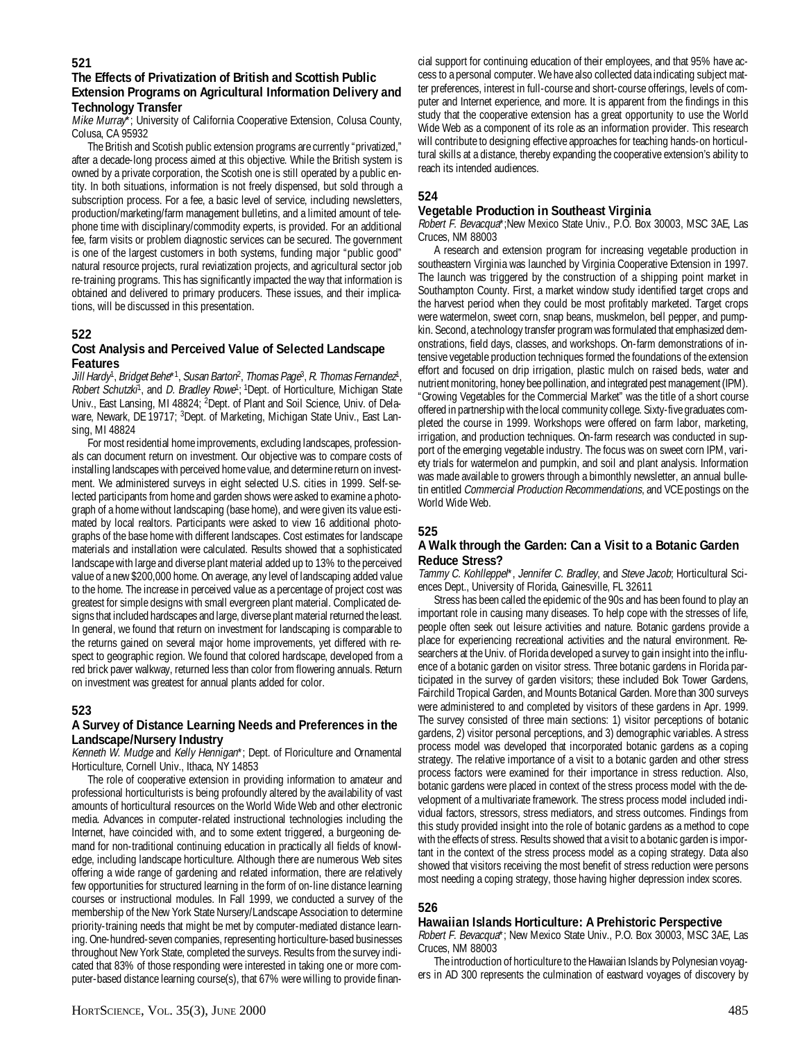# **The Effects of Privatization of British and Scottish Public Extension Programs on Agricultural Information Delivery and Technology Transfer**

Mike Murray\*; University of California Cooperative Extension, Colusa County, Colusa, CA 95932

The British and Scotish public extension programs are currently "privatized," after a decade-long process aimed at this objective. While the British system is owned by a private corporation, the Scotish one is still operated by a public entity. In both situations, information is not freely dispensed, but sold through a subscription process. For a fee, a basic level of service, including newsletters, production/marketing/farm management bulletins, and a limited amount of telephone time with disciplinary/commodity experts, is provided. For an additional fee, farm visits or problem diagnostic services can be secured. The government is one of the largest customers in both systems, funding major "public good" natural resource projects, rural reviatization projects, and agricultural sector job re-training programs. This has significantly impacted the way that information is obtained and delivered to primary producers. These issues, and their implications, will be discussed in this presentation.

# **522**

# **Cost Analysis and Perceived Value of Selected Landscape Features**

Jill Hardy<sup>1</sup>, Bridget Behe\*<sup>1</sup>, Susan Barton<sup>2</sup>, Thomas Page<sup>3</sup>, R. Thomas Fernandez<sup>1</sup>, Robert Schutzki<sup>1</sup>, and D. Bradley Rowe<sup>1</sup>; <sup>1</sup>Dept. of Horticulture, Michigan State Univ., East Lansing, MI 48824; <sup>2</sup>Dept. of Plant and Soil Science, Univ. of Delaware, Newark, DE 19717; <sup>3</sup>Dept. of Marketing, Michigan State Univ., East Lansing, MI 48824

For most residential home improvements, excluding landscapes, professionals can document return on investment. Our objective was to compare costs of installing landscapes with perceived home value, and determine return on investment. We administered surveys in eight selected U.S. cities in 1999. Self-selected participants from home and garden shows were asked to examine a photograph of a home without landscaping (base home), and were given its value estimated by local realtors. Participants were asked to view 16 additional photographs of the base home with different landscapes. Cost estimates for landscape materials and installation were calculated. Results showed that a sophisticated landscape with large and diverse plant material added up to 13% to the perceived value of a new \$200,000 home. On average, any level of landscaping added value to the home. The increase in perceived value as a percentage of project cost was greatest for simple designs with small evergreen plant material. Complicated designs that included hardscapes and large, diverse plant material returned the least. In general, we found that return on investment for landscaping is comparable to the returns gained on several major home improvements, yet differed with respect to geographic region. We found that colored hardscape, developed from a red brick paver walkway, returned less than color from flowering annuals. Return on investment was greatest for annual plants added for color.

# **523**

# **A Survey of Distance Learning Needs and Preferences in the Landscape/Nursery Industry**

Kenneth W. Mudge and Kelly Hennigan\*; Dept. of Floriculture and Ornamental Horticulture, Cornell Univ., Ithaca, NY 14853

The role of cooperative extension in providing information to amateur and professional horticulturists is being profoundly altered by the availability of vast amounts of horticultural resources on the World Wide Web and other electronic media. Advances in computer-related instructional technologies including the Internet, have coincided with, and to some extent triggered, a burgeoning demand for non-traditional continuing education in practically all fields of knowledge, including landscape horticulture. Although there are numerous Web sites offering a wide range of gardening and related information, there are relatively few opportunities for structured learning in the form of on-line distance learning courses or instructional modules. In Fall 1999, we conducted a survey of the membership of the New York State Nursery/Landscape Association to determine priority-training needs that might be met by computer-mediated distance learning. One-hundred-seven companies, representing horticulture-based businesses throughout New York State, completed the surveys. Results from the survey indicated that 83% of those responding were interested in taking one or more computer-based distance learning course(s), that 67% were willing to provide finan-

cial support for continuing education of their employees, and that 95% have access to a personal computer. We have also collected data indicating subject matter preferences, interest in full-course and short-course offerings, levels of computer and Internet experience, and more. It is apparent from the findings in this study that the cooperative extension has a great opportunity to use the World Wide Web as a component of its role as an information provider. This research will contribute to designing effective approaches for teaching hands-on horticultural skills at a distance, thereby expanding the cooperative extension's ability to reach its intended audiences.

# **524**

# **Vegetable Production in Southeast Virginia**

Robert F. Bevacqua\*;New Mexico State Univ., P.O. Box 30003, MSC 3AE, Las Cruces, NM 88003

A research and extension program for increasing vegetable production in southeastern Virginia was launched by Virginia Cooperative Extension in 1997. The launch was triggered by the construction of a shipping point market in Southampton County. First, a market window study identified target crops and the harvest period when they could be most profitably marketed. Target crops were watermelon, sweet corn, snap beans, muskmelon, bell pepper, and pumpkin. Second, a technology transfer program was formulated that emphasized demonstrations, field days, classes, and workshops. On-farm demonstrations of intensive vegetable production techniques formed the foundations of the extension effort and focused on drip irrigation, plastic mulch on raised beds, water and nutrient monitoring, honey bee pollination, and integrated pest management (IPM). "Growing Vegetables for the Commercial Market" was the title of a short course offered in partnership with the local community college. Sixty-five graduates completed the course in 1999. Workshops were offered on farm labor, marketing, irrigation, and production techniques. On-farm research was conducted in support of the emerging vegetable industry. The focus was on sweet corn IPM, variety trials for watermelon and pumpkin, and soil and plant analysis. Information was made available to growers through a bimonthly newsletter, an annual bulletin entitled Commercial Production Recommendations, and VCE postings on the World Wide Web.

# **525**

# **A Walk through the Garden: Can a Visit to a Botanic Garden Reduce Stress?**

Tammy C. Kohlleppel\*, Jennifer C. Bradley, and Steve Jacob; Horticultural Sciences Dept., University of Florida, Gainesville, FL 32611

Stress has been called the epidemic of the 90s and has been found to play an important role in causing many diseases. To help cope with the stresses of life, people often seek out leisure activities and nature. Botanic gardens provide a place for experiencing recreational activities and the natural environment. Researchers at the Univ. of Florida developed a survey to gain insight into the influence of a botanic garden on visitor stress. Three botanic gardens in Florida participated in the survey of garden visitors; these included Bok Tower Gardens, Fairchild Tropical Garden, and Mounts Botanical Garden. More than 300 surveys were administered to and completed by visitors of these gardens in Apr. 1999. The survey consisted of three main sections: 1) visitor perceptions of botanic gardens, 2) visitor personal perceptions, and 3) demographic variables. A stress process model was developed that incorporated botanic gardens as a coping strategy. The relative importance of a visit to a botanic garden and other stress process factors were examined for their importance in stress reduction. Also, botanic gardens were placed in context of the stress process model with the development of a multivariate framework. The stress process model included individual factors, stressors, stress mediators, and stress outcomes. Findings from this study provided insight into the role of botanic gardens as a method to cope with the effects of stress. Results showed that a visit to a botanic garden is important in the context of the stress process model as a coping strategy. Data also showed that visitors receiving the most benefit of stress reduction were persons most needing a coping strategy, those having higher depression index scores.

# **526**

# **Hawaiian Islands Horticulture: A Prehistoric Perspective**

Robert F. Bevacqua\*; New Mexico State Univ., P.O. Box 30003, MSC 3AE, Las Cruces, NM 88003

The introduction of horticulture to the Hawaiian Islands by Polynesian voyagers in AD 300 represents the culmination of eastward voyages of discovery by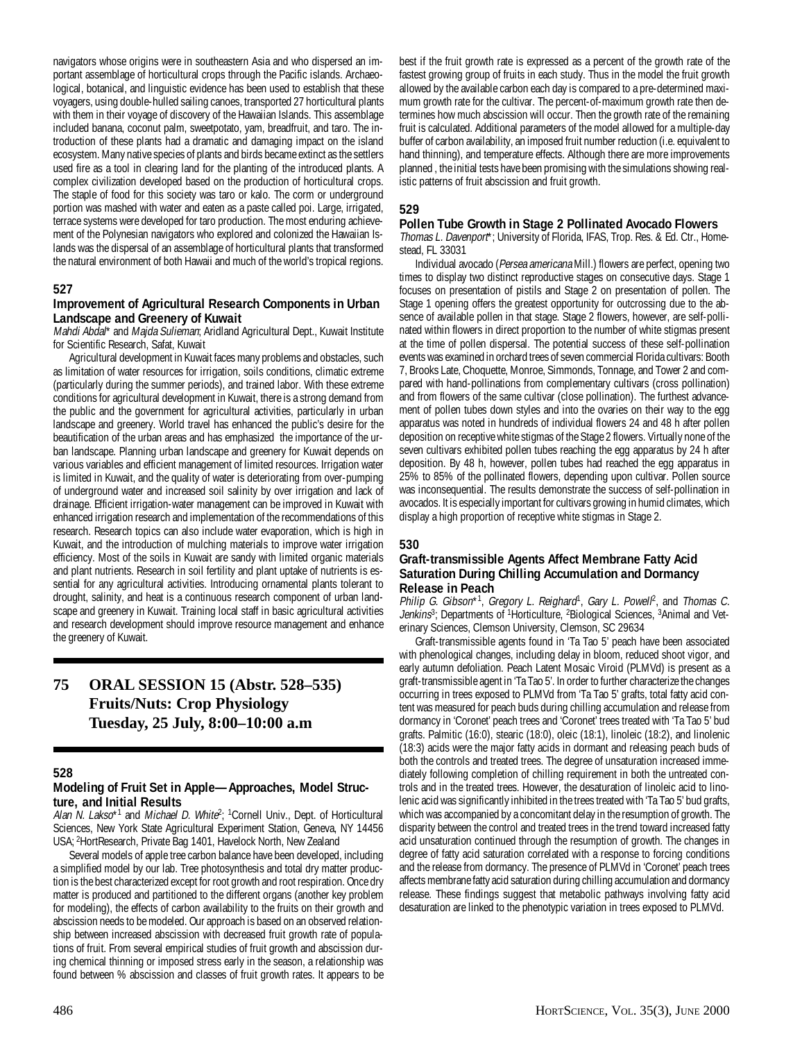navigators whose origins were in southeastern Asia and who dispersed an important assemblage of horticultural crops through the Pacific islands. Archaeological, botanical, and linguistic evidence has been used to establish that these voyagers, using double-hulled sailing canoes, transported 27 horticultural plants with them in their voyage of discovery of the Hawaiian Islands. This assemblage included banana, coconut palm, sweetpotato, yam, breadfruit, and taro. The introduction of these plants had a dramatic and damaging impact on the island ecosystem. Many native species of plants and birds became extinct as the settlers used fire as a tool in clearing land for the planting of the introduced plants. A complex civilization developed based on the production of horticultural crops. The staple of food for this society was taro or kalo. The corm or underground portion was mashed with water and eaten as a paste called poi. Large, irrigated, terrace systems were developed for taro production. The most enduring achievement of the Polynesian navigators who explored and colonized the Hawaiian Islands was the dispersal of an assemblage of horticultural plants that transformed the natural environment of both Hawaii and much of the world's tropical regions.

#### **527**

#### **Improvement of Agricultural Research Components in Urban Landscape and Greenery of Kuwait**

Mahdi Abdal\* and Majda Sulieman; Aridland Agricultural Dept., Kuwait Institute for Scientific Research, Safat, Kuwait

Agricultural development in Kuwait faces many problems and obstacles, such as limitation of water resources for irrigation, soils conditions, climatic extreme (particularly during the summer periods), and trained labor. With these extreme conditions for agricultural development in Kuwait, there is a strong demand from the public and the government for agricultural activities, particularly in urban landscape and greenery. World travel has enhanced the public's desire for the beautification of the urban areas and has emphasized the importance of the urban landscape. Planning urban landscape and greenery for Kuwait depends on various variables and efficient management of limited resources. Irrigation water is limited in Kuwait, and the quality of water is deteriorating from over-pumping of underground water and increased soil salinity by over irrigation and lack of drainage. Efficient irrigation-water management can be improved in Kuwait with enhanced irrigation research and implementation of the recommendations of this research. Research topics can also include water evaporation, which is high in Kuwait, and the introduction of mulching materials to improve water irrigation efficiency. Most of the soils in Kuwait are sandy with limited organic materials and plant nutrients. Research in soil fertility and plant uptake of nutrients is essential for any agricultural activities. Introducing ornamental plants tolerant to drought, salinity, and heat is a continuous research component of urban landscape and greenery in Kuwait. Training local staff in basic agricultural activities and research development should improve resource management and enhance the greenery of Kuwait.

# **75 ORAL SESSION 15 (Abstr. 528–535) Fruits/Nuts: Crop Physiology Tuesday, 25 July, 8:00–10:00 a.m**

#### **528**

# **Modeling of Fruit Set in Apple—Approaches, Model Structure, and Initial Results**

Alan N. Lakso<sup>\*1</sup> and Michael D. White<sup>2</sup>; <sup>1</sup>Cornell Univ., Dept. of Horticultural Sciences, New York State Agricultural Experiment Station, Geneva, NY 14456 USA; 2HortResearch, Private Bag 1401, Havelock North, New Zealand

Several models of apple tree carbon balance have been developed, including a simplified model by our lab. Tree photosynthesis and total dry matter production is the best characterized except for root growth and root respiration. Once dry matter is produced and partitioned to the different organs (another key problem for modeling), the effects of carbon availability to the fruits on their growth and abscission needs to be modeled. Our approach is based on an observed relationship between increased abscission with decreased fruit growth rate of populations of fruit. From several empirical studies of fruit growth and abscission during chemical thinning or imposed stress early in the season, a relationship was found between % abscission and classes of fruit growth rates. It appears to be

best if the fruit growth rate is expressed as a percent of the growth rate of the fastest growing group of fruits in each study. Thus in the model the fruit growth allowed by the available carbon each day is compared to a pre-determined maximum growth rate for the cultivar. The percent-of-maximum growth rate then determines how much abscission will occur. Then the growth rate of the remaining fruit is calculated. Additional parameters of the model allowed for a multiple-day buffer of carbon availability, an imposed fruit number reduction (i.e. equivalent to hand thinning), and temperature effects. Although there are more improvements planned , the initial tests have been promising with the simulations showing realistic patterns of fruit abscission and fruit growth.

#### **529**

# **Pollen Tube Growth in Stage 2 Pollinated Avocado Flowers**

Thomas L. Davenport\*; University of Florida, IFAS, Trop. Res. & Ed. Ctr., Homestead, FL 33031

Individual avocado (Persea americana Mill.) flowers are perfect, opening two times to display two distinct reproductive stages on consecutive days. Stage 1 focuses on presentation of pistils and Stage 2 on presentation of pollen. The Stage 1 opening offers the greatest opportunity for outcrossing due to the absence of available pollen in that stage. Stage 2 flowers, however, are self-pollinated within flowers in direct proportion to the number of white stigmas present at the time of pollen dispersal. The potential success of these self-pollination events was examined in orchard trees of seven commercial Florida cultivars: Booth 7, Brooks Late, Choquette, Monroe, Simmonds, Tonnage, and Tower 2 and compared with hand-pollinations from complementary cultivars (cross pollination) and from flowers of the same cultivar (close pollination). The furthest advancement of pollen tubes down styles and into the ovaries on their way to the egg apparatus was noted in hundreds of individual flowers 24 and 48 h after pollen deposition on receptive white stigmas of the Stage 2 flowers. Virtually none of the seven cultivars exhibited pollen tubes reaching the egg apparatus by 24 h after deposition. By 48 h, however, pollen tubes had reached the egg apparatus in 25% to 85% of the pollinated flowers, depending upon cultivar. Pollen source was inconsequential. The results demonstrate the success of self-pollination in avocados. It is especially important for cultivars growing in humid climates, which display a high proportion of receptive white stigmas in Stage 2.

#### **530**

### **Graft-transmissible Agents Affect Membrane Fatty Acid Saturation During Chilling Accumulation and Dormancy Release in Peach**

Philip G. Gibson\*1, Gregory L. Reighard<sup>i</sup>, Gary L. Powell<sup>p</sup>, and Thomas C. Jenkins<sup>3</sup>; Departments of <sup>1</sup>Horticulture, <sup>2</sup>Biological Sciences, <sup>3</sup>Animal and Veterinary Sciences, Clemson University, Clemson, SC 29634

Graft-transmissible agents found in 'Ta Tao 5' peach have been associated with phenological changes, including delay in bloom, reduced shoot vigor, and early autumn defoliation. Peach Latent Mosaic Viroid (PLMVd) is present as a graft-transmissible agent in 'Ta Tao 5'. In order to further characterize the changes occurring in trees exposed to PLMVd from 'Ta Tao 5' grafts, total fatty acid content was measured for peach buds during chilling accumulation and release from dormancy in 'Coronet' peach trees and 'Coronet' trees treated with 'Ta Tao 5' bud grafts. Palmitic (16:0), stearic (18:0), oleic (18:1), linoleic (18:2), and linolenic (18:3) acids were the major fatty acids in dormant and releasing peach buds of both the controls and treated trees. The degree of unsaturation increased immediately following completion of chilling requirement in both the untreated controls and in the treated trees. However, the desaturation of linoleic acid to linolenic acid was significantly inhibited in the trees treated with 'Ta Tao 5' bud grafts, which was accompanied by a concomitant delay in the resumption of growth. The disparity between the control and treated trees in the trend toward increased fatty acid unsaturation continued through the resumption of growth. The changes in degree of fatty acid saturation correlated with a response to forcing conditions and the release from dormancy. The presence of PLMVd in 'Coronet' peach trees affects membrane fatty acid saturation during chilling accumulation and dormancy release. These findings suggest that metabolic pathways involving fatty acid desaturation are linked to the phenotypic variation in trees exposed to PLMVd.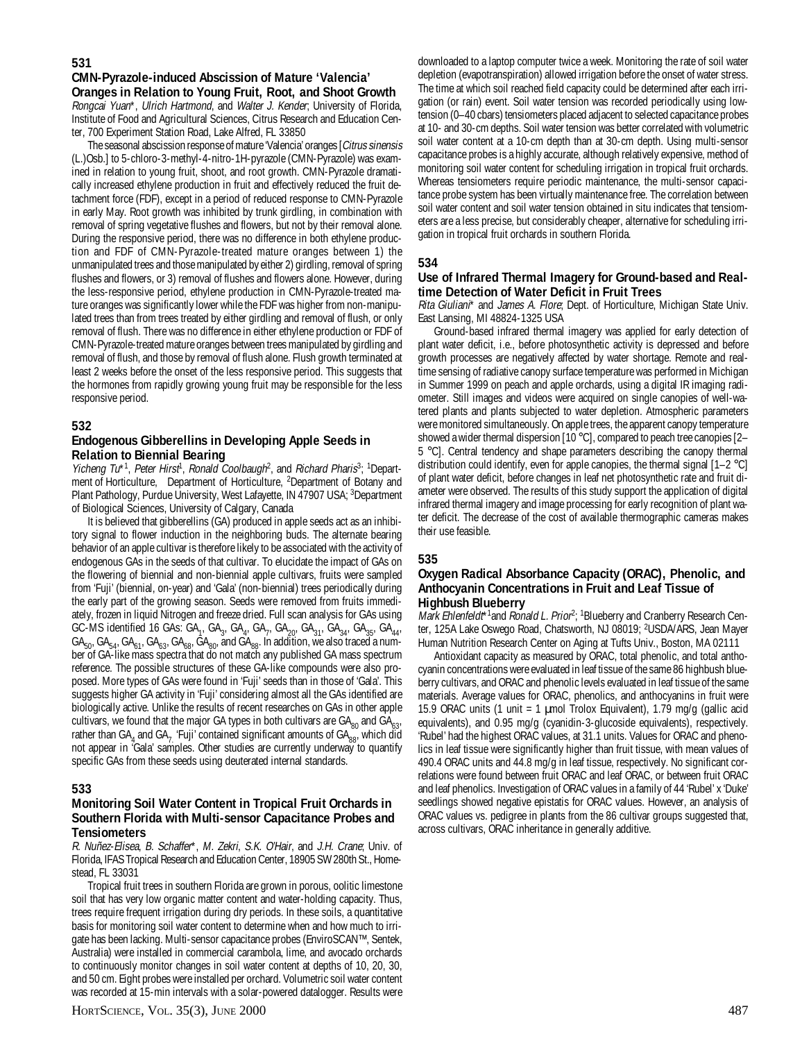#### **531**

### **CMN-Pyrazole-induced Abscission of Mature 'Valencia' Oranges in Relation to Young Fruit, Root, and Shoot Growth**

Rongcai Yuan\*, Ulrich Hartmond, and Walter J. Kender; University of Florida, Institute of Food and Agricultural Sciences, Citrus Research and Education Center, 700 Experiment Station Road, Lake Alfred, FL 33850

The seasonal abscission response of mature 'Valencia' oranges [Citrus sinensis (L.)Osb.] to 5-chloro-3-methyl-4-nitro-1H-pyrazole (CMN-Pyrazole) was examined in relation to young fruit, shoot, and root growth. CMN-Pyrazole dramatically increased ethylene production in fruit and effectively reduced the fruit detachment force (FDF), except in a period of reduced response to CMN-Pyrazole in early May. Root growth was inhibited by trunk girdling, in combination with removal of spring vegetative flushes and flowers, but not by their removal alone. During the responsive period, there was no difference in both ethylene production and FDF of CMN-Pyrazole-treated mature oranges between 1) the unmanipulated trees and those manipulated by either 2) girdling, removal of spring flushes and flowers, or 3) removal of flushes and flowers alone. However, during the less-responsive period, ethylene production in CMN-Pyrazole-treated mature oranges was significantly lower while the FDF was higher from non-manipulated trees than from trees treated by either girdling and removal of flush, or only removal of flush. There was no difference in either ethylene production or FDF of CMN-Pyrazole-treated mature oranges between trees manipulated by girdling and removal of flush, and those by removal of flush alone. Flush growth terminated at least 2 weeks before the onset of the less responsive period. This suggests that the hormones from rapidly growing young fruit may be responsible for the less responsive period.

#### **532**

#### **Endogenous Gibberellins in Developing Apple Seeds in Relation to Biennial Bearing**

Yicheng Tu<sup>\*1</sup>, Peter Hirst<sup>1</sup>, Ronald Coolbaugh<sup>2</sup>, and Richard Pharis<sup>3</sup>; <sup>1</sup>Department of Horticulture, Department of Horticulture, <sup>2</sup>Department of Botany and Plant Pathology, Purdue University, West Lafayette, IN 47907 USA; <sup>3</sup>Department of Biological Sciences, University of Calgary, Canada

It is believed that gibberellins (GA) produced in apple seeds act as an inhibitory signal to flower induction in the neighboring buds. The alternate bearing behavior of an apple cultivar is therefore likely to be associated with the activity of endogenous GAs in the seeds of that cultivar. To elucidate the impact of GAs on the flowering of biennial and non-biennial apple cultivars, fruits were sampled from 'Fuji' (biennial, on-year) and 'Gala' (non-biennial) trees periodically during the early part of the growing season. Seeds were removed from fruits immediately, frozen in liquid Nitrogen and freeze dried. Full scan analysis for GAs using GC-MS identified 16 GAs: GA<sub>1</sub>, GA<sub>3</sub>, GA<sub>4</sub>, GA<sub>7</sub>, GA<sub>20</sub>, GA<sub>31</sub>, GA<sub>34</sub>, GA<sub>35</sub>, GA<sub>44</sub>,  $GA_{50}$ ,  $GA_{54}$ ,  $GA_{61}$ ,  $GA_{63}$ ,  $GA_{68}$ ,  $GA_{80}$ , and  $GA_{88}$ . In addition, we also traced a number of GA-like mass spectra that do not match any published GA mass spectrum reference. The possible structures of these GA-like compounds were also proposed. More types of GAs were found in 'Fuji' seeds than in those of 'Gala'. This suggests higher GA activity in 'Fuji' considering almost all the GAs identified are biologically active. Unlike the results of recent researches on GAs in other apple cultivars, we found that the major GA types in both cultivars are  $GA_{80}$  and  $GA_{63}$ rather than GA<sub>4</sub> and GA<sub>7</sub> 'Fuji' contained significant amounts of GA<sub>88</sub>, which did not appear in 'Gala' samples. Other studies are currently underway to quantify specific GAs from these seeds using deuterated internal standards.

#### **533**

### **Monitoring Soil Water Content in Tropical Fruit Orchards in Southern Florida with Multi-sensor Capacitance Probes and Tensiometers**

R. Nuñez-Elisea, B. Schaffer\*, M. Zekri, S.K. O'Hair, and J.H. Crane; Univ. of Florida, IFAS Tropical Research and Education Center, 18905 SW 280th St., Homestead, FL 33031

Tropical fruit trees in southern Florida are grown in porous, oolitic limestone soil that has very low organic matter content and water-holding capacity. Thus, trees require frequent irrigation during dry periods. In these soils, a quantitative basis for monitoring soil water content to determine when and how much to irrigate has been lacking. Multi-sensor capacitance probes (EnviroSCAN™, Sentek, Australia) were installed in commercial carambola, lime, and avocado orchards to continuously monitor changes in soil water content at depths of 10, 20, 30, and 50 cm. Eight probes were installed per orchard. Volumetric soil water content was recorded at 15-min intervals with a solar-powered datalogger. Results were

downloaded to a laptop computer twice a week. Monitoring the rate of soil water depletion (evapotranspiration) allowed irrigation before the onset of water stress. The time at which soil reached field capacity could be determined after each irrigation (or rain) event. Soil water tension was recorded periodically using lowtension (0–40 cbars) tensiometers placed adjacent to selected capacitance probes at 10- and 30-cm depths. Soil water tension was better correlated with volumetric soil water content at a 10-cm depth than at 30-cm depth. Using multi-sensor capacitance probes is a highly accurate, although relatively expensive, method of monitoring soil water content for scheduling irrigation in tropical fruit orchards. Whereas tensiometers require periodic maintenance, the multi-sensor capacitance probe system has been virtually maintenance free. The correlation between soil water content and soil water tension obtained in situ indicates that tensiometers are a less precise, but considerably cheaper, alternative for scheduling irrigation in tropical fruit orchards in southern Florida.

#### **534**

#### **Use of Infrared Thermal Imagery for Ground-based and Realtime Detection of Water Deficit in Fruit Trees**

Rita Giuliani\* and James A. Flore; Dept. of Horticulture, Michigan State Univ. East Lansing, MI 48824-1325 USA

Ground-based infrared thermal imagery was applied for early detection of plant water deficit, i.e., before photosynthetic activity is depressed and before growth processes are negatively affected by water shortage. Remote and realtime sensing of radiative canopy surface temperature was performed in Michigan in Summer 1999 on peach and apple orchards, using a digital IR imaging radiometer. Still images and videos were acquired on single canopies of well-watered plants and plants subjected to water depletion. Atmospheric parameters were monitored simultaneously. On apple trees, the apparent canopy temperature showed a wider thermal dispersion [10 °C], compared to peach tree canopies [2-5 °C]. Central tendency and shape parameters describing the canopy thermal distribution could identify, even for apple canopies, the thermal signal [1–2 °C] of plant water deficit, before changes in leaf net photosynthetic rate and fruit diameter were observed. The results of this study support the application of digital infrared thermal imagery and image processing for early recognition of plant water deficit. The decrease of the cost of available thermographic cameras makes their use feasible.

#### **535**

#### **Oxygen Radical Absorbance Capacity (ORAC), Phenolic, and Anthocyanin Concentrations in Fruit and Leaf Tissue of Highbush Blueberry**

Mark Ehlenfeldt<sup>\*1</sup>and Ronald L. Prior<sup>2</sup>; <sup>1</sup>Blueberry and Cranberry Research Center, 125A Lake Oswego Road, Chatsworth, NJ 08019; <sup>2</sup>USDA/ARS, Jean Mayer Human Nutrition Research Center on Aging at Tufts Univ., Boston, MA 02111

Antioxidant capacity as measured by ORAC, total phenolic, and total anthocyanin concentrations were evaluated in leaf tissue of the same 86 highbush blueberry cultivars, and ORAC and phenolic levels evaluated in leaf tissue of the same materials. Average values for ORAC, phenolics, and anthocyanins in fruit were 15.9 ORAC units (1 unit = 1 µmol Trolox Equivalent), 1.79 mg/g (gallic acid equivalents), and 0.95 mg/g (cyanidin-3-glucoside equivalents), respectively. 'Rubel' had the highest ORAC values, at 31.1 units. Values for ORAC and phenolics in leaf tissue were significantly higher than fruit tissue, with mean values of 490.4 ORAC units and 44.8 mg/g in leaf tissue, respectively. No significant correlations were found between fruit ORAC and leaf ORAC, or between fruit ORAC and leaf phenolics. Investigation of ORAC values in a family of 44 'Rubel' x 'Duke' seedlings showed negative epistatis for ORAC values. However, an analysis of ORAC values vs. pedigree in plants from the 86 cultivar groups suggested that, across cultivars, ORAC inheritance in generally additive.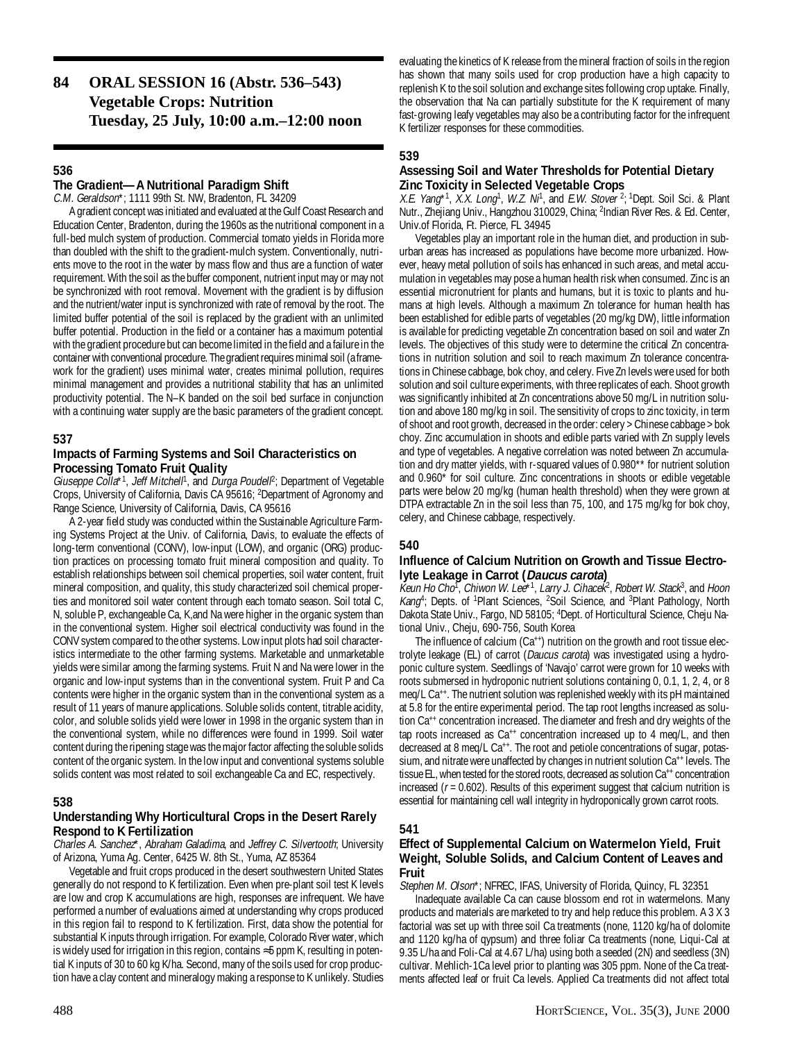# **84 ORAL SESSION 16 (Abstr. 536–543) Vegetable Crops: Nutrition Tuesday, 25 July, 10:00 a.m.–12:00 noon**

# **536**

# **The Gradient—A Nutritional Paradigm Shift**

C.M. Geraldson\*; 1111 99th St. NW, Bradenton, FL 34209

A gradient concept was initiated and evaluated at the Gulf Coast Research and Education Center, Bradenton, during the 1960s as the nutritional component in a full-bed mulch system of production. Commercial tomato yields in Florida more than doubled with the shift to the gradient-mulch system. Conventionally, nutrients move to the root in the water by mass flow and thus are a function of water requirement. With the soil as the buffer component, nutrient input may or may not be synchronized with root removal. Movement with the gradient is by diffusion and the nutrient/water input is synchronized with rate of removal by the root. The limited buffer potential of the soil is replaced by the gradient with an unlimited buffer potential. Production in the field or a container has a maximum potential with the gradient procedure but can become limited in the field and a failure in the container with conventional procedure. The gradient requires minimal soil (a framework for the gradient) uses minimal water, creates minimal pollution, requires minimal management and provides a nutritional stability that has an unlimited productivity potential. The N–K banded on the soil bed surface in conjunction with a continuing water supply are the basic parameters of the gradient concept.

# **537**

# **Impacts of Farming Systems and Soil Characteristics on Processing Tomato Fruit Quality**

Giuseppe Colla<sup>\*1</sup>, Jeff Mitchell<sup>1</sup>, and Durga Poudel<sup>p</sup>; Department of Vegetable Crops, University of California, Davis CA 95616; <sup>2</sup>Department of Agronomy and Range Science, University of California, Davis, CA 95616

A 2-year field study was conducted within the Sustainable Agriculture Farming Systems Project at the Univ. of California, Davis, to evaluate the effects of long-term conventional (CONV), low-input (LOW), and organic (ORG) production practices on processing tomato fruit mineral composition and quality. To establish relationships between soil chemical properties, soil water content, fruit mineral composition, and quality, this study characterized soil chemical properties and monitored soil water content through each tomato season. Soil total C, N, soluble P, exchangeable Ca, K,and Na were higher in the organic system than in the conventional system. Higher soil electrical conductivity was found in the CONV system compared to the other systems. Low input plots had soil characteristics intermediate to the other farming systems. Marketable and unmarketable yields were similar among the farming systems. Fruit N and Na were lower in the organic and low-input systems than in the conventional system. Fruit P and Ca contents were higher in the organic system than in the conventional system as a result of 11 years of manure applications. Soluble solids content, titrable acidity, color, and soluble solids yield were lower in 1998 in the organic system than in the conventional system, while no differences were found in 1999. Soil water content during the ripening stage was the major factor affecting the soluble solids content of the organic system. In the low input and conventional systems soluble solids content was most related to soil exchangeable Ca and EC, respectively.

# **538**

# **Understanding Why Horticultural Crops in the Desert Rarely Respond to K Fertilization**

Charles A. Sanchez\*, Abraham Galadima, and Jeffrey C. Silvertooth; University of Arizona, Yuma Ag. Center, 6425 W. 8th St., Yuma, AZ 85364

Vegetable and fruit crops produced in the desert southwestern United States generally do not respond to K fertilization. Even when pre-plant soil test K levels are low and crop K accumulations are high, responses are infrequent. We have performed a number of evaluations aimed at understanding why crops produced in this region fail to respond to K fertilization. First, data show the potential for substantial K inputs through irrigation. For example, Colorado River water, which is widely used for irrigation in this region, contains ≈5 ppm K, resulting in potential K inputs of 30 to 60 kg K/ha. Second, many of the soils used for crop production have a clay content and mineralogy making a response to K unlikely. Studies

evaluating the kinetics of K release from the mineral fraction of soils in the region has shown that many soils used for crop production have a high capacity to replenish K to the soil solution and exchange sites following crop uptake. Finally, the observation that Na can partially substitute for the K requirement of many fast-growing leafy vegetables may also be a contributing factor for the infrequent K fertilizer responses for these commodities.

# **539**

# **Assessing Soil and Water Thresholds for Potential Dietary Zinc Toxicity in Selected Vegetable Crops**

X.E. Yang<sup>\*1</sup>, X.X. Long<sup>1</sup>, W.Z. Ni<sup>1</sup>, and E.W. Stover <sup>2</sup>; <sup>1</sup>Dept. Soil Sci. & Plant Nutr., Zhejiang Univ., Hangzhou 310029, China; <sup>2</sup>Indian River Res. & Ed. Center, Univ.of Florida, Ft. Pierce, FL 34945

Vegetables play an important role in the human diet, and production in suburban areas has increased as populations have become more urbanized. However, heavy metal pollution of soils has enhanced in such areas, and metal accumulation in vegetables may pose a human health risk when consumed. Zinc is an essential micronutrient for plants and humans, but it is toxic to plants and humans at high levels. Although a maximum Zn tolerance for human health has been established for edible parts of vegetables (20 mg/kg DW), little information is available for predicting vegetable Zn concentration based on soil and water Zn levels. The objectives of this study were to determine the critical Zn concentrations in nutrition solution and soil to reach maximum Zn tolerance concentrations in Chinese cabbage, bok choy, and celery. Five Zn levels were used for both solution and soil culture experiments, with three replicates of each. Shoot growth was significantly inhibited at Zn concentrations above 50 mg/L in nutrition solution and above 180 mg/kg in soil. The sensitivity of crops to zinc toxicity, in term of shoot and root growth, decreased in the order: celery > Chinese cabbage > bok choy. Zinc accumulation in shoots and edible parts varied with Zn supply levels and type of vegetables. A negative correlation was noted between Zn accumulation and dry matter yields, with r-squared values of 0.980\*\* for nutrient solution and 0.960\* for soil culture. Zinc concentrations in shoots or edible vegetable parts were below 20 mg/kg (human health threshold) when they were grown at DTPA extractable Zn in the soil less than 75, 100, and 175 mg/kg for bok choy, celery, and Chinese cabbage, respectively.

# **540**

#### **Influence of Calcium Nutrition on Growth and Tissue Electrolyte Leakage in Carrot (Daucus carota)**

Keun Ho Cho<sup>t</sup>, Chiwon W. Lee\*1, Larry J. Cihacek<sup>2</sup>, Robert W. Stack<sup>3</sup>, and Hoon Kang<sup>4</sup>; Depts. of <sup>1</sup>Plant Sciences, <sup>2</sup>Soil Science, and <sup>3</sup>Plant Pathology, North Dakota State Univ., Fargo, ND 58105; 4 Dept. of Horticultural Science, Cheju National Univ., Cheju, 690-756, South Korea

The influence of calcium (Ca<sup>++</sup>) nutrition on the growth and root tissue electrolyte leakage (EL) of carrot (Daucus carota) was investigated using a hydroponic culture system. Seedlings of 'Navajo' carrot were grown for 10 weeks with roots submersed in hydroponic nutrient solutions containing 0, 0.1, 1, 2, 4, or 8 meq/L Ca<sup>++</sup>. The nutrient solution was replenished weekly with its pH maintained at 5.8 for the entire experimental period. The tap root lengths increased as solution Ca<sup>++</sup> concentration increased. The diameter and fresh and dry weights of the tap roots increased as  $Ca^{++}$  concentration increased up to 4 meq/L, and then decreased at 8 meq/L Ca<sup>++</sup>. The root and petiole concentrations of sugar, potassium, and nitrate were unaffected by changes in nutrient solution Ca<sup>++</sup> levels. The tissue EL, when tested for the stored roots, decreased as solution Ca<sup>++</sup> concentration increased  $(r = 0.602)$ . Results of this experiment suggest that calcium nutrition is essential for maintaining cell wall integrity in hydroponically grown carrot roots.

# **541**

# **Effect of Supplemental Calcium on Watermelon Yield, Fruit Weight, Soluble Solids, and Calcium Content of Leaves and Fruit**

Stephen M. Olson\*; NFREC, IFAS, University of Florida, Quincy, FL 32351

Inadequate available Ca can cause blossom end rot in watermelons. Many products and materials are marketed to try and help reduce this problem. A 3 X 3 factorial was set up with three soil Ca treatments (none, 1120 kg/ha of dolomite and 1120 kg/ha of qypsum) and three foliar Ca treatments (none, Liqui-Cal at 9.35 L/ha and Foli-Cal at 4.67 L/ha) using both a seeded (2N) and seedless (3N) cultivar. Mehlich-1Ca level prior to planting was 305 ppm. None of the Ca treatments affected leaf or fruit Ca levels. Applied Ca treatments did not affect total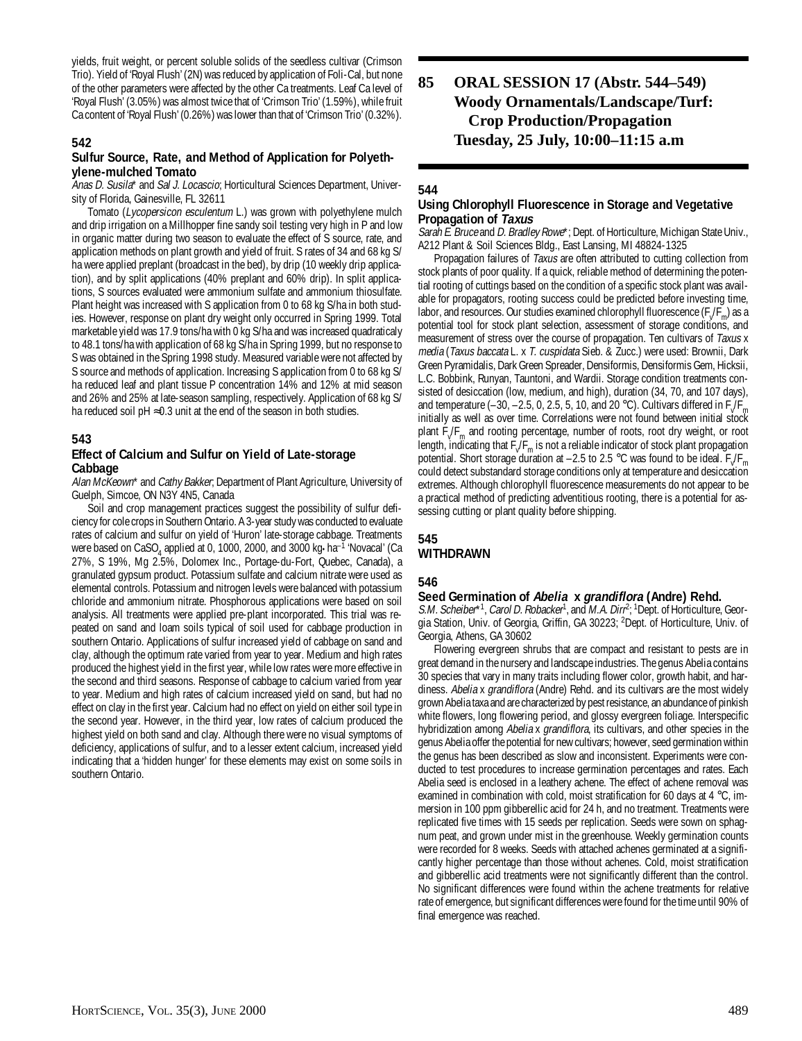yields, fruit weight, or percent soluble solids of the seedless cultivar (Crimson Trio). Yield of 'Royal Flush' (2N) was reduced by application of Foli-Cal, but none of the other parameters were affected by the other Ca treatments. Leaf Ca level of 'Royal Flush' (3.05%) was almost twice that of 'Crimson Trio' (1.59%), while fruit Ca content of 'Royal Flush' (0.26%) was lower than that of 'Crimson Trio' (0.32%).

# **542**

#### **Sulfur Source, Rate, and Method of Application for Polyethylene-mulched Tomato**

Anas D. Susila\* and Sal J. Locascio; Horticultural Sciences Department, University of Florida, Gainesville, FL 32611

Tomato (Lycopersicon esculentum L.) was grown with polyethylene mulch and drip irrigation on a Millhopper fine sandy soil testing very high in P and low in organic matter during two season to evaluate the effect of S source, rate, and application methods on plant growth and yield of fruit. S rates of 34 and 68 kg S/ ha were applied preplant (broadcast in the bed), by drip (10 weekly drip application), and by split applications (40% preplant and 60% drip). In split applications, S sources evaluated were ammonium sulfate and ammonium thiosulfate. Plant height was increased with S application from 0 to 68 kg S/ha in both studies. However, response on plant dry weight only occurred in Spring 1999. Total marketable yield was 17.9 tons/ha with 0 kg S/ha and was increased quadraticaly to 48.1 tons/ha with application of 68 kg S/ha in Spring 1999, but no response to S was obtained in the Spring 1998 study. Measured variable were not affected by S source and methods of application. Increasing S application from 0 to 68 kg S/ ha reduced leaf and plant tissue P concentration 14% and 12% at mid season and 26% and 25% at late-season sampling, respectively. Application of 68 kg S/ ha reduced soil  $pH \approx 0.3$  unit at the end of the season in both studies.

# **543**

### **Effect of Calcium and Sulfur on Yield of Late-storage Cabbage**

Alan McKeown<sup>\*</sup> and Cathy Bakker; Department of Plant Agriculture, University of Guelph, Simcoe, ON N3Y 4N5, Canada

Soil and crop management practices suggest the possibility of sulfur deficiency for cole crops in Southern Ontario. A 3-year study was conducted to evaluate rates of calcium and sulfur on yield of 'Huron' late-storage cabbage. Treatments were based on CaSO<sub>4</sub> applied at 0, 1000, 2000, and 3000 kg•ha<sup>-1</sup> 'Novacal' (Ca 27%, S 19%, Mg 2.5%, Dolomex Inc., Portage-du-Fort, Quebec, Canada), a granulated gypsum product. Potassium sulfate and calcium nitrate were used as elemental controls. Potassium and nitrogen levels were balanced with potassium chloride and ammonium nitrate. Phosphorous applications were based on soil analysis. All treatments were applied pre-plant incorporated. This trial was repeated on sand and loam soils typical of soil used for cabbage production in southern Ontario. Applications of sulfur increased yield of cabbage on sand and clay, although the optimum rate varied from year to year. Medium and high rates produced the highest yield in the first year, while low rates were more effective in the second and third seasons. Response of cabbage to calcium varied from year to year. Medium and high rates of calcium increased yield on sand, but had no effect on clay in the first year. Calcium had no effect on yield on either soil type in the second year. However, in the third year, low rates of calcium produced the highest yield on both sand and clay. Although there were no visual symptoms of deficiency, applications of sulfur, and to a lesser extent calcium, increased yield indicating that a 'hidden hunger' for these elements may exist on some soils in southern Ontario.

# **85 ORAL SESSION 17 (Abstr. 544–549) Woody Ornamentals/Landscape/Turf: Crop Production/Propagation Tuesday, 25 July, 10:00–11:15 a.m**

# **544**

# **Using Chlorophyll Fluorescence in Storage and Vegetative Propagation of Taxus**

Sarah E. Bruce and D. Bradley Rowe\*; Dept. of Horticulture, Michigan State Univ. A212 Plant & Soil Sciences Bldg., East Lansing, MI 48824-1325

Propagation failures of *Taxus* are often attributed to cutting collection from stock plants of poor quality. If a quick, reliable method of determining the potential rooting of cuttings based on the condition of a specific stock plant was available for propagators, rooting success could be predicted before investing time, labor, and resources. Our studies examined chlorophyll fluorescence  $(F_v/F_m)$  as a potential tool for stock plant selection, assessment of storage conditions, and measurement of stress over the course of propagation. Ten cultivars of Taxus x media (Taxus baccata L. x T. cuspidata Sieb. & Zucc.) were used: Brownii, Dark Green Pyramidalis, Dark Green Spreader, Densiformis, Densiformis Gem, Hicksii, L.C. Bobbink, Runyan, Tauntoni, and Wardii. Storage condition treatments consisted of desiccation (low, medium, and high), duration (34, 70, and 107 days), and temperature (-30, -2.5, 0, 2.5, 5, 10, and 20 °C). Cultivars differed in  $F_V/F_m$ initially as well as over time. Correlations were not found between initial stock plant F<sub>V</sub>F<sub>m</sub> and rooting percentage, number of roots, root dry weight, or root length, indicating that  $F_{\sqrt{F_m}}$  is not a reliable indicator of stock plant propagation potential. Short storage duration at  $-2.5$  to 2.5 °C was found to be ideal. F<sub>y</sub>/F<sub>m</sub> could detect substandard storage conditions only at temperature and desiccation extremes. Although chlorophyll fluorescence measurements do not appear to be a practical method of predicting adventitious rooting, there is a potential for assessing cutting or plant quality before shipping.

#### **545 WITHDRAWN**

# **546**

#### **Seed Germination of Abelia x grandiflora (Andre) Rehd.**

S.M. Scheiber\*<sup>1</sup>, Carol D. Robacker<sup>1</sup>, and M.A. Dirr<sup>2</sup>; <sup>1</sup>Dept. of Horticulture, Georgia Station, Univ. of Georgia, Griffin, GA 30223; <sup>2</sup>Dept. of Horticulture, Univ. of Georgia, Athens, GA 30602

Flowering evergreen shrubs that are compact and resistant to pests are in great demand in the nursery and landscape industries. The genus Abelia contains 30 species that vary in many traits including flower color, growth habit, and hardiness. Abelia x grandiflora (Andre) Rehd. and its cultivars are the most widely grown Abelia taxa and are characterized by pest resistance, an abundance of pinkish white flowers, long flowering period, and glossy evergreen foliage. Interspecific hybridization among Abelia x grandiflora, its cultivars, and other species in the genus Abelia offer the potential for new cultivars; however, seed germination within the genus has been described as slow and inconsistent. Experiments were conducted to test procedures to increase germination percentages and rates. Each Abelia seed is enclosed in a leathery achene. The effect of achene removal was examined in combination with cold, moist stratification for 60 days at 4 °C, immersion in 100 ppm gibberellic acid for 24 h, and no treatment. Treatments were replicated five times with 15 seeds per replication. Seeds were sown on sphagnum peat, and grown under mist in the greenhouse. Weekly germination counts were recorded for 8 weeks. Seeds with attached achenes germinated at a significantly higher percentage than those without achenes. Cold, moist stratification and gibberellic acid treatments were not significantly different than the control. No significant differences were found within the achene treatments for relative rate of emergence, but significant differences were found for the time until 90% of final emergence was reached.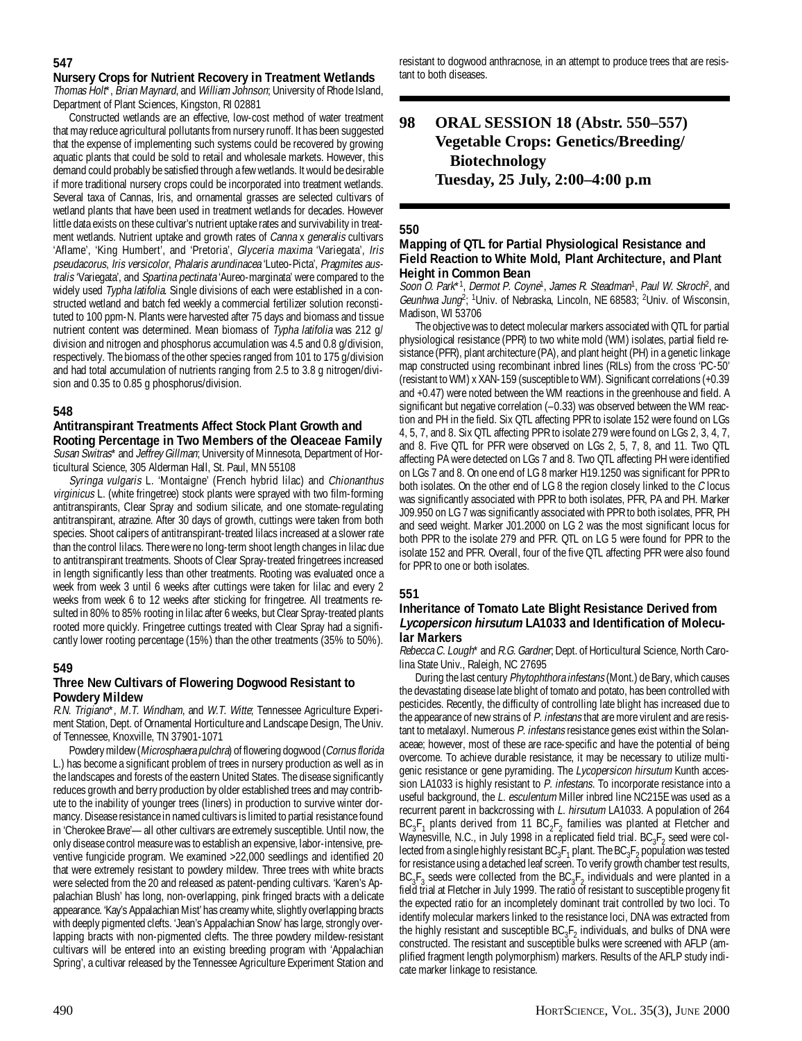**Nursery Crops for Nutrient Recovery in Treatment Wetlands** Thomas Holt\*, Brian Maynard, and William Johnson; University of Rhode Island, Department of Plant Sciences, Kingston, RI 02881

Constructed wetlands are an effective, low-cost method of water treatment that may reduce agricultural pollutants from nursery runoff. It has been suggested that the expense of implementing such systems could be recovered by growing aquatic plants that could be sold to retail and wholesale markets. However, this demand could probably be satisfied through a few wetlands. It would be desirable if more traditional nursery crops could be incorporated into treatment wetlands. Several taxa of Cannas, Iris, and ornamental grasses are selected cultivars of wetland plants that have been used in treatment wetlands for decades. However little data exists on these cultivar's nutrient uptake rates and survivability in treatment wetlands. Nutrient uptake and growth rates of Canna x generalis cultivars 'Aflame', 'King Humbert', and 'Pretoria', Glyceria maxima 'Variegata', Iris pseudacorus, Iris versicolor, Phalaris arundinacea 'Luteo-Picta', Pragmites australis 'Variegata', and Spartina pectinata 'Aureo-marginata' were compared to the widely used Typha latifolia. Single divisions of each were established in a constructed wetland and batch fed weekly a commercial fertilizer solution reconstituted to 100 ppm-N. Plants were harvested after 75 days and biomass and tissue nutrient content was determined. Mean biomass of Typha latifolia was 212 g/ division and nitrogen and phosphorus accumulation was 4.5 and 0.8 g/division, respectively. The biomass of the other species ranged from 101 to 175 g/division and had total accumulation of nutrients ranging from 2.5 to 3.8 g nitrogen/division and 0.35 to 0.85 g phosphorus/division.

# **548**

**Antitranspirant Treatments Affect Stock Plant Growth and Rooting Percentage in Two Members of the Oleaceae Family** Susan Switras\* and Jeffrey Gillman; University of Minnesota, Department of Horticultural Science, 305 Alderman Hall, St. Paul, MN 55108

Syringa vulgaris L. 'Montaigne' (French hybrid lilac) and Chionanthus virginicus L. (white fringetree) stock plants were sprayed with two film-forming antitranspirants, Clear Spray and sodium silicate, and one stomate-regulating antitranspirant, atrazine. After 30 days of growth, cuttings were taken from both species. Shoot calipers of antitranspirant-treated lilacs increased at a slower rate than the control lilacs. There were no long-term shoot length changes in lilac due to antitranspirant treatments. Shoots of Clear Spray-treated fringetrees increased in length significantly less than other treatments. Rooting was evaluated once a week from week 3 until 6 weeks after cuttings were taken for lilac and every 2 weeks from week 6 to 12 weeks after sticking for fringetree. All treatments resulted in 80% to 85% rooting in lilac after 6 weeks, but Clear Spray-treated plants rooted more quickly. Fringetree cuttings treated with Clear Spray had a significantly lower rooting percentage (15%) than the other treatments (35% to 50%).

# **549**

# **Three New Cultivars of Flowering Dogwood Resistant to Powdery Mildew**

R.N. Trigiano\*, M.T. Windham, and W.T. Witte; Tennessee Agriculture Experiment Station, Dept. of Ornamental Horticulture and Landscape Design, The Univ. of Tennessee, Knoxville, TN 37901-1071

Powdery mildew (Microsphaera pulchra) of flowering dogwood (Cornus florida L.) has become a significant problem of trees in nursery production as well as in the landscapes and forests of the eastern United States. The disease significantly reduces growth and berry production by older established trees and may contribute to the inability of younger trees (liners) in production to survive winter dormancy. Disease resistance in named cultivars is limited to partial resistance found in 'Cherokee Brave'—all other cultivars are extremely susceptible. Until now, the only disease control measure was to establish an expensive, labor-intensive, preventive fungicide program. We examined >22,000 seedlings and identified 20 that were extremely resistant to powdery mildew. Three trees with white bracts were selected from the 20 and released as patent-pending cultivars. 'Karen's Appalachian Blush' has long, non-overlapping, pink fringed bracts with a delicate appearance. 'Kay's Appalachian Mist' has creamy white, slightly overlapping bracts with deeply pigmented clefts. 'Jean's Appalachian Snow' has large, strongly overlapping bracts with non-pigmented clefts. The three powdery mildew-resistant cultivars will be entered into an existing breeding program with 'Appalachian Spring', a cultivar released by the Tennessee Agriculture Experiment Station and

resistant to dogwood anthracnose, in an attempt to produce trees that are resistant to both diseases.

# **98 ORAL SESSION 18 (Abstr. 550–557) Vegetable Crops: Genetics/Breeding/ Biotechnology Tuesday, 25 July, 2:00–4:00 p.m**

# **550**

# **Mapping of QTL for Partial Physiological Resistance and Field Reaction to White Mold, Plant Architecture, and Plant Height in Common Bean**

Soon O. Park\*1, Dermot P. Coyne<sup>1</sup>, James R. Steadman<sup>1</sup>, Paul W. Skroch<sup>2</sup>, and Geunhwa Jung<sup>2</sup>; <sup>1</sup>Univ. of Nebraska, Lincoln, NE 68583; <sup>2</sup>Univ. of Wisconsin, Madison, WI 53706

The objective was to detect molecular markers associated with QTL for partial physiological resistance (PPR) to two white mold (WM) isolates, partial field resistance (PFR), plant architecture (PA), and plant height (PH) in a genetic linkage map constructed using recombinant inbred lines (RILs) from the cross 'PC-50' (resistant to WM) x XAN-159 (susceptible to WM). Significant correlations (+0.39 and +0.47) were noted between the WM reactions in the greenhouse and field. A significant but negative correlation (–0.33) was observed between the WM reaction and PH in the field. Six QTL affecting PPR to isolate 152 were found on LGs 4, 5, 7, and 8. Six QTL affecting PPR to isolate 279 were found on LGs 2, 3, 4, 7, and 8. Five QTL for PFR were observed on LGs 2, 5, 7, 8, and 11. Two QTL affecting PA were detected on LGs 7 and 8. Two QTL affecting PH were identified on LGs 7 and 8. On one end of LG 8 marker H19.1250 was significant for PPR to both isolates. On the other end of LG 8 the region closely linked to the C locus was significantly associated with PPR to both isolates, PFR, PA and PH. Marker J09.950 on LG 7 was significantly associated with PPR to both isolates, PFR, PH and seed weight. Marker J01.2000 on LG 2 was the most significant locus for both PPR to the isolate 279 and PFR. QTL on LG 5 were found for PPR to the isolate 152 and PFR. Overall, four of the five QTL affecting PFR were also found for PPR to one or both isolates.

#### **551**

# **Inheritance of Tomato Late Blight Resistance Derived from Lycopersicon hirsutum LA1033 and Identification of Molecular Markers**

Rebecca C. Lough\* and R.G. Gardner; Dept. of Horticultural Science, North Carolina State Univ., Raleigh, NC 27695

During the last century Phytophthora infestans (Mont.) de Bary, which causes the devastating disease late blight of tomato and potato, has been controlled with pesticides. Recently, the difficulty of controlling late blight has increased due to the appearance of new strains of P. infestans that are more virulent and are resistant to metalaxyl. Numerous P. infestans resistance genes exist within the Solanaceae; however, most of these are race-specific and have the potential of being overcome. To achieve durable resistance, it may be necessary to utilize multigenic resistance or gene pyramiding. The Lycopersicon hirsutum Kunth accession LA1033 is highly resistant to P. infestans. To incorporate resistance into a useful background, the L. esculentum Miller inbred line NC215E was used as a recurrent parent in backcrossing with L. hirsutum LA1033. A population of 264  $BC_3F_1$  plants derived from 11  $BC_2F_2$  families was planted at Fletcher and Waynesville, N.C., in July 1998 in a replicated field trial.  $BC_3F_2$  seed were collected from a single highly resistant BC<sub>3</sub>F<sub>1</sub> plant. The BC<sub>3</sub>F<sub>2</sub> population was tested for resistance using a detached leaf screen. To verify growth chamber test results,  $BC_3F_3$  seeds were collected from the  $BC_3F_2$  individuals and were planted in a field trial at Fletcher in July 1999. The ratio of resistant to susceptible progeny fit the expected ratio for an incompletely dominant trait controlled by two loci. To identify molecular markers linked to the resistance loci, DNA was extracted from the highly resistant and susceptible  $BC_3F_2$  individuals, and bulks of DNA were constructed. The resistant and susceptible bulks were screened with AFLP (amplified fragment length polymorphism) markers. Results of the AFLP study indicate marker linkage to resistance.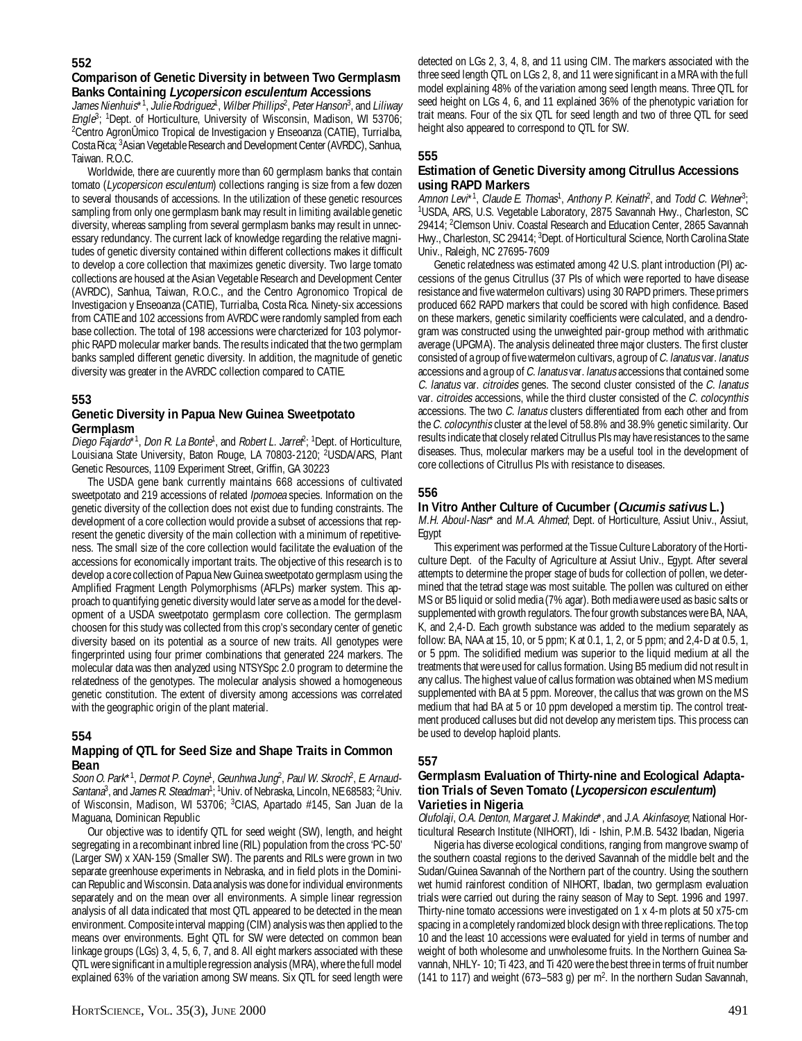# **Comparison of Genetic Diversity in between Two Germplasm Banks Containing Lycopersicon esculentum Accessions**

James Nienhuis\*1, Julie Rodriguez1, Wilber Phillips<sup>2</sup>, Peter Hanson<sup>3</sup>, and Liliway Engle<sup>3</sup>; <sup>1</sup>Dept. of Horticulture, University of Wisconsin, Madison, WI 53706; 2 Centro AgronÛmico Tropical de Investigacion y Enseoanza (CATIE), Turrialba, Costa Rica; <sup>3</sup>Asian Vegetable Research and Development Center (AVRDC), Sanhua, Taiwan. R.O.C.

Worldwide, there are cuurently more than 60 germplasm banks that contain tomato (Lycopersicon esculentum) collections ranging is size from a few dozen to several thousands of accessions. In the utilization of these genetic resources sampling from only one germplasm bank may result in limiting available genetic diversity, whereas sampling from several germplasm banks may result in unnecessary redundancy. The current lack of knowledge regarding the relative magnitudes of genetic diversity contained within different collections makes it difficult to develop a core collection that maximizes genetic diversity. Two large tomato collections are housed at the Asian Vegetable Research and Development Center (AVRDC), Sanhua, Taiwan, R.O.C., and the Centro Agronomico Tropical de Investigacion y Enseoanza (CATIE), Turrialba, Costa Rica. Ninety-six accessions from CATIE and 102 accessions from AVRDC were randomly sampled from each base collection. The total of 198 accessions were charcterized for 103 polymorphic RAPD molecular marker bands. The results indicated that the two germplam banks sampled different genetic diversity. In addition, the magnitude of genetic diversity was greater in the AVRDC collection compared to CATIE.

# **553**

### **Genetic Diversity in Papua New Guinea Sweetpotato Germplasm**

Diego Fajardo\*<sup>1</sup>, Don R. La Bonte<sup>1</sup>, and Robert L. Jarrel<sup>p</sup>; <sup>1</sup>Dept. of Horticulture, Louisiana State University, Baton Rouge, LA 70803-2120; <sup>2</sup>USDA/ARS, Plant Genetic Resources, 1109 Experiment Street, Griffin, GA 30223

The USDA gene bank currently maintains 668 accessions of cultivated sweetpotato and 219 accessions of related *Ipomoea* species. Information on the genetic diversity of the collection does not exist due to funding constraints. The development of a core collection would provide a subset of accessions that represent the genetic diversity of the main collection with a minimum of repetitiveness. The small size of the core collection would facilitate the evaluation of the accessions for economically important traits. The objective of this research is to develop a core collection of Papua New Guinea sweetpotato germplasm using the Amplified Fragment Length Polymorphisms (AFLPs) marker system. This approach to quantifying genetic diversity would later serve as a model for the development of a USDA sweetpotato germplasm core collection. The germplasm choosen for this study was collected from this crop's secondary center of genetic diversity based on its potential as a source of new traits. All genotypes were fingerprinted using four primer combinations that generated 224 markers. The molecular data was then analyzed using NTSYSpc 2.0 program to determine the relatedness of the genotypes. The molecular analysis showed a homogeneous genetic constitution. The extent of diversity among accessions was correlated with the geographic origin of the plant material.

#### **554**

#### **Mapping of QTL for Seed Size and Shape Traits in Common Bean**

Soon O. Park\*1, Dermot P. Coyne<sup>1</sup>, Geunhwa Jung<sup>2</sup>, Paul W. Skroch<sup>2</sup>, E. Arnaud-Santana<sup>3</sup>, and James R. Steadman<sup>1</sup>; <sup>1</sup>Univ. of Nebraska, Lincoln, NE 68583; <sup>2</sup>Univ. of Wisconsin, Madison, WI 53706; <sup>3</sup>CIAS, Apartado #145, San Juan de la Maguana, Dominican Republic

Our objective was to identify QTL for seed weight (SW), length, and height segregating in a recombinant inbred line (RIL) population from the cross 'PC-50' (Larger SW) x XAN-159 (Smaller SW). The parents and RILs were grown in two separate greenhouse experiments in Nebraska, and in field plots in the Dominican Republic and Wisconsin. Data analysis was done for individual environments separately and on the mean over all environments. A simple linear regression analysis of all data indicated that most QTL appeared to be detected in the mean environment. Composite interval mapping (CIM) analysis was then applied to the means over environments. Eight QTL for SW were detected on common bean linkage groups (LGs) 3, 4, 5, 6, 7, and 8. All eight markers associated with these QTL were significant in a multiple regression analysis (MRA), where the full model explained 63% of the variation among SW means. Six QTL for seed length were

detected on LGs 2, 3, 4, 8, and 11 using CIM. The markers associated with the three seed length QTL on LGs 2, 8, and 11 were significant in a MRA with the full model explaining 48% of the variation among seed length means. Three QTL for seed height on LGs 4, 6, and 11 explained 36% of the phenotypic variation for trait means. Four of the six QTL for seed length and two of three QTL for seed height also appeared to correspond to QTL for SW.

# **555**

# **Estimation of Genetic Diversity among Citrullus Accessions using RAPD Markers**

Amnon Levi\*1, Claude E. Thomas<sup>1</sup>, Anthony P. Keinath<sup>2</sup>, and Todd C. Wehner<sup>3</sup>; 1 USDA, ARS, U.S. Vegetable Laboratory, 2875 Savannah Hwy., Charleston, SC 29414; 2 Clemson Univ. Coastal Research and Education Center, 2865 Savannah Hwy., Charleston, SC 29414; <sup>3</sup>Dept. of Horticultural Science, North Carolina State Univ., Raleigh, NC 27695-7609

Genetic relatedness was estimated among 42 U.S. plant introduction (PI) accessions of the genus Citrullus (37 PIs of which were reported to have disease resistance and five watermelon cultivars) using 30 RAPD primers. These primers produced 662 RAPD markers that could be scored with high confidence. Based on these markers, genetic similarity coefficients were calculated, and a dendrogram was constructed using the unweighted pair-group method with arithmatic average (UPGMA). The analysis delineated three major clusters. The first cluster consisted of a group of five watermelon cultivars, a group of C. lanatus var. lanatus accessions and a group of C. lanatus var. lanatus accessions that contained some C. lanatus var. citroides genes. The second cluster consisted of the C. lanatus var. citroides accessions, while the third cluster consisted of the C. colocynthis accessions. The two C. lanatus clusters differentiated from each other and from the C. colocynthis cluster at the level of 58.8% and 38.9% genetic similarity. Our results indicate that closely related Citrullus PIs may have resistances to the same diseases. Thus, molecular markers may be a useful tool in the development of core collections of Citrullus PIs with resistance to diseases.

# **556**

#### **In Vitro Anther Culture of Cucumber (Cucumis sativus L.)**

M.H. Aboul-Nasr\* and M.A. Ahmed; Dept. of Horticulture, Assiut Univ., Assiut, Egypt

This experiment was performed at the Tissue Culture Laboratory of the Horticulture Dept. of the Faculty of Agriculture at Assiut Univ., Egypt. After several attempts to determine the proper stage of buds for collection of pollen, we determined that the tetrad stage was most suitable. The pollen was cultured on either MS or B5 liquid or solid media (7% agar). Both media were used as basic salts or supplemented with growth regulators. The four growth substances were BA, NAA, K, and 2,4-D. Each growth substance was added to the medium separately as follow: BA, NAA at 15, 10, or 5 ppm; K at 0.1, 1, 2, or 5 ppm; and 2,4-D at 0.5, 1, or 5 ppm. The solidified medium was superior to the liquid medium at all the treatments that were used for callus formation. Using B5 medium did not result in any callus. The highest value of callus formation was obtained when MS medium supplemented with BA at 5 ppm. Moreover, the callus that was grown on the MS medium that had BA at 5 or 10 ppm developed a merstim tip. The control treatment produced calluses but did not develop any meristem tips. This process can be used to develop haploid plants.

# **557**

#### **Germplasm Evaluation of Thirty-nine and Ecological Adaptation Trials of Seven Tomato (Lycopersicon esculentum) Varieties in Nigeria**

Olufolaji, O.A. Denton, Margaret J. Makinde\*, and J.A. Akinfasoye; National Horticultural Research Institute (NIHORT), Idi - Ishin, P.M.B. 5432 Ibadan, Nigeria

Nigeria has diverse ecological conditions, ranging from mangrove swamp of the southern coastal regions to the derived Savannah of the middle belt and the Sudan/Guinea Savannah of the Northern part of the country. Using the southern wet humid rainforest condition of NIHORT, Ibadan, two germplasm evaluation trials were carried out during the rainy season of May to Sept. 1996 and 1997. Thirty-nine tomato accessions were investigated on 1 x 4-m plots at 50 x75-cm spacing in a completely randomized block design with three replications. The top 10 and the least 10 accessions were evaluated for yield in terms of number and weight of both wholesome and unwholesome fruits. In the Northern Guinea Savannah, NHLY- 10; Ti 423, and Ti 420 were the best three in terms of fruit number (141 to 117) and weight (673–583 g) per  $m^2$ . In the northern Sudan Savannah,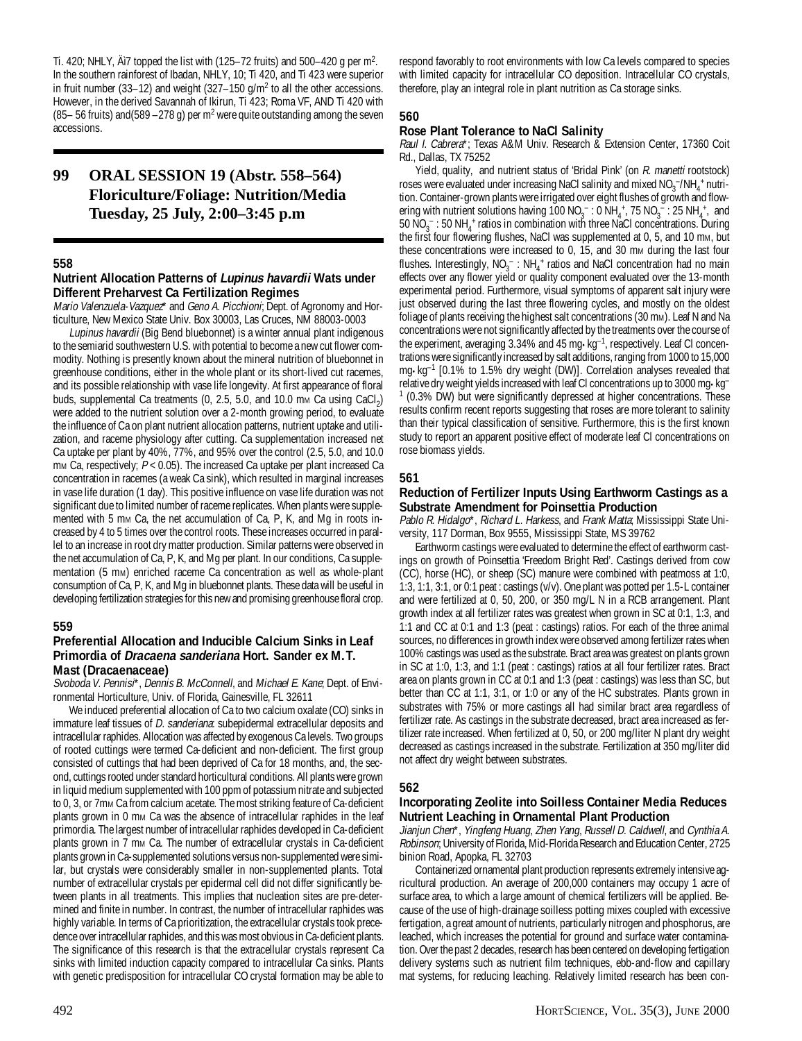Ti. 420; NHLY,  $\text{Ai7}$  topped the list with (125–72 fruits) and 500–420 g per m<sup>2</sup>. In the southern rainforest of Ibadan, NHLY, 10; Ti 420, and Ti 423 were superior in fruit number (33–12) and weight (327–150  $g/m^2$  to all the other accessions. However, in the derived Savannah of Ikirun, Ti 423; Roma VF, AND Ti 420 with (85 – 56 fruits) and (589 – 278 g) per m<sup>2</sup> were quite outstanding among the seven accessions.

# **99 ORAL SESSION 19 (Abstr. 558–564) Floriculture/Foliage: Nutrition/Media Tuesday, 25 July, 2:00–3:45 p.m**

#### **558**

#### **Nutrient Allocation Patterns of Lupinus havardii Wats under Different Preharvest Ca Fertilization Regimes**

Mario Valenzuela-Vazquez\* and Geno A. Picchioni; Dept. of Agronomy and Horticulture, New Mexico State Univ. Box 30003, Las Cruces, NM 88003-0003

Lupinus havardii (Big Bend bluebonnet) is a winter annual plant indigenous to the semiarid southwestern U.S. with potential to become a new cut flower commodity. Nothing is presently known about the mineral nutrition of bluebonnet in greenhouse conditions, either in the whole plant or its short-lived cut racemes, and its possible relationship with vase life longevity. At first appearance of floral buds, supplemental Ca treatments (0, 2.5, 5.0, and 10.0 mm Ca using  $CaCl<sub>2</sub>$ ) were added to the nutrient solution over a 2-month growing period, to evaluate the influence of Ca on plant nutrient allocation patterns, nutrient uptake and utilization, and raceme physiology after cutting. Ca supplementation increased net Ca uptake per plant by 40%, 77%, and 95% over the control (2.5, 5.0, and 10.0 mm Ca, respectively;  $P < 0.05$ ). The increased Ca uptake per plant increased Ca concentration in racemes (a weak Ca sink), which resulted in marginal increases in vase life duration (1 day). This positive influence on vase life duration was not significant due to limited number of raceme replicates. When plants were supplemented with 5 mm Ca, the net accumulation of Ca, P, K, and Mg in roots increased by 4 to 5 times over the control roots. These increases occurred in parallel to an increase in root dry matter production. Similar patterns were observed in the net accumulation of Ca, P, K, and Mg per plant. In our conditions, Ca supplementation (5 mm) enriched raceme Ca concentration as well as whole-plant consumption of Ca, P, K, and Mg in bluebonnet plants. These data will be useful in developing fertilization strategies for this new and promising greenhouse floral crop.

#### **559**

#### **Preferential Allocation and Inducible Calcium Sinks in Leaf Primordia of Dracaena sanderiana Hort. Sander ex M.T. Mast (Dracaenaceae)**

Svoboda V. Pennisi\*, Dennis B. McConnell, and Michael E. Kane; Dept. of Environmental Horticulture, Univ. of Florida, Gainesville, FL 32611

We induced preferential allocation of Ca to two calcium oxalate (CO) sinks in immature leaf tissues of *D. sanderiana*: subepidermal extracellular deposits and intracellular raphides. Allocation was affected by exogenous Ca levels. Two groups of rooted cuttings were termed Ca-deficient and non-deficient. The first group consisted of cuttings that had been deprived of Ca for 18 months, and, the second, cuttings rooted under standard horticultural conditions. All plants were grown in liquid medium supplemented with 100 ppm of potassium nitrate and subjected to 0, 3, or 7mm Ca from calcium acetate. The most striking feature of Ca-deficient plants grown in 0 mm Ca was the absence of intracellular raphides in the leaf primordia. The largest number of intracellular raphides developed in Ca-deficient plants grown in 7 mm Ca. The number of extracellular crystals in Ca-deficient plants grown in Ca-supplemented solutions versus non-supplemented were similar, but crystals were considerably smaller in non-supplemented plants. Total number of extracellular crystals per epidermal cell did not differ significantly between plants in all treatments. This implies that nucleation sites are pre-determined and finite in number. In contrast, the number of intracellular raphides was highly variable. In terms of Ca prioritization, the extracellular crystals took precedence over intracellular raphides, and this was most obvious in Ca-deficient plants. The significance of this research is that the extracellular crystals represent Ca sinks with limited induction capacity compared to intracellular Ca sinks. Plants with genetic predisposition for intracellular CO crystal formation may be able to respond favorably to root environments with low Ca levels compared to species with limited capacity for intracellular CO deposition. Intracellular CO crystals, therefore, play an integral role in plant nutrition as Ca storage sinks.

# **560**

# **Rose Plant Tolerance to NaCl Salinity**

Raul I. Cabrera\*; Texas A&M Univ. Research & Extension Center, 17360 Coit Rd., Dallas, TX 75252

Yield, quality, and nutrient status of 'Bridal Pink' (on R. manetti rootstock) roses were evaluated under increasing NaCl salinity and mixed  $NO_3^-/NH_4^+$  nutrition. Container-grown plants were irrigated over eight flushes of growth and flowering with nutrient solutions having  $100\ NO_3^-$ :  $0\ NH_4^+$ ,  $75\ NO_3^-$ :  $25\ NH_4^+$ , and  $50 \text{ NO}_3^-$ : 50 NH<sub>4</sub><sup>+</sup> ratios in combination with three NaCl concentrations. During the first four flowering flushes, NaCl was supplemented at 0, 5, and 10 mm, but these concentrations were increased to 0, 15, and 30 mm during the last four flushes. Interestingly,  $NO_3^-$ :  $NH_4^+$  ratios and NaCl concentration had no main effects over any flower yield or quality component evaluated over the 13-month experimental period. Furthermore, visual symptoms of apparent salt injury were just observed during the last three flowering cycles, and mostly on the oldest foliage of plants receiving the highest salt concentrations (30 mm). Leaf N and Na concentrations were not significantly affected by the treatments over the course of the experiment, averaging 3.34% and 45 mg•kg–1, respectively. Leaf Cl concentrations were significantly increased by salt additions, ranging from 1000 to 15,000 mg•kg–1 [0.1% to 1.5% dry weight (DW)]. Correlation analyses revealed that relative dry weight yields increased with leaf Cl concentrations up to 3000 mg•kg– <sup>1</sup> (0.3% DW) but were significantly depressed at higher concentrations. These results confirm recent reports suggesting that roses are more tolerant to salinity than their typical classification of sensitive. Furthermore, this is the first known study to report an apparent positive effect of moderate leaf Cl concentrations on rose biomass yields.

# **561**

#### **Reduction of Fertilizer Inputs Using Earthworm Castings as a Substrate Amendment for Poinsettia Production**

Pablo R. Hidalgo\*, Richard L. Harkess, and Frank Matta; Mississippi State University, 117 Dorman, Box 9555, Mississippi State, MS 39762

Earthworm castings were evaluated to determine the effect of earthworm castings on growth of Poinsettia 'Freedom Bright Red'. Castings derived from cow (CC), horse (HC), or sheep (SC) manure were combined with peatmoss at 1:0, 1:3, 1:1, 3:1, or 0:1 peat : castings (v/v). One plant was potted per 1.5-L container and were fertilized at 0, 50, 200, or 350 mg/L N in a RCB arrangement. Plant growth index at all fertilizer rates was greatest when grown in SC at 0:1, 1:3, and 1:1 and CC at 0:1 and 1:3 (peat : castings) ratios. For each of the three animal sources, no differences in growth index were observed among fertilizer rates when 100% castings was used as the substrate. Bract area was greatest on plants grown in SC at 1:0, 1:3, and 1:1 (peat : castings) ratios at all four fertilizer rates. Bract area on plants grown in CC at 0:1 and 1:3 (peat : castings) was less than SC, but better than CC at 1:1, 3:1, or 1:0 or any of the HC substrates. Plants grown in substrates with 75% or more castings all had similar bract area regardless of fertilizer rate. As castings in the substrate decreased, bract area increased as fertilizer rate increased. When fertilized at 0, 50, or 200 mg/liter N plant dry weight decreased as castings increased in the substrate. Fertilization at 350 mg/liter did not affect dry weight between substrates.

# **562**

# **Incorporating Zeolite into Soilless Container Media Reduces Nutrient Leaching in Ornamental Plant Production**

Jianjun Chen\*, Yingfeng Huang, Zhen Yang, Russell D. Caldwell, and Cynthia A. Robinson; University of Florida, Mid-Florida Research and Education Center, 2725 binion Road, Apopka, FL 32703

Containerized ornamental plant production represents extremely intensive agricultural production. An average of 200,000 containers may occupy 1 acre of surface area, to which a large amount of chemical fertilizers will be applied. Because of the use of high-drainage soilless potting mixes coupled with excessive fertigation, a great amount of nutrients, particularly nitrogen and phosphorus, are leached, which increases the potential for ground and surface water contamination. Over the past 2 decades, research has been centered on developing fertigation delivery systems such as nutrient film techniques, ebb-and-flow and capillary mat systems, for reducing leaching. Relatively limited research has been con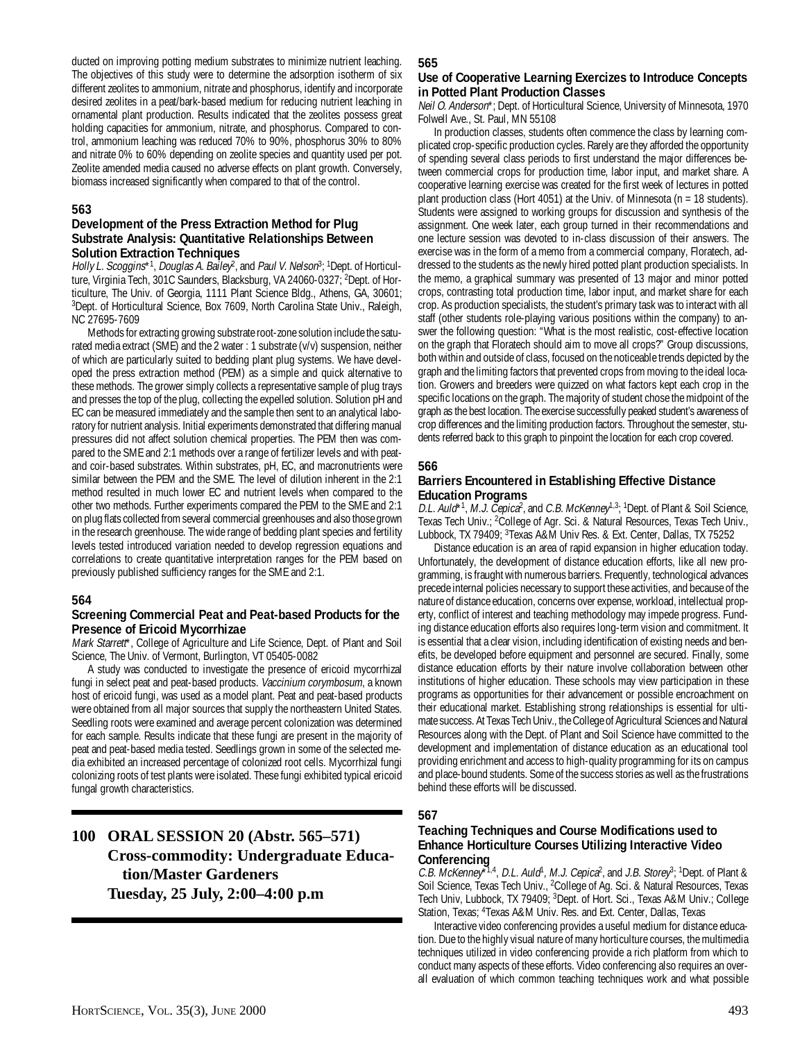ducted on improving potting medium substrates to minimize nutrient leaching. The objectives of this study were to determine the adsorption isotherm of six different zeolites to ammonium, nitrate and phosphorus, identify and incorporate desired zeolites in a peat/bark-based medium for reducing nutrient leaching in ornamental plant production. Results indicated that the zeolites possess great holding capacities for ammonium, nitrate, and phosphorus. Compared to control, ammonium leaching was reduced 70% to 90%, phosphorus 30% to 80% and nitrate 0% to 60% depending on zeolite species and quantity used per pot. Zeolite amended media caused no adverse effects on plant growth. Conversely, biomass increased significantly when compared to that of the control.

### **563**

#### **Development of the Press Extraction Method for Plug Substrate Analysis: Quantitative Relationships Between Solution Extraction Techniques**

Holly L. Scoggins\*<sup>1</sup>, Douglas A. Bailey<sup>2</sup>, and Paul V. Nelson<sup>3</sup>; <sup>1</sup>Dept. of Horticulture, Virginia Tech, 301C Saunders, Blacksburg, VA 24060-0327; <sup>2</sup>Dept. of Horticulture, The Univ. of Georgia, 1111 Plant Science Bldg., Athens, GA, 30601; <sup>3</sup>Dept. of Horticultural Science, Box 7609, North Carolina State Univ., Raleigh, NC 27695-7609

Methods for extracting growing substrate root-zone solution include the saturated media extract (SME) and the 2 water : 1 substrate (v/v) suspension, neither of which are particularly suited to bedding plant plug systems. We have developed the press extraction method (PEM) as a simple and quick alternative to these methods. The grower simply collects a representative sample of plug trays and presses the top of the plug, collecting the expelled solution. Solution pH and EC can be measured immediately and the sample then sent to an analytical laboratory for nutrient analysis. Initial experiments demonstrated that differing manual pressures did not affect solution chemical properties. The PEM then was compared to the SME and 2:1 methods over a range of fertilizer levels and with peatand coir-based substrates. Within substrates, pH, EC, and macronutrients were similar between the PEM and the SME. The level of dilution inherent in the 2:1 method resulted in much lower EC and nutrient levels when compared to the other two methods. Further experiments compared the PEM to the SME and 2:1 on plug flats collected from several commercial greenhouses and also those grown in the research greenhouse. The wide range of bedding plant species and fertility levels tested introduced variation needed to develop regression equations and correlations to create quantitative interpretation ranges for the PEM based on previously published sufficiency ranges for the SME and 2:1.

#### **564**

# **Screening Commercial Peat and Peat-based Products for the Presence of Ericoid Mycorrhizae**

Mark Starrett\*, College of Agriculture and Life Science, Dept. of Plant and Soil Science, The Univ. of Vermont, Burlington, VT 05405-0082

A study was conducted to investigate the presence of ericoid mycorrhizal fungi in select peat and peat-based products. Vaccinium corymbosum, a known host of ericoid fungi, was used as a model plant. Peat and peat-based products were obtained from all major sources that supply the northeastern United States. Seedling roots were examined and average percent colonization was determined for each sample. Results indicate that these fungi are present in the majority of peat and peat-based media tested. Seedlings grown in some of the selected media exhibited an increased percentage of colonized root cells. Mycorrhizal fungi colonizing roots of test plants were isolated. These fungi exhibited typical ericoid fungal growth characteristics.

# **100 ORAL SESSION 20 (Abstr. 565–571) Cross-commodity: Undergraduate Education/Master Gardeners Tuesday, 25 July, 2:00–4:00 p.m**

#### **565**

#### **Use of Cooperative Learning Exercizes to Introduce Concepts in Potted Plant Production Classes**

Neil O. Anderson\*; Dept. of Horticultural Science, University of Minnesota, 1970 Folwell Ave., St. Paul, MN 55108

In production classes, students often commence the class by learning complicated crop-specific production cycles. Rarely are they afforded the opportunity of spending several class periods to first understand the major differences between commercial crops for production time, labor input, and market share. A cooperative learning exercise was created for the first week of lectures in potted plant production class (Hort 4051) at the Univ. of Minnesota (n = 18 students). Students were assigned to working groups for discussion and synthesis of the assignment. One week later, each group turned in their recommendations and one lecture session was devoted to in-class discussion of their answers. The exercise was in the form of a memo from a commercial company, Floratech, addressed to the students as the newly hired potted plant production specialists. In the memo, a graphical summary was presented of 13 major and minor potted crops, contrasting total production time, labor input, and market share for each crop. As production specialists, the student's primary task was to interact with all staff (other students role-playing various positions within the company) to answer the following question: "What is the most realistic, cost-effective location on the graph that Floratech should aim to move all crops?" Group discussions, both within and outside of class, focused on the noticeable trends depicted by the graph and the limiting factors that prevented crops from moving to the ideal location. Growers and breeders were quizzed on what factors kept each crop in the specific locations on the graph. The majority of student chose the midpoint of the graph as the best location. The exercise successfully peaked student's awareness of crop differences and the limiting production factors. Throughout the semester, students referred back to this graph to pinpoint the location for each crop covered.

#### **566**

#### **Barriers Encountered in Establishing Effective Distance Education Programs**

D.L. Auld\*<sup>1</sup>, M.J. C̃epica<sup>2</sup>, and C.B. McKenney<sup>1,3, 1</sup>Dept. of Plant & Soil Science, Texas Tech Univ.; <sup>2</sup>College of Agr. Sci. & Natural Resources, Texas Tech Univ., Lubbock, TX 79409; <sup>3</sup>Texas A&M Univ Res. & Ext. Center, Dallas, TX 75252

Distance education is an area of rapid expansion in higher education today. Unfortunately, the development of distance education efforts, like all new programming, is fraught with numerous barriers. Frequently, technological advances precede internal policies necessary to support these activities, and because of the nature of distance education, concerns over expense, workload, intellectual property, conflict of interest and teaching methodology may impede progress. Funding distance education efforts also requires long-term vision and commitment. It is essential that a clear vision, including identification of existing needs and benefits, be developed before equipment and personnel are secured. Finally, some distance education efforts by their nature involve collaboration between other institutions of higher education. These schools may view participation in these programs as opportunities for their advancement or possible encroachment on their educational market. Establishing strong relationships is essential for ultimate success. At Texas Tech Univ., the College of Agricultural Sciences and Natural Resources along with the Dept. of Plant and Soil Science have committed to the development and implementation of distance education as an educational tool providing enrichment and access to high-quality programming for its on campus and place-bound students. Some of the success stories as well as the frustrations behind these efforts will be discussed.

# **567**

# **Teaching Techniques and Course Modifications used to Enhance Horticulture Courses Utilizing Interactive Video Conferencing**

C.B. McKenney<sup> $\bar{X}^{1,4}$ </sup>, D.L. Auld<sup>1</sup>, M.J. Cepica<sup>2</sup>, and J.B. Storey<sup>3</sup>; <sup>1</sup>Dept. of Plant & Soil Science, Texas Tech Univ., <sup>2</sup>College of Ag. Sci. & Natural Resources, Texas Tech Univ, Lubbock, TX 79409; <sup>3</sup>Dept. of Hort. Sci., Texas A&M Univ.; College Station, Texas; <sup>4</sup>Texas A&M Univ. Res. and Ext. Center, Dallas, Texas

Interactive video conferencing provides a useful medium for distance education. Due to the highly visual nature of many horticulture courses, the multimedia techniques utilized in video conferencing provide a rich platform from which to conduct many aspects of these efforts. Video conferencing also requires an overall evaluation of which common teaching techniques work and what possible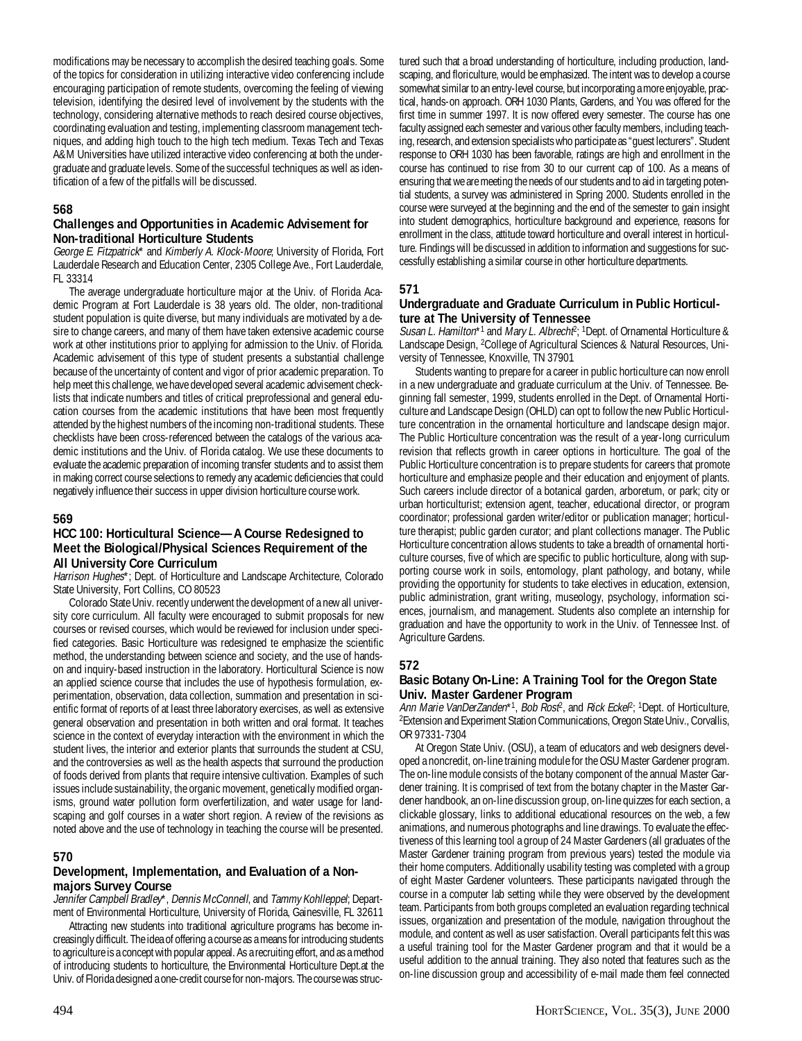modifications may be necessary to accomplish the desired teaching goals. Some of the topics for consideration in utilizing interactive video conferencing include encouraging participation of remote students, overcoming the feeling of viewing television, identifying the desired level of involvement by the students with the technology, considering alternative methods to reach desired course objectives, coordinating evaluation and testing, implementing classroom management techniques, and adding high touch to the high tech medium. Texas Tech and Texas A&M Universities have utilized interactive video conferencing at both the undergraduate and graduate levels. Some of the successful techniques as well as identification of a few of the pitfalls will be discussed.

### **568**

# **Challenges and Opportunities in Academic Advisement for Non-traditional Horticulture Students**

George E. Fitzpatrick\* and Kimberly A. Klock-Moore; University of Florida, Fort Lauderdale Research and Education Center, 2305 College Ave., Fort Lauderdale, FL 33314

The average undergraduate horticulture major at the Univ. of Florida Academic Program at Fort Lauderdale is 38 years old. The older, non-traditional student population is quite diverse, but many individuals are motivated by a desire to change careers, and many of them have taken extensive academic course work at other institutions prior to applying for admission to the Univ. of Florida. Academic advisement of this type of student presents a substantial challenge because of the uncertainty of content and vigor of prior academic preparation. To help meet this challenge, we have developed several academic advisement checklists that indicate numbers and titles of critical preprofessional and general education courses from the academic institutions that have been most frequently attended by the highest numbers of the incoming non-traditional students. These checklists have been cross-referenced between the catalogs of the various academic institutions and the Univ. of Florida catalog. We use these documents to evaluate the academic preparation of incoming transfer students and to assist them in making correct course selections to remedy any academic deficiencies that could negatively influence their success in upper division horticulture course work.

# **569**

#### **HCC 100: Horticultural Science—A Course Redesigned to Meet the Biological/Physical Sciences Requirement of the All University Core Curriculum**

Harrison Hughes\*; Dept. of Horticulture and Landscape Architecture, Colorado State University, Fort Collins, CO 80523

Colorado State Univ. recently underwent the development of a new all university core curriculum. All faculty were encouraged to submit proposals for new courses or revised courses, which would be reviewed for inclusion under specified categories. Basic Horticulture was redesigned te emphasize the scientific method, the understanding between science and society, and the use of handson and inquiry-based instruction in the laboratory. Horticultural Science is now an applied science course that includes the use of hypothesis formulation, experimentation, observation, data collection, summation and presentation in scientific format of reports of at least three laboratory exercises, as well as extensive general observation and presentation in both written and oral format. It teaches science in the context of everyday interaction with the environment in which the student lives, the interior and exterior plants that surrounds the student at CSU, and the controversies as well as the health aspects that surround the production of foods derived from plants that require intensive cultivation. Examples of such issues include sustainability, the organic movement, genetically modified organisms, ground water pollution form overfertilization, and water usage for landscaping and golf courses in a water short region. A review of the revisions as noted above and the use of technology in teaching the course will be presented.

# **570**

# **Development, Implementation, and Evaluation of a Nonmajors Survey Course**

Jennifer Campbell Bradley\*, Dennis McConnell, and Tammy Kohlleppel; Department of Environmental Horticulture, University of Florida, Gainesville, FL 32611

Attracting new students into traditional agriculture programs has become increasingly difficult. The idea of offering a course as a means for introducing students to agriculture is a concept with popular appeal. As a recruiting effort, and as a method of introducing students to horticulture, the Environmental Horticulture Dept.at the Univ. of Florida designed a one-credit course for non-majors. The course was structured such that a broad understanding of horticulture, including production, landscaping, and floriculture, would be emphasized. The intent was to develop a course somewhat similar to an entry-level course, but incorporating a more enjoyable, practical, hands-on approach. ORH 1030 Plants, Gardens, and You was offered for the first time in summer 1997. It is now offered every semester. The course has one faculty assigned each semester and various other faculty members, including teaching, research, and extension specialists who participate as "guest lecturers". Student response to ORH 1030 has been favorable, ratings are high and enrollment in the course has continued to rise from 30 to our current cap of 100. As a means of ensuring that we are meeting the needs of our students and to aid in targeting potential students, a survey was administered in Spring 2000. Students enrolled in the course were surveyed at the beginning and the end of the semester to gain insight into student demographics, horticulture background and experience, reasons for enrollment in the class, attitude toward horticulture and overall interest in horticulture. Findings will be discussed in addition to information and suggestions for successfully establishing a similar course in other horticulture departments.

# **571**

### **Undergraduate and Graduate Curriculum in Public Horticulture at The University of Tennessee**

Susan L. Hamilton\*<sup>1</sup> and Mary L. Albrecht<sup>2</sup>; <sup>1</sup>Dept. of Ornamental Horticulture & Landscape Design, <sup>2</sup>College of Agricultural Sciences & Natural Resources, University of Tennessee, Knoxville, TN 37901

Students wanting to prepare for a career in public horticulture can now enroll in a new undergraduate and graduate curriculum at the Univ. of Tennessee. Beginning fall semester, 1999, students enrolled in the Dept. of Ornamental Horticulture and Landscape Design (OHLD) can opt to follow the new Public Horticulture concentration in the ornamental horticulture and landscape design major. The Public Horticulture concentration was the result of a year-long curriculum revision that reflects growth in career options in horticulture. The goal of the Public Horticulture concentration is to prepare students for careers that promote horticulture and emphasize people and their education and enjoyment of plants. Such careers include director of a botanical garden, arboretum, or park; city or urban horticulturist; extension agent, teacher, educational director, or program coordinator; professional garden writer/editor or publication manager; horticulture therapist; public garden curator; and plant collections manager. The Public Horticulture concentration allows students to take a breadth of ornamental horticulture courses, five of which are specific to public horticulture, along with supporting course work in soils, entomology, plant pathology, and botany, while providing the opportunity for students to take electives in education, extension, public administration, grant writing, museology, psychology, information sciences, journalism, and management. Students also complete an internship for graduation and have the opportunity to work in the Univ. of Tennessee Inst. of Agriculture Gardens.

# **572**

#### **Basic Botany On-Line: A Training Tool for the Oregon State Univ. Master Gardener Program**

Ann Marie VanDerZanden\*1, Bob Rost<sup>2</sup>, and Rick Ecke $P$ ; 1Dept. of Horticulture, <sup>2</sup>Extension and Experiment Station Communications, Oregon State Univ., Corvallis, OR 97331-7304

At Oregon State Univ. (OSU), a team of educators and web designers developed a noncredit, on-line training module for the OSU Master Gardener program. The on-line module consists of the botany component of the annual Master Gardener training. It is comprised of text from the botany chapter in the Master Gardener handbook, an on-line discussion group, on-line quizzes for each section, a clickable glossary, links to additional educational resources on the web, a few animations, and numerous photographs and line drawings. To evaluate the effectiveness of this learning tool a group of 24 Master Gardeners (all graduates of the Master Gardener training program from previous years) tested the module via their home computers. Additionally usability testing was completed with a group of eight Master Gardener volunteers. These participants navigated through the course in a computer lab setting while they were observed by the development team. Participants from both groups completed an evaluation regarding technical issues, organization and presentation of the module, navigation throughout the module, and content as well as user satisfaction. Overall participants felt this was a useful training tool for the Master Gardener program and that it would be a useful addition to the annual training. They also noted that features such as the on-line discussion group and accessibility of e-mail made them feel connected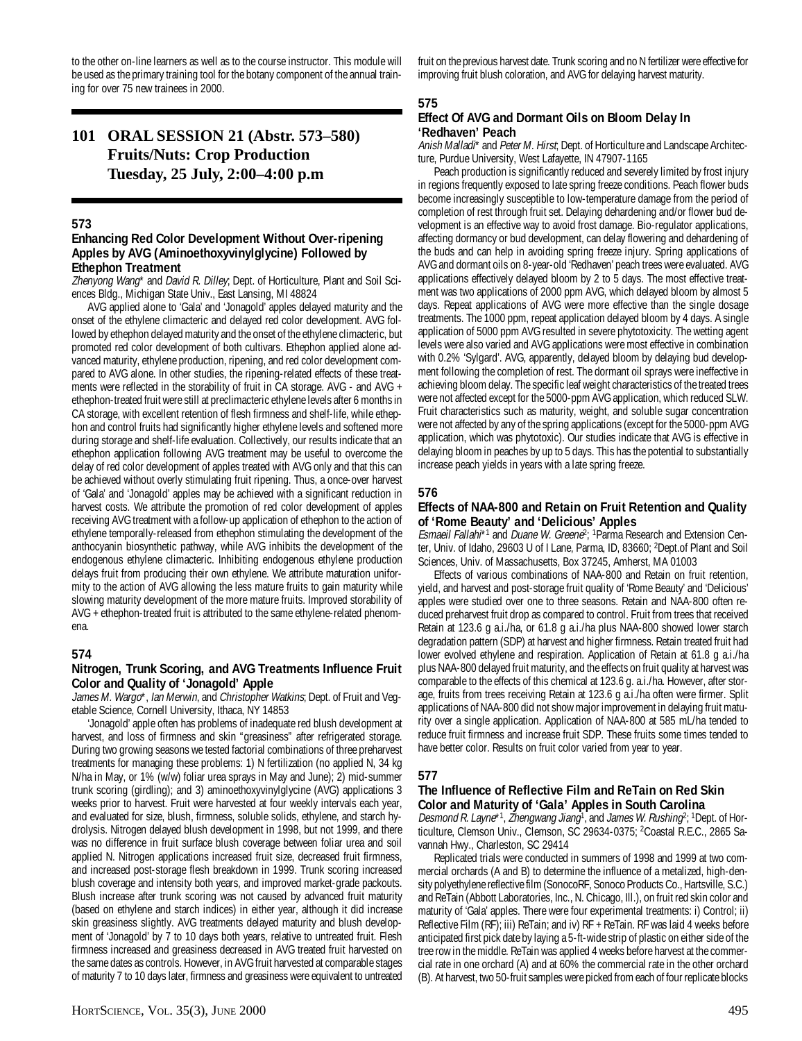to the other on-line learners as well as to the course instructor. This module will be used as the primary training tool for the botany component of the annual training for over 75 new trainees in 2000.

# **101 ORAL SESSION 21 (Abstr. 573–580) Fruits/Nuts: Crop Production Tuesday, 25 July, 2:00–4:00 p.m**

#### **573**

### **Enhancing Red Color Development Without Over-ripening Apples by AVG (Aminoethoxyvinylglycine) Followed by Ethephon Treatment**

Zhenyong Wang\* and David R. Dilley, Dept. of Horticulture, Plant and Soil Sciences Bldg., Michigan State Univ., East Lansing, MI 48824

AVG applied alone to 'Gala' and 'Jonagold' apples delayed maturity and the onset of the ethylene climacteric and delayed red color development. AVG followed by ethephon delayed maturity and the onset of the ethylene climacteric, but promoted red color development of both cultivars. Ethephon applied alone advanced maturity, ethylene production, ripening, and red color development compared to AVG alone. In other studies, the ripening-related effects of these treatments were reflected in the storability of fruit in CA storage. AVG - and AVG + ethephon-treated fruit were still at preclimacteric ethylene levels after 6 months in CA storage, with excellent retention of flesh firmness and shelf-life, while ethephon and control fruits had significantly higher ethylene levels and softened more during storage and shelf-life evaluation. Collectively, our results indicate that an ethephon application following AVG treatment may be useful to overcome the delay of red color development of apples treated with AVG only and that this can be achieved without overly stimulating fruit ripening. Thus, a once-over harvest of 'Gala' and 'Jonagold' apples may be achieved with a significant reduction in harvest costs. We attribute the promotion of red color development of apples receiving AVG treatment with a follow-up application of ethephon to the action of ethylene temporally-released from ethephon stimulating the development of the anthocyanin biosynthetic pathway, while AVG inhibits the development of the endogenous ethylene climacteric. Inhibiting endogenous ethylene production delays fruit from producing their own ethylene. We attribute maturation uniformity to the action of AVG allowing the less mature fruits to gain maturity while slowing maturity development of the more mature fruits. Improved storability of AVG + ethephon-treated fruit is attributed to the same ethylene-related phenomena.

#### **574**

#### **Nitrogen, Trunk Scoring, and AVG Treatments Influence Fruit Color and Quality of 'Jonagold' Apple**

James M. Wargo\*, Ian Merwin, and Christopher Watkins; Dept. of Fruit and Vegetable Science, Cornell University, Ithaca, NY 14853

'Jonagold' apple often has problems of inadequate red blush development at harvest, and loss of firmness and skin "greasiness" after refrigerated storage. During two growing seasons we tested factorial combinations of three preharvest treatments for managing these problems: 1) N fertilization (no applied N, 34 kg N/ha in May, or 1% (w/w) foliar urea sprays in May and June); 2) mid-summer trunk scoring (girdling); and 3) aminoethoxyvinylglycine (AVG) applications 3 weeks prior to harvest. Fruit were harvested at four weekly intervals each year, and evaluated for size, blush, firmness, soluble solids, ethylene, and starch hydrolysis. Nitrogen delayed blush development in 1998, but not 1999, and there was no difference in fruit surface blush coverage between foliar urea and soil applied N. Nitrogen applications increased fruit size, decreased fruit firmness, and increased post-storage flesh breakdown in 1999. Trunk scoring increased blush coverage and intensity both years, and improved market-grade packouts. Blush increase after trunk scoring was not caused by advanced fruit maturity (based on ethylene and starch indices) in either year, although it did increase skin greasiness slightly. AVG treatments delayed maturity and blush development of 'Jonagold' by 7 to 10 days both years, relative to untreated fruit. Flesh firmness increased and greasiness decreased in AVG treated fruit harvested on the same dates as controls. However, in AVG fruit harvested at comparable stages of maturity 7 to 10 days later, firmness and greasiness were equivalent to untreated

fruit on the previous harvest date. Trunk scoring and no N fertilizer were effective for improving fruit blush coloration, and AVG for delaying harvest maturity.

# **575**

# **Effect Of AVG and Dormant Oils on Bloom Delay In 'Redhaven' Peach**

Anish Malladi\* and Peter M. Hirst; Dept. of Horticulture and Landscape Architecture, Purdue University, West Lafayette, IN 47907-1165

Peach production is significantly reduced and severely limited by frost injury in regions frequently exposed to late spring freeze conditions. Peach flower buds become increasingly susceptible to low-temperature damage from the period of completion of rest through fruit set. Delaying dehardening and/or flower bud development is an effective way to avoid frost damage. Bio-regulator applications, affecting dormancy or bud development, can delay flowering and dehardening of the buds and can help in avoiding spring freeze injury. Spring applications of AVG and dormant oils on 8-year-old 'Redhaven' peach trees were evaluated. AVG applications effectively delayed bloom by 2 to 5 days. The most effective treatment was two applications of 2000 ppm AVG, which delayed bloom by almost 5 days. Repeat applications of AVG were more effective than the single dosage treatments. The 1000 ppm, repeat application delayed bloom by 4 days. A single application of 5000 ppm AVG resulted in severe phytotoxicity. The wetting agent levels were also varied and AVG applications were most effective in combination with 0.2% 'Sylgard'. AVG, apparently, delayed bloom by delaying bud development following the completion of rest. The dormant oil sprays were ineffective in achieving bloom delay. The specific leaf weight characteristics of the treated trees were not affected except for the 5000-ppm AVG application, which reduced SLW. Fruit characteristics such as maturity, weight, and soluble sugar concentration were not affected by any of the spring applications (except for the 5000-ppm AVG application, which was phytotoxic). Our studies indicate that AVG is effective in delaying bloom in peaches by up to 5 days. This has the potential to substantially increase peach yields in years with a late spring freeze.

# **576**

#### **Effects of NAA-800 and Retain on Fruit Retention and Quality of 'Rome Beauty' and 'Delicious' Apples**

Esmaeil Fallahi\*<sup>1</sup> and Duane W. Greene<sup>2</sup>; <sup>1</sup> Parma Research and Extension Center, Univ. of Idaho, 29603 U of I Lane, Parma, ID, 83660; <sup>2</sup>Dept.of Plant and Soil Sciences, Univ. of Massachusetts, Box 37245, Amherst, MA 01003

Effects of various combinations of NAA-800 and Retain on fruit retention, yield, and harvest and post-storage fruit quality of 'Rome Beauty' and 'Delicious' apples were studied over one to three seasons. Retain and NAA-800 often reduced preharvest fruit drop as compared to control. Fruit from trees that received Retain at 123.6 g a.i./ha, or 61.8 g a.i./ha plus NAA-800 showed lower starch degradation pattern (SDP) at harvest and higher firmness. Retain treated fruit had lower evolved ethylene and respiration. Application of Retain at 61.8 g a.i./ha plus NAA-800 delayed fruit maturity, and the effects on fruit quality at harvest was comparable to the effects of this chemical at 123.6 g. a.i./ha. However, after storage, fruits from trees receiving Retain at 123.6 g a.i./ha often were firmer. Split applications of NAA-800 did not show major improvement in delaying fruit maturity over a single application. Application of NAA-800 at 585 mL/ha tended to reduce fruit firmness and increase fruit SDP. These fruits some times tended to have better color. Results on fruit color varied from year to year.

# **577**

# **The Influence of Reflective Film and ReTain on Red Skin Color and Maturity of 'Gala' Apples in South Carolina**

Desmond R. Layne\*1, Zhengwang Jiang<sup>1</sup>, and James W. Rushing<sup>2</sup>; <sup>1</sup>Dept. of Horticulture, Clemson Univ., Clemson, SC 29634-0375; 2 Coastal R.E.C., 2865 Savannah Hwy., Charleston, SC 29414

Replicated trials were conducted in summers of 1998 and 1999 at two commercial orchards (A and B) to determine the influence of a metalized, high-density polyethylene reflective film (SonocoRF, Sonoco Products Co., Hartsville, S.C.) and ReTain (Abbott Laboratories, Inc., N. Chicago, Ill.), on fruit red skin color and maturity of 'Gala' apples. There were four experimental treatments: i) Control; ii) Reflective Film (RF); iii) ReTain; and iv) RF + ReTain. RF was laid 4 weeks before anticipated first pick date by laying a 5-ft-wide strip of plastic on either side of the tree row in the middle. ReTain was applied 4 weeks before harvest at the commercial rate in one orchard (A) and at 60% the commercial rate in the other orchard (B). At harvest, two 50-fruit samples were picked from each of four replicate blocks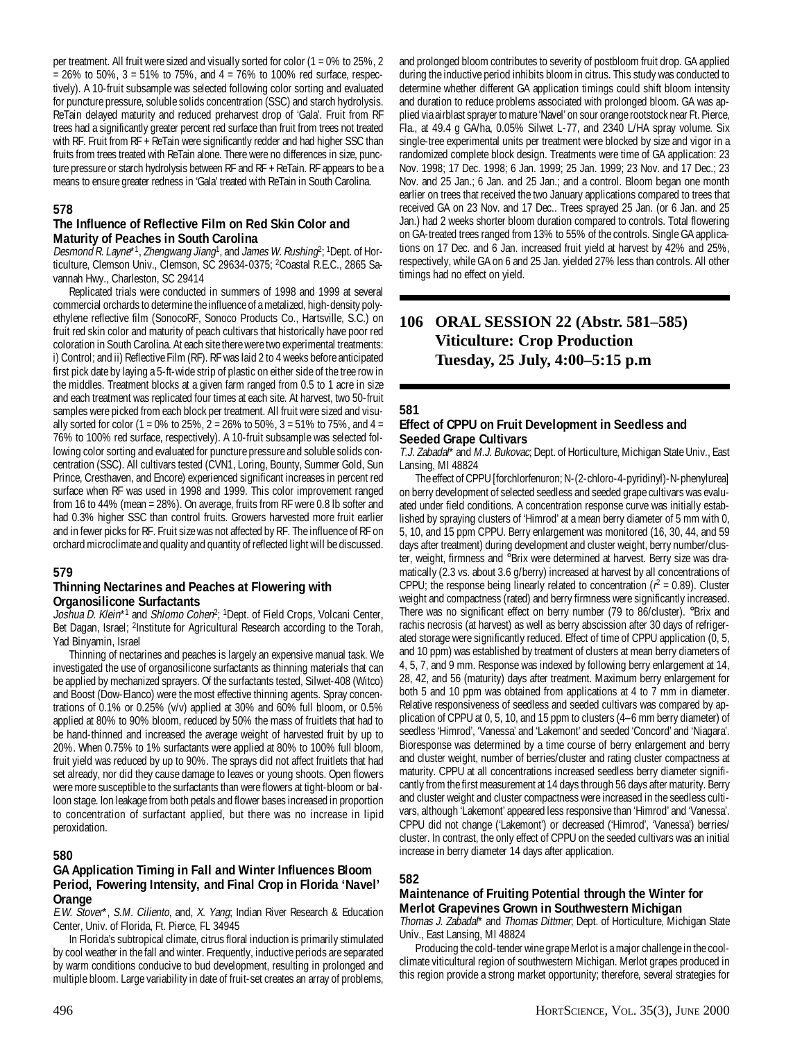per treatment. All fruit were sized and visually sorted for color (1 = 0% to 25%, 2  $= 26\%$  to 50%, 3 = 51% to 75%, and 4 = 76% to 100% red surface, respectively). A 10-fruit subsample was selected following color sorting and evaluated for puncture pressure, soluble solids concentration (SSC) and starch hydrolysis. ReTain delayed maturity and reduced preharvest drop of 'Gala'. Fruit from RF trees had a significantly greater percent red surface than fruit from trees not treated with RF. Fruit from RF + ReTain were significantly redder and had higher SSC than fruits from trees treated with ReTain alone. There were no differences in size, puncture pressure or starch hydrolysis between RF and RF + ReTain. RF appears to be a means to ensure greater redness in 'Gala' treated with ReTain in South Carolina.

# **578**

#### **The Influence of Reflective Film on Red Skin Color and Maturity of Peaches in South Carolina**

Desmond R. Layne\*1, Zhengwang Jiang<sup>1</sup>, and James W. Rushing<sup>2</sup>; <sup>1</sup>Dept. of Horticulture, Clemson Univ., Clemson, SC 29634-0375; 2 Coastal R.E.C., 2865 Savannah Hwy., Charleston, SC 29414

Replicated trials were conducted in summers of 1998 and 1999 at several commercial orchards to determine the influence of a metalized, high-density polyethylene reflective film (SonocoRF, Sonoco Products Co., Hartsville, S.C.) on fruit red skin color and maturity of peach cultivars that historically have poor red coloration in South Carolina. At each site there were two experimental treatments: i) Control; and ii) Reflective Film (RF). RF was laid 2 to 4 weeks before anticipated first pick date by laying a 5-ft-wide strip of plastic on either side of the tree row in the middles. Treatment blocks at a given farm ranged from 0.5 to 1 acre in size and each treatment was replicated four times at each site. At harvest, two 50-fruit samples were picked from each block per treatment. All fruit were sized and visually sorted for color (1 = 0% to 25%, 2 = 26% to 50%, 3 = 51% to 75%, and 4 = 76% to 100% red surface, respectively). A 10-fruit subsample was selected following color sorting and evaluated for puncture pressure and soluble solids concentration (SSC). All cultivars tested (CVN1, Loring, Bounty, Summer Gold, Sun Prince, Cresthaven, and Encore) experienced significant increases in percent red surface when RF was used in 1998 and 1999. This color improvement ranged from 16 to 44% (mean = 28%). On average, fruits from RF were 0.8 lb softer and had 0.3% higher SSC than control fruits. Growers harvested more fruit earlier and in fewer picks for RF. Fruit size was not affected by RF. The influence of RF on orchard microclimate and quality and quantity of reflected light will be discussed.

#### **579**

#### **Thinning Nectarines and Peaches at Flowering with Organosilicone Surfactants**

Joshua D. Klein\*<sup>1</sup> and Shlomo Cohen<sup>2</sup>; <sup>1</sup>Dept. of Field Crops, Volcani Center, Bet Dagan, Israel; <sup>2</sup>Institute for Agricultural Research according to the Torah, Yad Binyamin, Israel

Thinning of nectarines and peaches is largely an expensive manual task. We investigated the use of organosilicone surfactants as thinning materials that can be applied by mechanized sprayers. Of the surfactants tested, Silwet-408 (Witco) and Boost (Dow-Elanco) were the most effective thinning agents. Spray concentrations of 0.1% or 0.25% (v/v) applied at 30% and 60% full bloom, or 0.5% applied at 80% to 90% bloom, reduced by 50% the mass of fruitlets that had to be hand-thinned and increased the average weight of harvested fruit by up to 20%. When 0.75% to 1% surfactants were applied at 80% to 100% full bloom, fruit yield was reduced by up to 90%. The sprays did not affect fruitlets that had set already, nor did they cause damage to leaves or young shoots. Open flowers were more susceptible to the surfactants than were flowers at tight-bloom or balloon stage. Ion leakage from both petals and flower bases increased in proportion to concentration of surfactant applied, but there was no increase in lipid peroxidation.

# **580**

# **GA Application Timing in Fall and Winter Influences Bloom Period, Fowering Intensity, and Final Crop in Florida 'Navel' Orange**

E.W. Stover\*, S.M. Ciliento, and, X. Yang; Indian River Research & Education Center, Univ. of Florida, Ft. Pierce, FL 34945

In Florida's subtropical climate, citrus floral induction is primarily stimulated by cool weather in the fall and winter. Frequently, inductive periods are separated by warm conditions conducive to bud development, resulting in prolonged and multiple bloom. Large variability in date of fruit-set creates an array of problems,

and prolonged bloom contributes to severity of postbloom fruit drop. GA applied during the inductive period inhibits bloom in citrus. This study was conducted to determine whether different GA application timings could shift bloom intensity and duration to reduce problems associated with prolonged bloom. GA was applied via airblast sprayer to mature 'Navel' on sour orange rootstock near Ft. Pierce, Fla., at 49.4 g GA/ha, 0.05% Silwet L-77, and 2340 L/HA spray volume. Six single-tree experimental units per treatment were blocked by size and vigor in a randomized complete block design. Treatments were time of GA application: 23 Nov. 1998; 17 Dec. 1998; 6 Jan. 1999; 25 Jan. 1999; 23 Nov. and 17 Dec.; 23 Nov. and 25 Jan.; 6 Jan. and 25 Jan.; and a control. Bloom began one month earlier on trees that received the two January applications compared to trees that received GA on 23 Nov. and 17 Dec.. Trees sprayed 25 Jan. (or 6 Jan. and 25 Jan.) had 2 weeks shorter bloom duration compared to controls. Total flowering on GA-treated trees ranged from 13% to 55% of the controls. Single GA applications on 17 Dec. and 6 Jan. increased fruit yield at harvest by 42% and 25%, respectively, while GA on 6 and 25 Jan. yielded 27% less than controls. All other timings had no effect on yield.

# **106 ORAL SESSION 22 (Abstr. 581–585) Viticulture: Crop Production Tuesday, 25 July, 4:00–5:15 p.m**

# **581**

# **Effect of CPPU on Fruit Development in Seedless and Seeded Grape Cultivars**

T.J. Zabadal\* and M.J. Bukovac; Dept. of Horticulture, Michigan State Univ., East Lansing, MI 48824

The effect of CPPU [forchlorfenuron; N-(2-chloro-4-pyridinyl)-N-phenylurea] on berry development of selected seedless and seeded grape cultivars was evaluated under field conditions. A concentration response curve was initially established by spraying clusters of 'Himrod' at a mean berry diameter of 5 mm with 0, 5, 10, and 15 ppm CPPU. Berry enlargement was monitored (16, 30, 44, and 59 days after treatment) during development and cluster weight, berry number/cluster, weight, firmness and °Brix were determined at harvest. Berry size was dramatically (2.3 vs. about 3.6 g/berry) increased at harvest by all concentrations of CPPU; the response being linearly related to concentration ( $r^2 = 0.89$ ). Cluster weight and compactness (rated) and berry firmness were significantly increased. There was no significant effect on berry number (79 to 86/cluster). °Brix and rachis necrosis (at harvest) as well as berry abscission after 30 days of refrigerated storage were significantly reduced. Effect of time of CPPU application (0, 5, and 10 ppm) was established by treatment of clusters at mean berry diameters of 4, 5, 7, and 9 mm. Response was indexed by following berry enlargement at 14, 28, 42, and 56 (maturity) days after treatment. Maximum berry enlargement for both 5 and 10 ppm was obtained from applications at 4 to 7 mm in diameter. Relative responsiveness of seedless and seeded cultivars was compared by application of CPPU at 0, 5, 10, and 15 ppm to clusters (4–6 mm berry diameter) of seedless 'Himrod', 'Vanessa' and 'Lakemont' and seeded 'Concord' and 'Niagara'. Bioresponse was determined by a time course of berry enlargement and berry and cluster weight, number of berries/cluster and rating cluster compactness at maturity. CPPU at all concentrations increased seedless berry diameter significantly from the first measurement at 14 days through 56 days after maturity. Berry and cluster weight and cluster compactness were increased in the seedless cultivars, although 'Lakemont' appeared less responsive than 'Himrod' and 'Vanessa'. CPPU did not change ('Lakemont') or decreased ('Himrod', 'Vanessa') berries/ cluster. In contrast, the only effect of CPPU on the seeded cultivars was an initial increase in berry diameter 14 days after application.

# **582**

# **Maintenance of Fruiting Potential through the Winter for Merlot Grapevines Grown in Southwestern Michigan**

Thomas J. Zabadal\* and Thomas Dittmer; Dept. of Horticulture, Michigan State Univ., East Lansing, MI 48824

Producing the cold-tender wine grape Merlot is a major challenge in the coolclimate viticultural region of southwestern Michigan. Merlot grapes produced in this region provide a strong market opportunity; therefore, several strategies for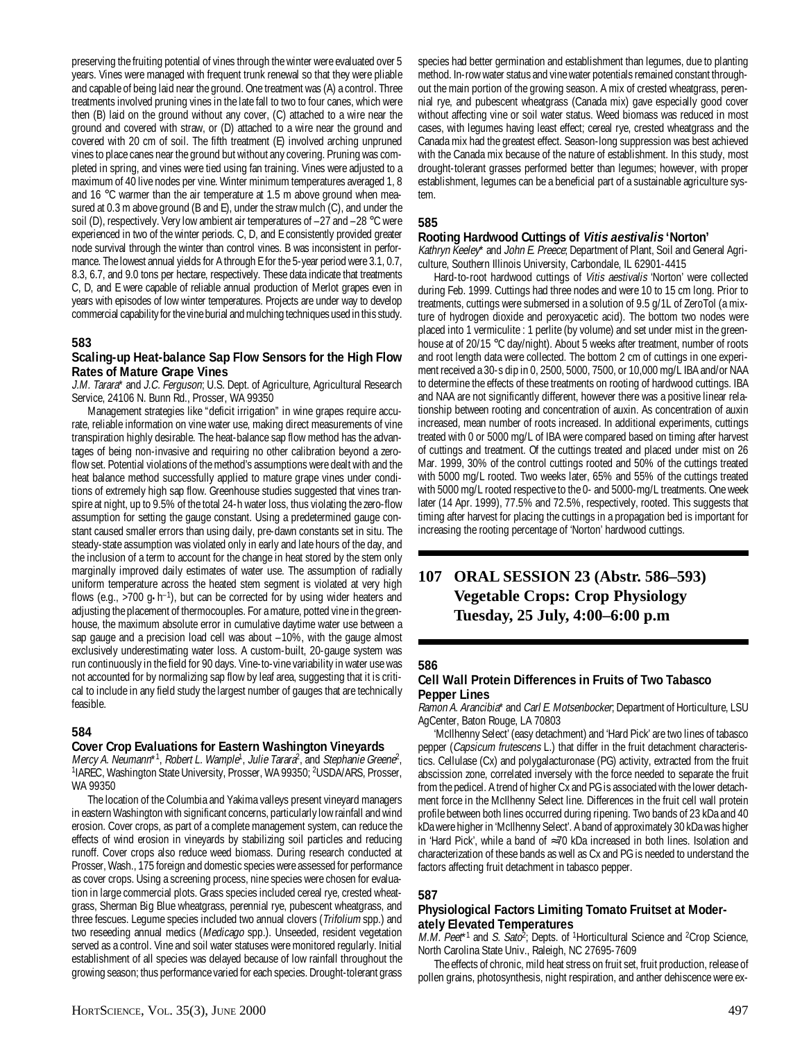preserving the fruiting potential of vines through the winter were evaluated over 5 years. Vines were managed with frequent trunk renewal so that they were pliable and capable of being laid near the ground. One treatment was (A) a control. Three treatments involved pruning vines in the late fall to two to four canes, which were then (B) laid on the ground without any cover, (C) attached to a wire near the ground and covered with straw, or (D) attached to a wire near the ground and covered with 20 cm of soil. The fifth treatment (E) involved arching unpruned vines to place canes near the ground but without any covering. Pruning was completed in spring, and vines were tied using fan training. Vines were adjusted to a maximum of 40 live nodes per vine. Winter minimum temperatures averaged 1, 8 and 16 °C warmer than the air temperature at 1.5 m above ground when measured at 0.3 m above ground (B and E), under the straw mulch (C), and under the soil (D), respectively. Very low ambient air temperatures of –27 and –28 °C were experienced in two of the winter periods. C, D, and E consistently provided greater node survival through the winter than control vines. B was inconsistent in performance. The lowest annual yields for A through E for the 5-year period were 3.1, 0.7, 8.3, 6.7, and 9.0 tons per hectare, respectively. These data indicate that treatments C, D, and E were capable of reliable annual production of Merlot grapes even in years with episodes of low winter temperatures. Projects are under way to develop commercial capability for the vine burial and mulching techniques used in this study.

# **583**

#### **Scaling-up Heat-balance Sap Flow Sensors for the High Flow Rates of Mature Grape Vines**

J.M. Tarara\* and J.C. Ferguson; U.S. Dept. of Agriculture, Agricultural Research Service, 24106 N. Bunn Rd., Prosser, WA 99350

Management strategies like "deficit irrigation" in wine grapes require accurate, reliable information on vine water use, making direct measurements of vine transpiration highly desirable. The heat-balance sap flow method has the advantages of being non-invasive and requiring no other calibration beyond a zeroflow set. Potential violations of the method's assumptions were dealt with and the heat balance method successfully applied to mature grape vines under conditions of extremely high sap flow. Greenhouse studies suggested that vines transpire at night, up to 9.5% of the total 24-h water loss, thus violating the zero-flow assumption for setting the gauge constant. Using a predetermined gauge constant caused smaller errors than using daily, pre-dawn constants set in situ. The steady-state assumption was violated only in early and late hours of the day, and the inclusion of a term to account for the change in heat stored by the stem only marginally improved daily estimates of water use. The assumption of radially uniform temperature across the heated stem segment is violated at very high flows (e.g.,  $>700$  g $\cdot$ h<sup>-1</sup>), but can be corrected for by using wider heaters and adjusting the placement of thermocouples. For a mature, potted vine in the greenhouse, the maximum absolute error in cumulative daytime water use between a sap gauge and a precision load cell was about –10%, with the gauge almost exclusively underestimating water loss. A custom-built, 20-gauge system was run continuously in the field for 90 days. Vine-to-vine variability in water use was not accounted for by normalizing sap flow by leaf area, suggesting that it is critical to include in any field study the largest number of gauges that are technically feasible.

#### **584**

#### **Cover Crop Evaluations for Eastern Washington Vineyards**

Mercy A. Neumann\*1, Robert L. Wample<sup>1</sup>, Julie Tarara<sup>2</sup>, and Stephanie Greene<sup>2</sup>, <sup>1</sup>IAREC, Washington State University, Prosser, WA 99350; <sup>2</sup>USDA/ARS, Prosser, WA 99350

The location of the Columbia and Yakima valleys present vineyard managers in eastern Washington with significant concerns, particularly low rainfall and wind erosion. Cover crops, as part of a complete management system, can reduce the effects of wind erosion in vineyards by stabilizing soil particles and reducing runoff. Cover crops also reduce weed biomass. During research conducted at Prosser, Wash., 175 foreign and domestic species were assessed for performance as cover crops. Using a screening process, nine species were chosen for evaluation in large commercial plots. Grass species included cereal rye, crested wheatgrass, Sherman Big Blue wheatgrass, perennial rye, pubescent wheatgrass, and three fescues. Legume species included two annual clovers (Trifolium spp.) and two reseeding annual medics (Medicago spp.). Unseeded, resident vegetation served as a control. Vine and soil water statuses were monitored regularly. Initial establishment of all species was delayed because of low rainfall throughout the growing season; thus performance varied for each species. Drought-tolerant grass

species had better germination and establishment than legumes, due to planting method. In-row water status and vine water potentials remained constant throughout the main portion of the growing season. A mix of crested wheatgrass, perennial rye, and pubescent wheatgrass (Canada mix) gave especially good cover without affecting vine or soil water status. Weed biomass was reduced in most cases, with legumes having least effect; cereal rye, crested wheatgrass and the Canada mix had the greatest effect. Season-long suppression was best achieved with the Canada mix because of the nature of establishment. In this study, most drought-tolerant grasses performed better than legumes; however, with proper establishment, legumes can be a beneficial part of a sustainable agriculture system.

#### **585**

#### **Rooting Hardwood Cuttings of Vitis aestivalis 'Norton'**

Kathryn Keeley\* and John E. Preece; Department of Plant, Soil and General Agriculture, Southern Illinois University, Carbondale, IL 62901-4415

Hard-to-root hardwood cuttings of Vitis aestivalis 'Norton' were collected during Feb. 1999. Cuttings had three nodes and were 10 to 15 cm long. Prior to treatments, cuttings were submersed in a solution of 9.5 g/1L of ZeroTol (a mixture of hydrogen dioxide and peroxyacetic acid). The bottom two nodes were placed into 1 vermiculite : 1 perlite (by volume) and set under mist in the greenhouse at of 20/15 °C day/night). About 5 weeks after treatment, number of roots and root length data were collected. The bottom 2 cm of cuttings in one experiment received a 30-s dip in 0, 2500, 5000, 7500, or 10,000 mg/L IBA and/or NAA to determine the effects of these treatments on rooting of hardwood cuttings. IBA and NAA are not significantly different, however there was a positive linear relationship between rooting and concentration of auxin. As concentration of auxin increased, mean number of roots increased. In additional experiments, cuttings treated with 0 or 5000 mg/L of IBA were compared based on timing after harvest of cuttings and treatment. Of the cuttings treated and placed under mist on 26 Mar. 1999, 30% of the control cuttings rooted and 50% of the cuttings treated with 5000 mg/L rooted. Two weeks later, 65% and 55% of the cuttings treated with 5000 mg/L rooted respective to the 0- and 5000-mg/L treatments. One week later (14 Apr. 1999), 77.5% and 72.5%, respectively, rooted. This suggests that timing after harvest for placing the cuttings in a propagation bed is important for increasing the rooting percentage of 'Norton' hardwood cuttings.

# **107 ORAL SESSION 23 (Abstr. 586–593) Vegetable Crops: Crop Physiology Tuesday, 25 July, 4:00–6:00 p.m**

# **586**

# **Cell Wall Protein Differences in Fruits of Two Tabasco Pepper Lines**

Ramon A. Arancibia\* and Carl E. Motsenbocker; Department of Horticulture, LSU AgCenter, Baton Rouge, LA 70803

'McIlhenny Select' (easy detachment) and 'Hard Pick' are two lines of tabasco pepper (Capsicum frutescens L.) that differ in the fruit detachment characteristics. Cellulase (Cx) and polygalacturonase (PG) activity, extracted from the fruit abscission zone, correlated inversely with the force needed to separate the fruit from the pedicel. A trend of higher Cx and PG is associated with the lower detachment force in the McIlhenny Select line. Differences in the fruit cell wall protein profile between both lines occurred during ripening. Two bands of 23 kDa and 40 kDa were higher in 'McIlhenny Select'. A band of approximately 30 kDa was higher in 'Hard Pick', while a band of ≈70 kDa increased in both lines. Isolation and characterization of these bands as well as Cx and PG is needed to understand the factors affecting fruit detachment in tabasco pepper.

#### **587**

# **Physiological Factors Limiting Tomato Fruitset at Moderately Elevated Temperatures**

M.M. Peet\*<sup>1</sup> and S. Sato<sup>2</sup>; Depts. of <sup>1</sup>Horticultural Science and <sup>2</sup>Crop Science, North Carolina State Univ., Raleigh, NC 27695-7609

The effects of chronic, mild heat stress on fruit set, fruit production, release of pollen grains, photosynthesis, night respiration, and anther dehiscence were ex-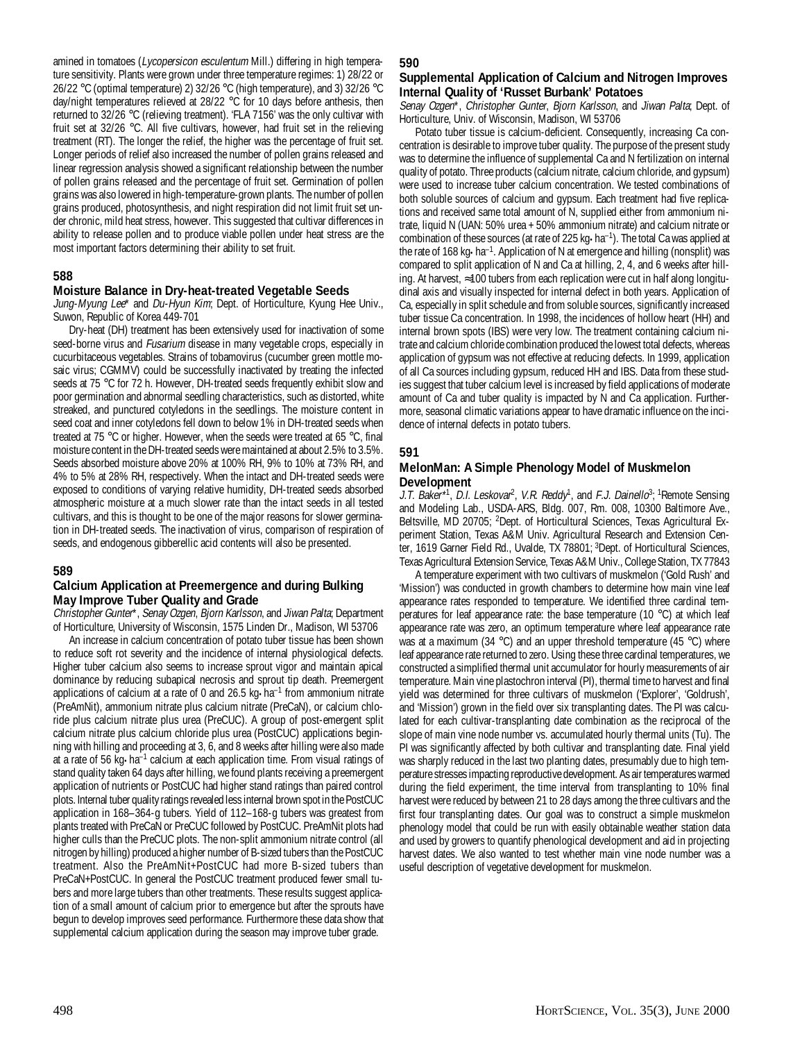amined in tomatoes (Lycopersicon esculentum Mill.) differing in high temperature sensitivity. Plants were grown under three temperature regimes: 1) 28/22 or 26/22 °C (optimal temperature) 2) 32/26 °C (high temperature), and 3) 32/26 °C day/night temperatures relieved at 28/22 °C for 10 days before anthesis, then returned to 32/26 °C (relieving treatment). 'FLA 7156' was the only cultivar with fruit set at 32/26 °C. All five cultivars, however, had fruit set in the relieving treatment (RT). The longer the relief, the higher was the percentage of fruit set. Longer periods of relief also increased the number of pollen grains released and linear regression analysis showed a significant relationship between the number of pollen grains released and the percentage of fruit set. Germination of pollen grains was also lowered in high-temperature-grown plants. The number of pollen grains produced, photosynthesis, and night respiration did not limit fruit set under chronic, mild heat stress, however. This suggested that cultivar differences in ability to release pollen and to produce viable pollen under heat stress are the most important factors determining their ability to set fruit.

# **588**

#### **Moisture Balance in Dry-heat-treated Vegetable Seeds**

Jung-Myung Lee\* and Du-Hyun Kim; Dept. of Horticulture, Kyung Hee Univ., Suwon, Republic of Korea 449-701

Dry-heat (DH) treatment has been extensively used for inactivation of some seed-borne virus and *Fusarium* disease in many vegetable crops, especially in cucurbitaceous vegetables. Strains of tobamovirus (cucumber green mottle mosaic virus; CGMMV) could be successfully inactivated by treating the infected seeds at 75 °C for 72 h. However, DH-treated seeds frequently exhibit slow and poor germination and abnormal seedling characteristics, such as distorted, white streaked, and punctured cotyledons in the seedlings. The moisture content in seed coat and inner cotyledons fell down to below 1% in DH-treated seeds when treated at 75 °C or higher. However, when the seeds were treated at 65 °C, final moisture content in the DH-treated seeds were maintained at about 2.5% to 3.5%. Seeds absorbed moisture above 20% at 100% RH, 9% to 10% at 73% RH, and 4% to 5% at 28% RH, respectively. When the intact and DH-treated seeds were exposed to conditions of varying relative humidity, DH-treated seeds absorbed atmospheric moisture at a much slower rate than the intact seeds in all tested cultivars, and this is thought to be one of the major reasons for slower germination in DH-treated seeds. The inactivation of virus, comparison of respiration of seeds, and endogenous gibberellic acid contents will also be presented.

#### **589**

#### **Calcium Application at Preemergence and during Bulking May Improve Tuber Quality and Grade**

Christopher Gunter\*, Senay Ozgen, Bjorn Karlsson, and Jiwan Palta; Department of Horticulture, University of Wisconsin, 1575 Linden Dr., Madison, WI 53706

An increase in calcium concentration of potato tuber tissue has been shown to reduce soft rot severity and the incidence of internal physiological defects. Higher tuber calcium also seems to increase sprout vigor and maintain apical dominance by reducing subapical necrosis and sprout tip death. Preemergent applications of calcium at a rate of 0 and 26.5 kg $\cdot$ ha<sup>-1</sup> from ammonium nitrate (PreAmNit), ammonium nitrate plus calcium nitrate (PreCaN), or calcium chloride plus calcium nitrate plus urea (PreCUC). A group of post-emergent split calcium nitrate plus calcium chloride plus urea (PostCUC) applications beginning with hilling and proceeding at 3, 6, and 8 weeks after hilling were also made at a rate of 56 kg·ha<sup>-1</sup> calcium at each application time. From visual ratings of stand quality taken 64 days after hilling, we found plants receiving a preemergent application of nutrients or PostCUC had higher stand ratings than paired control plots. Internal tuber quality ratings revealed less internal brown spot in the PostCUC application in 168–364-g tubers. Yield of 112–168-g tubers was greatest from plants treated with PreCaN or PreCUC followed by PostCUC. PreAmNit plots had higher culls than the PreCUC plots. The non-split ammonium nitrate control (all nitrogen by hilling) produced a higher number of B-sized tubers than the PostCUC treatment. Also the PreAmNit+PostCUC had more B-sized tubers than PreCaN+PostCUC. In general the PostCUC treatment produced fewer small tubers and more large tubers than other treatments. These results suggest application of a small amount of calcium prior to emergence but after the sprouts have begun to develop improves seed performance. Furthermore these data show that supplemental calcium application during the season may improve tuber grade.

#### **590**

#### **Supplemental Application of Calcium and Nitrogen Improves Internal Quality of 'Russet Burbank' Potatoes**

Senay Ozgen\*, Christopher Gunter, Bjorn Karlsson, and Jiwan Palta; Dept. of Horticulture, Univ. of Wisconsin, Madison, WI 53706

Potato tuber tissue is calcium-deficient. Consequently, increasing Ca concentration is desirable to improve tuber quality. The purpose of the present study was to determine the influence of supplemental Ca and N fertilization on internal quality of potato. Three products (calcium nitrate, calcium chloride, and gypsum) were used to increase tuber calcium concentration. We tested combinations of both soluble sources of calcium and gypsum. Each treatment had five replications and received same total amount of N, supplied either from ammonium nitrate, liquid N (UAN: 50% urea + 50% ammonium nitrate) and calcium nitrate or combination of these sources (at rate of 225 kg•ha–1). The total Ca was applied at the rate of 168 kg•ha<sup>-1</sup>. Application of N at emergence and hilling (nonsplit) was compared to split application of N and Ca at hilling, 2, 4, and 6 weeks after hilling. At harvest, ≈100 tubers from each replication were cut in half along longitudinal axis and visually inspected for internal defect in both years. Application of Ca, especially in split schedule and from soluble sources, significantly increased tuber tissue Ca concentration. In 1998, the incidences of hollow heart (HH) and internal brown spots (IBS) were very low. The treatment containing calcium nitrate and calcium chloride combination produced the lowest total defects, whereas application of gypsum was not effective at reducing defects. In 1999, application of all Ca sources including gypsum, reduced HH and IBS. Data from these studies suggest that tuber calcium level is increased by field applications of moderate amount of Ca and tuber quality is impacted by N and Ca application. Furthermore, seasonal climatic variations appear to have dramatic influence on the incidence of internal defects in potato tubers.

#### **591**

#### **MelonMan: A Simple Phenology Model of Muskmelon Development**

J.T. Baker<sup>\*1</sup>, D.I. Leskovar<sup>2</sup>, V.R. Reddy<sup>1</sup>, and F.J. Dainello<sup>3</sup>; <sup>1</sup>Remote Sensing and Modeling Lab., USDA-ARS, Bldg. 007, Rm. 008, 10300 Baltimore Ave., Beltsville, MD 20705; <sup>2</sup>Dept. of Horticultural Sciences, Texas Agricultural Experiment Station, Texas A&M Univ. Agricultural Research and Extension Center, 1619 Garner Field Rd., Uvalde, TX 78801; 3Dept. of Horticultural Sciences, Texas Agricultural Extension Service, Texas A&M Univ., College Station, TX 77843

A temperature experiment with two cultivars of muskmelon ('Gold Rush' and 'Mission') was conducted in growth chambers to determine how main vine leaf appearance rates responded to temperature. We identified three cardinal temperatures for leaf appearance rate: the base temperature (10 °C) at which leaf appearance rate was zero, an optimum temperature where leaf appearance rate was at a maximum (34 °C) and an upper threshold temperature (45 °C) where leaf appearance rate returned to zero. Using these three cardinal temperatures, we constructed a simplified thermal unit accumulator for hourly measurements of air temperature. Main vine plastochron interval (PI), thermal time to harvest and final yield was determined for three cultivars of muskmelon ('Explorer', 'Goldrush', and 'Mission') grown in the field over six transplanting dates. The PI was calculated for each cultivar-transplanting date combination as the reciprocal of the slope of main vine node number vs. accumulated hourly thermal units (Tu). The PI was significantly affected by both cultivar and transplanting date. Final yield was sharply reduced in the last two planting dates, presumably due to high temperature stresses impacting reproductive development. As air temperatures warmed during the field experiment, the time interval from transplanting to 10% final harvest were reduced by between 21 to 28 days among the three cultivars and the first four transplanting dates. Our goal was to construct a simple muskmelon phenology model that could be run with easily obtainable weather station data and used by growers to quantify phenological development and aid in projecting harvest dates. We also wanted to test whether main vine node number was a useful description of vegetative development for muskmelon.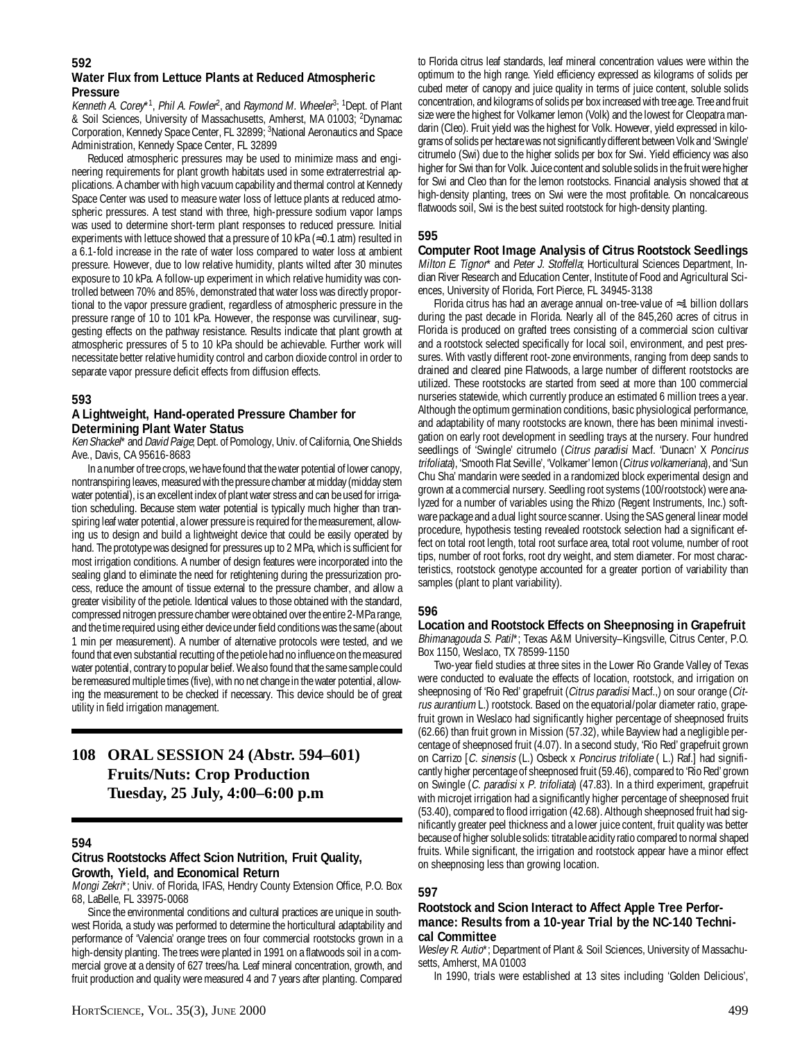#### **592**

#### **Water Flux from Lettuce Plants at Reduced Atmospheric Pressure**

Kenneth A. Corey\*<sup>1</sup>, Phil A. Fowler<sup>2</sup>, and Raymond M. Wheeler<sup>3</sup>; <sup>1</sup>Dept. of Plant & Soil Sciences, University of Massachusetts, Amherst, MA 01003; <sup>2</sup>Dynamac Corporation, Kennedy Space Center, FL 32899; <sup>3</sup>National Aeronautics and Space Administration, Kennedy Space Center, FL 32899

Reduced atmospheric pressures may be used to minimize mass and engineering requirements for plant growth habitats used in some extraterrestrial applications. A chamber with high vacuum capability and thermal control at Kennedy Space Center was used to measure water loss of lettuce plants at reduced atmospheric pressures. A test stand with three, high-pressure sodium vapor lamps was used to determine short-term plant responses to reduced pressure. Initial experiments with lettuce showed that a pressure of 10 kPa ( $\approx$ 0.1 atm) resulted in a 6.1-fold increase in the rate of water loss compared to water loss at ambient pressure. However, due to low relative humidity, plants wilted after 30 minutes exposure to 10 kPa. A follow-up experiment in which relative humidity was controlled between 70% and 85%, demonstrated that water loss was directly proportional to the vapor pressure gradient, regardless of atmospheric pressure in the pressure range of 10 to 101 kPa. However, the response was curvilinear, suggesting effects on the pathway resistance. Results indicate that plant growth at atmospheric pressures of 5 to 10 kPa should be achievable. Further work will necessitate better relative humidity control and carbon dioxide control in order to separate vapor pressure deficit effects from diffusion effects.

# **593**

#### **A Lightweight, Hand-operated Pressure Chamber for Determining Plant Water Status**

Ken Shackel\* and David Paige; Dept. of Pomology, Univ. of California, One Shields Ave., Davis, CA 95616-8683

In a number of tree crops, we have found that the water potential of lower canopy, nontranspiring leaves, measured with the pressure chamber at midday (midday stem water potential), is an excellent index of plant water stress and can be used for irrigation scheduling. Because stem water potential is typically much higher than transpiring leaf water potential, a lower pressure is required for the measurement, allowing us to design and build a lightweight device that could be easily operated by hand. The prototype was designed for pressures up to 2 MPa, which is sufficient for most irrigation conditions. A number of design features were incorporated into the sealing gland to eliminate the need for retightening during the pressurization process, reduce the amount of tissue external to the pressure chamber, and allow a greater visibility of the petiole. Identical values to those obtained with the standard, compressed nitrogen pressure chamber were obtained over the entire 2-MPa range, and the time required using either device under field conditions was the same (about 1 min per measurement). A number of alternative protocols were tested, and we found that even substantial recutting of the petiole had no influence on the measured water potential, contrary to popular belief. We also found that the same sample could be remeasured multiple times (five), with no net change in the water potential, allowing the measurement to be checked if necessary. This device should be of great utility in field irrigation management.

# **108 ORAL SESSION 24 (Abstr. 594–601) Fruits/Nuts: Crop Production Tuesday, 25 July, 4:00–6:00 p.m**

#### **594**

#### **Citrus Rootstocks Affect Scion Nutrition, Fruit Quality, Growth, Yield, and Economical Return**

Mongi Zekri\*; Univ. of Florida, IFAS, Hendry County Extension Office, P.O. Box 68, LaBelle, FL 33975-0068

Since the environmental conditions and cultural practices are unique in southwest Florida, a study was performed to determine the horticultural adaptability and performance of 'Valencia' orange trees on four commercial rootstocks grown in a high-density planting. The trees were planted in 1991 on a flatwoods soil in a commercial grove at a density of 627 trees/ha. Leaf mineral concentration, growth, and fruit production and quality were measured 4 and 7 years after planting. Compared

to Florida citrus leaf standards, leaf mineral concentration values were within the optimum to the high range. Yield efficiency expressed as kilograms of solids per cubed meter of canopy and juice quality in terms of juice content, soluble solids concentration, and kilograms of solids per box increased with tree age. Tree and fruit size were the highest for Volkamer lemon (Volk) and the lowest for Cleopatra mandarin (Cleo). Fruit yield was the highest for Volk. However, yield expressed in kilograms of solids per hectare was not significantly different between Volk and 'Swingle' citrumelo (Swi) due to the higher solids per box for Swi. Yield efficiency was also higher for Swi than for Volk. Juice content and soluble solids in the fruit were higher for Swi and Cleo than for the lemon rootstocks. Financial analysis showed that at high-density planting, trees on Swi were the most profitable. On noncalcareous flatwoods soil, Swi is the best suited rootstock for high-density planting.

# **595**

**Computer Root Image Analysis of Citrus Rootstock Seedlings** Milton E. Tignor\* and Peter J. Stoffella; Horticultural Sciences Department, Indian River Research and Education Center, Institute of Food and Agricultural Sciences, University of Florida, Fort Pierce, FL 34945-3138

Florida citrus has had an average annual on-tree-value of ≈1 billion dollars during the past decade in Florida. Nearly all of the 845,260 acres of citrus in Florida is produced on grafted trees consisting of a commercial scion cultivar and a rootstock selected specifically for local soil, environment, and pest pressures. With vastly different root-zone environments, ranging from deep sands to drained and cleared pine Flatwoods, a large number of different rootstocks are utilized. These rootstocks are started from seed at more than 100 commercial nurseries statewide, which currently produce an estimated 6 million trees a year. Although the optimum germination conditions, basic physiological performance, and adaptability of many rootstocks are known, there has been minimal investigation on early root development in seedling trays at the nursery. Four hundred seedlings of 'Swingle' citrumelo (Citrus paradisi Macf. 'Dunacn' X Poncirus trifoliata), 'Smooth Flat Seville', 'Volkamer' lemon (Citrus volkameriana), and 'Sun Chu Sha' mandarin were seeded in a randomized block experimental design and grown at a commercial nursery. Seedling root systems (100/rootstock) were analyzed for a number of variables using the Rhizo (Regent Instruments, Inc.) software package and a dual light source scanner. Using the SAS general linear model procedure, hypothesis testing revealed rootstock selection had a significant effect on total root length, total root surface area, total root volume, number of root tips, number of root forks, root dry weight, and stem diameter. For most characteristics, rootstock genotype accounted for a greater portion of variability than samples (plant to plant variability).

# **596**

**Location and Rootstock Effects on Sheepnosing in Grapefruit** Bhimanagouda S. Patil\*; Texas A&M University-Kingsville, Citrus Center, P.O. Box 1150, Weslaco, TX 78599-1150

Two-year field studies at three sites in the Lower Rio Grande Valley of Texas were conducted to evaluate the effects of location, rootstock, and irrigation on sheepnosing of 'Rio Red' grapefruit (Citrus paradisi Macf.,) on sour orange (Citrus aurantium L.) rootstock. Based on the equatorial/polar diameter ratio, grapefruit grown in Weslaco had significantly higher percentage of sheepnosed fruits (62.66) than fruit grown in Mission (57.32), while Bayview had a negligible percentage of sheepnosed fruit (4.07). In a second study, 'Rio Red' grapefruit grown on Carrizo [C. sinensis (L.) Osbeck x Poncirus trifoliate ( L.) Raf.] had significantly higher percentage of sheepnosed fruit (59.46), compared to 'Rio Red' grown on Swingle (C. paradisi x P. trifoliata) (47.83). In a third experiment, grapefruit with microjet irrigation had a significantly higher percentage of sheepnosed fruit (53.40), compared to flood irrigation (42.68). Although sheepnosed fruit had significantly greater peel thickness and a lower juice content, fruit quality was better because of higher soluble solids: titratable acidity ratio compared to normal shaped fruits. While significant, the irrigation and rootstock appear have a minor effect on sheepnosing less than growing location.

#### **597**

#### **Rootstock and Scion Interact to Affect Apple Tree Performance: Results from a 10-year Trial by the NC-140 Technical Committee**

Wesley R. Autio\*; Department of Plant & Soil Sciences, University of Massachusetts, Amherst, MA 01003

In 1990, trials were established at 13 sites including 'Golden Delicious',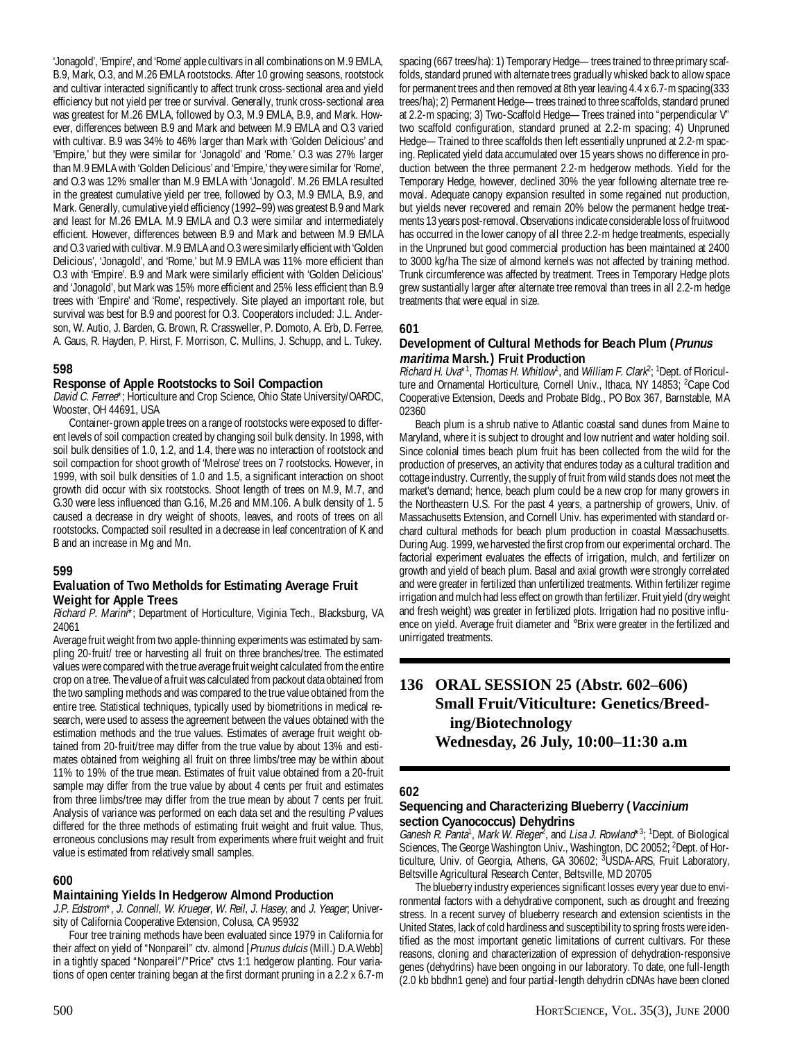'Jonagold', 'Empire', and 'Rome' apple cultivars in all combinations on M.9 EMLA, B.9, Mark, O.3, and M.26 EMLA rootstocks. After 10 growing seasons, rootstock and cultivar interacted significantly to affect trunk cross-sectional area and yield efficiency but not yield per tree or survival. Generally, trunk cross-sectional area was greatest for M.26 EMLA, followed by O.3, M.9 EMLA, B.9, and Mark. However, differences between B.9 and Mark and between M.9 EMLA and O.3 varied with cultivar. B.9 was 34% to 46% larger than Mark with 'Golden Delicious' and 'Empire,' but they were similar for 'Jonagold' and 'Rome.' O.3 was 27% larger than M.9 EMLA with 'Golden Delicious' and 'Empire,' they were similar for 'Rome', and O.3 was 12% smaller than M.9 EMLA with 'Jonagold'. M.26 EMLA resulted in the greatest cumulative yield per tree, followed by O.3, M.9 EMLA, B.9, and Mark. Generally, cumulative yield efficiency (1992–99) was greatest B.9 and Mark and least for M.26 EMLA. M.9 EMLA and O.3 were similar and intermediately efficient. However, differences between B.9 and Mark and between M.9 EMLA and O.3 varied with cultivar. M.9 EMLA and O.3 were similarly efficient with 'Golden Delicious', 'Jonagold', and 'Rome,' but M.9 EMLA was 11% more efficient than O.3 with 'Empire'. B.9 and Mark were similarly efficient with 'Golden Delicious' and 'Jonagold', but Mark was 15% more efficient and 25% less efficient than B.9 trees with 'Empire' and 'Rome', respectively. Site played an important role, but survival was best for B.9 and poorest for O.3. Cooperators included: J.L. Anderson, W. Autio, J. Barden, G. Brown, R. Crassweller, P. Domoto, A. Erb, D. Ferree, A. Gaus, R. Hayden, P. Hirst, F. Morrison, C. Mullins, J. Schupp, and L. Tukey.

# **598**

# **Response of Apple Rootstocks to Soil Compaction**

David C. Ferree\*; Horticulture and Crop Science, Ohio State University/OARDC, Wooster, OH 44691, USA

Container-grown apple trees on a range of rootstocks were exposed to different levels of soil compaction created by changing soil bulk density. In 1998, with soil bulk densities of 1.0, 1.2, and 1.4, there was no interaction of rootstock and soil compaction for shoot growth of 'Melrose' trees on 7 rootstocks. However, in 1999, with soil bulk densities of 1.0 and 1.5, a significant interaction on shoot growth did occur with six rootstocks. Shoot length of trees on M.9, M.7, and G.30 were less influenced than G.16, M.26 and MM.106. A bulk density of 1. 5 caused a decrease in dry weight of shoots, leaves, and roots of trees on all rootstocks. Compacted soil resulted in a decrease in leaf concentration of K and B and an increase in Mg and Mn.

# **599**

#### **Evaluation of Two Metholds for Estimating Average Fruit Weight for Apple Trees**

Richard P. Marini\*; Department of Horticulture, Viginia Tech., Blacksburg, VA 24061

Average fruit weight from two apple-thinning experiments was estimated by sampling 20-fruit/ tree or harvesting all fruit on three branches/tree. The estimated values were compared with the true average fruit weight calculated from the entire crop on a tree. The value of a fruit was calculated from packout data obtained from the two sampling methods and was compared to the true value obtained from the entire tree. Statistical techniques, typically used by biometritions in medical research, were used to assess the agreement between the values obtained with the estimation methods and the true values. Estimates of average fruit weight obtained from 20-fruit/tree may differ from the true value by about 13% and estimates obtained from weighing all fruit on three limbs/tree may be within about 11% to 19% of the true mean. Estimates of fruit value obtained from a 20-fruit sample may differ from the true value by about 4 cents per fruit and estimates from three limbs/tree may differ from the true mean by about 7 cents per fruit. Analysis of variance was performed on each data set and the resulting P values differed for the three methods of estimating fruit weight and fruit value. Thus, erroneous conclusions may result from experiments where fruit weight and fruit value is estimated from relatively small samples.

# **600**

# **Maintaining Yields In Hedgerow Almond Production**

J.P. Edstrom\*, J. Connell, W. Krueger, W. Reil, J. Hasey, and J. Yeager; University of California Cooperative Extension, Colusa, CA 95932

Four tree training methods have been evaluated since 1979 in California for their affect on yield of "Nonpareil" ctv. almond [Prunus dulcis (Mill.) D.A.Webb] in a tightly spaced "Nonpareil"/"Price" ctvs 1:1 hedgerow planting. Four variations of open center training began at the first dormant pruning in a 2.2 x 6.7-m

**Development of Cultural Methods for Beach Plum (Prunus maritima Marsh.) Fruit Production** Richard H. Uva\*<sup>1</sup>, Thomas H. Whitlow<sup>1</sup>, and William F. Clark<sup>2</sup>; <sup>1</sup>Dept. of Floriculture and Ornamental Horticulture, Cornell Univ., Ithaca, NY 14853; <sup>2</sup>Cape Cod Cooperative Extension, Deeds and Probate Bldg., PO Box 367, Barnstable, MA 02360 Beach plum is a shrub native to Atlantic coastal sand dunes from Maine to Maryland, where it is subject to drought and low nutrient and water holding soil. Since colonial times beach plum fruit has been collected from the wild for the production of preserves, an activity that endures today as a cultural tradition and cottage industry. Currently, the supply of fruit from wild stands does not meet the market's demand; hence, beach plum could be a new crop for many growers in the Northeastern U.S. For the past 4 years, a partnership of growers, Univ. of Massachusetts Extension, and Cornell Univ. has experimented with standard orchard cultural methods for beach plum production in coastal Massachusetts. During Aug. 1999, we harvested the first crop from our experimental orchard. The factorial experiment evaluates the effects of irrigation, mulch, and fertilizer on growth and yield of beach plum. Basal and axial growth were strongly correlated and were greater in fertilized than unfertilized treatments. Within fertilizer regime irrigation and mulch had less effect on growth than fertilizer. Fruit yield (dry weight and fresh weight) was greater in fertilized plots. Irrigation had no positive influence on yield. Average fruit diameter and °Brix were greater in the fertilized and

unirrigated treatments.

treatments that were equal in size.

**601**

# **136 ORAL SESSION 25 (Abstr. 602–606) Small Fruit/Viticulture: Genetics/Breeding/Biotechnology Wednesday, 26 July, 10:00–11:30 a.m**

spacing (667 trees/ha): 1) Temporary Hedge—trees trained to three primary scaffolds, standard pruned with alternate trees gradually whisked back to allow space for permanent trees and then removed at 8th year leaving 4.4 x 6.7-m spacing(333 trees/ha); 2) Permanent Hedge—trees trained to three scaffolds, standard pruned at 2.2-m spacing; 3) Two-Scaffold Hedge—Trees trained into "perpendicular V" two scaffold configuration, standard pruned at 2.2-m spacing; 4) Unpruned Hedge—Trained to three scaffolds then left essentially unpruned at 2.2-m spacing. Replicated yield data accumulated over 15 years shows no difference in production between the three permanent 2.2-m hedgerow methods. Yield for the Temporary Hedge, however, declined 30% the year following alternate tree removal. Adequate canopy expansion resulted in some regained nut production, but yields never recovered and remain 20% below the permanent hedge treatments 13 years post-removal. Observations indicate considerable loss of fruitwood has occurred in the lower canopy of all three 2.2-m hedge treatments, especially in the Unpruned but good commercial production has been maintained at 2400 to 3000 kg/ha The size of almond kernels was not affected by training method. Trunk circumference was affected by treatment. Trees in Temporary Hedge plots grew sustantially larger after alternate tree removal than trees in all 2.2-m hedge

# **602**

# **Sequencing and Characterizing Blueberry (Vaccinium section Cyanococcus) Dehydrins**

Ganesh R. Panta<sup>1</sup>, Mark W. Rieger<sup>2</sup>, and Lisa J. Rowland<sup>\*3</sup>; <sup>1</sup>Dept. of Biological Sciences, The George Washington Univ., Washington, DC 20052; <sup>2</sup>Dept. of Horticulture, Univ. of Georgia, Athens, GA 30602; <sup>3</sup>USDA-ARS, Fruit Laboratory, Beltsville Agricultural Research Center, Beltsville, MD 20705

The blueberry industry experiences significant losses every year due to environmental factors with a dehydrative component, such as drought and freezing stress. In a recent survey of blueberry research and extension scientists in the United States, lack of cold hardiness and susceptibility to spring frosts were identified as the most important genetic limitations of current cultivars. For these reasons, cloning and characterization of expression of dehydration-responsive genes (dehydrins) have been ongoing in our laboratory. To date, one full-length (2.0 kb bbdhn1 gene) and four partial-length dehydrin cDNAs have been cloned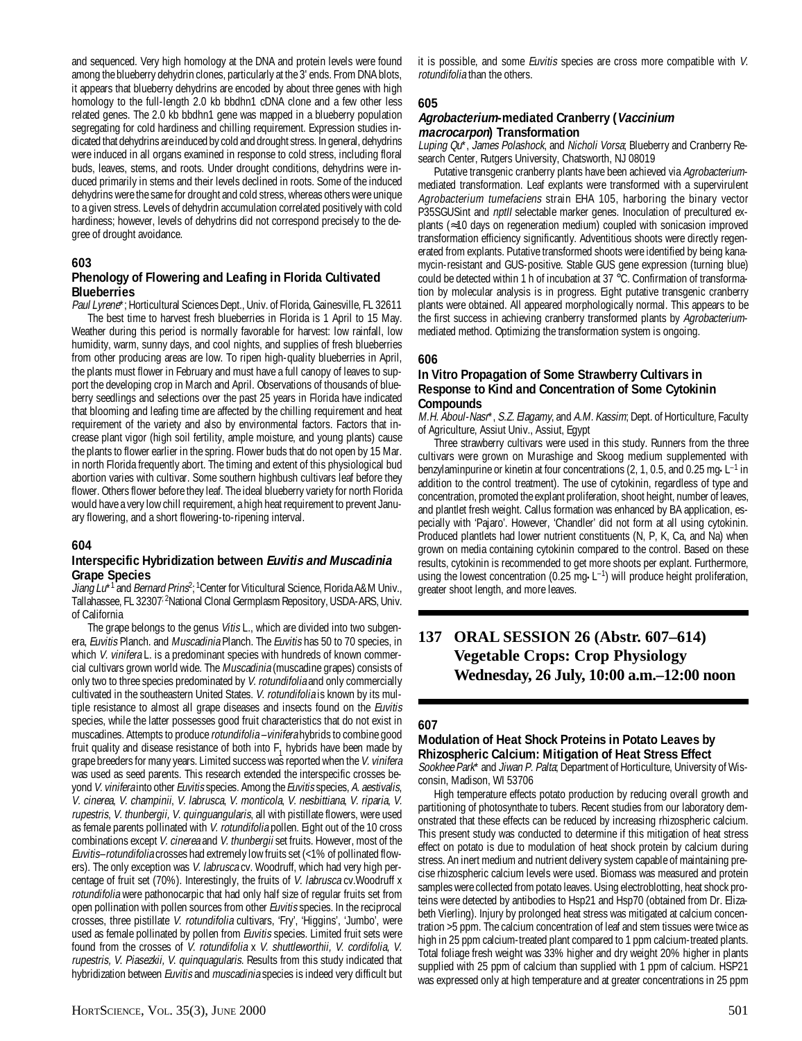and sequenced. Very high homology at the DNA and protein levels were found among the blueberry dehydrin clones, particularly at the 3' ends. From DNA blots, it appears that blueberry dehydrins are encoded by about three genes with high homology to the full-length 2.0 kb bbdhn1 cDNA clone and a few other less related genes. The 2.0 kb bbdhn1 gene was mapped in a blueberry population segregating for cold hardiness and chilling requirement. Expression studies indicated that dehydrins are induced by cold and drought stress. In general, dehydrins were induced in all organs examined in response to cold stress, including floral buds, leaves, stems, and roots. Under drought conditions, dehydrins were induced primarily in stems and their levels declined in roots. Some of the induced dehydrins were the same for drought and cold stress, whereas others were unique to a given stress. Levels of dehydrin accumulation correlated positively with cold hardiness; however, levels of dehydrins did not correspond precisely to the degree of drought avoidance.

# **603**

#### **Phenology of Flowering and Leafing in Florida Cultivated Blueberries**

Paul Lyrene\*; Horticultural Sciences Dept., Univ. of Florida, Gainesville, FL 32611

The best time to harvest fresh blueberries in Florida is 1 April to 15 May. Weather during this period is normally favorable for harvest: low rainfall, low humidity, warm, sunny days, and cool nights, and supplies of fresh blueberries from other producing areas are low. To ripen high-quality blueberries in April, the plants must flower in February and must have a full canopy of leaves to support the developing crop in March and April. Observations of thousands of blueberry seedlings and selections over the past 25 years in Florida have indicated that blooming and leafing time are affected by the chilling requirement and heat requirement of the variety and also by environmental factors. Factors that increase plant vigor (high soil fertility, ample moisture, and young plants) cause the plants to flower earlier in the spring. Flower buds that do not open by 15 Mar. in north Florida frequently abort. The timing and extent of this physiological bud abortion varies with cultivar. Some southern highbush cultivars leaf before they flower. Others flower before they leaf. The ideal blueberry variety for north Florida would have a very low chill requirement, a high heat requirement to prevent January flowering, and a short flowering-to-ripening interval.

#### **604**

#### **Interspecific Hybridization between Euvitis and Muscadinia Grape Species**

Jiang Lu<sup>\*1</sup> and Bernard Prins<sup>2</sup>; <sup>1</sup>Center for Viticultural Science, Florida A&M Univ., Tallahassee, FL 32307<sup>; 2</sup>National Clonal Germplasm Repository, USDA-ARS, Univ. of California

The grape belongs to the genus Vitis L., which are divided into two subgenera, Euvitis Planch. and Muscadinia Planch. The Euvitis has 50 to 70 species, in which V. vinifera L. is a predominant species with hundreds of known commercial cultivars grown world wide. The Muscadinia (muscadine grapes) consists of only two to three species predominated by V. rotundifolia and only commercially cultivated in the southeastern United States. V. rotundifolia is known by its multiple resistance to almost all grape diseases and insects found on the Euvitis species, while the latter possesses good fruit characteristics that do not exist in muscadines. Attempts to produce *rotundifolia –vinifera* hybrids to combine good fruit quality and disease resistance of both into  $F_1$  hybrids have been made by grape breeders for many years. Limited success was reported when the V. vinifera was used as seed parents. This research extended the interspecific crosses beyond V. vinifera into other Euvitis species. Among the Euvitis species, A. aestivalis, V. cinerea, V. champinii, V. labrusca, V. monticola, V. nesbittiana, V. riparia, V. rupestris, V. thunbergii, V. quinguangularis, all with pistillate flowers, were used as female parents pollinated with V. rotundifolia pollen. Eight out of the 10 cross combinations except V. cinerea and V. thunbergii set fruits. However, most of the Euvitis–rotundifolia crosses had extremely low fruits set (<1% of pollinated flowers). The only exception was V. labrusca cv. Woodruff, which had very high percentage of fruit set (70%). Interestingly, the fruits of V. labrusca cv. Woodruff x rotundifolia were pathonocarpic that had only half size of regular fruits set from open pollination with pollen sources from other *Euvitis* species. In the reciprocal crosses, three pistillate V. rotundifolia cultivars, 'Fry', 'Higgins', 'Jumbo', were used as female pollinated by pollen from Euvitis species. Limited fruit sets were found from the crosses of V. rotundifolia x V. shuttleworthii, V. cordifolia, V. rupestris, V. Piasezkii, V. quinquagularis. Results from this study indicated that hybridization between Euvitis and muscadinia species is indeed very difficult but

it is possible, and some Euvitis species are cross more compatible with V. rotundifolia than the others.

#### **605**

#### **Agrobacterium-mediated Cranberry (Vaccinium macrocarpon) Transformation**

Luping Ou\*, James Polashock, and Nicholi Vorsa; Blueberry and Cranberry Research Center, Rutgers University, Chatsworth, NJ 08019

Putative transgenic cranberry plants have been achieved via Agrobacteriummediated transformation. Leaf explants were transformed with a supervirulent Agrobacterium tumefaciens strain EHA 105, harboring the binary vector P35SGUSint and *nptII* selectable marker genes. Inoculation of precultured explants (≈10 days on regeneration medium) coupled with sonicasion improved transformation efficiency significantly. Adventitious shoots were directly regenerated from explants. Putative transformed shoots were identified by being kanamycin-resistant and GUS-positive. Stable GUS gene expression (turning blue) could be detected within 1 h of incubation at 37 °C. Confirmation of transformation by molecular analysis is in progress. Eight putative transgenic cranberry plants were obtained. All appeared morphologically normal. This appears to be the first success in achieving cranberry transformed plants by Agrobacteriummediated method. Optimizing the transformation system is ongoing.

#### **606**

# **In Vitro Propagation of Some Strawberry Cultivars in Response to Kind and Concentration of Some Cytokinin Compounds**

M.H. Aboul-Nasr\*, S.Z. Elagamy, and A.M. Kassim; Dept. of Horticulture, Faculty of Agriculture, Assiut Univ., Assiut, Egypt

Three strawberry cultivars were used in this study. Runners from the three cultivars were grown on Murashige and Skoog medium supplemented with benzylaminpurine or kinetin at four concentrations (2, 1, 0.5, and 0.25 mg $\cdot$ L<sup>-1</sup> in addition to the control treatment). The use of cytokinin, regardless of type and concentration, promoted the explant proliferation, shoot height, number of leaves, and plantlet fresh weight. Callus formation was enhanced by BA application, especially with 'Pajaro'. However, 'Chandler' did not form at all using cytokinin. Produced plantlets had lower nutrient constituents (N, P, K, Ca, and Na) when grown on media containing cytokinin compared to the control. Based on these results, cytokinin is recommended to get more shoots per explant. Furthermore, using the lowest concentration (0.25 mg $\cdot$ L<sup>-1</sup>) will produce height proliferation, greater shoot length, and more leaves.

# **137 ORAL SESSION 26 (Abstr. 607–614) Vegetable Crops: Crop Physiology Wednesday, 26 July, 10:00 a.m.–12:00 noon**

#### **607**

#### **Modulation of Heat Shock Proteins in Potato Leaves by Rhizospheric Calcium: Mitigation of Heat Stress Effect**

Sookhee Park\* and Jiwan P. Palta; Department of Horticulture, University of Wisconsin, Madison, WI 53706

High temperature effects potato production by reducing overall growth and partitioning of photosynthate to tubers. Recent studies from our laboratory demonstrated that these effects can be reduced by increasing rhizospheric calcium. This present study was conducted to determine if this mitigation of heat stress effect on potato is due to modulation of heat shock protein by calcium during stress. An inert medium and nutrient delivery system capable of maintaining precise rhizospheric calcium levels were used. Biomass was measured and protein samples were collected from potato leaves. Using electroblotting, heat shock proteins were detected by antibodies to Hsp21 and Hsp70 (obtained from Dr. Elizabeth Vierling). Injury by prolonged heat stress was mitigated at calcium concentration >5 ppm. The calcium concentration of leaf and stem tissues were twice as high in 25 ppm calcium-treated plant compared to 1 ppm calcium-treated plants. Total foliage fresh weight was 33% higher and dry weight 20% higher in plants supplied with 25 ppm of calcium than supplied with 1 ppm of calcium. HSP21 was expressed only at high temperature and at greater concentrations in 25 ppm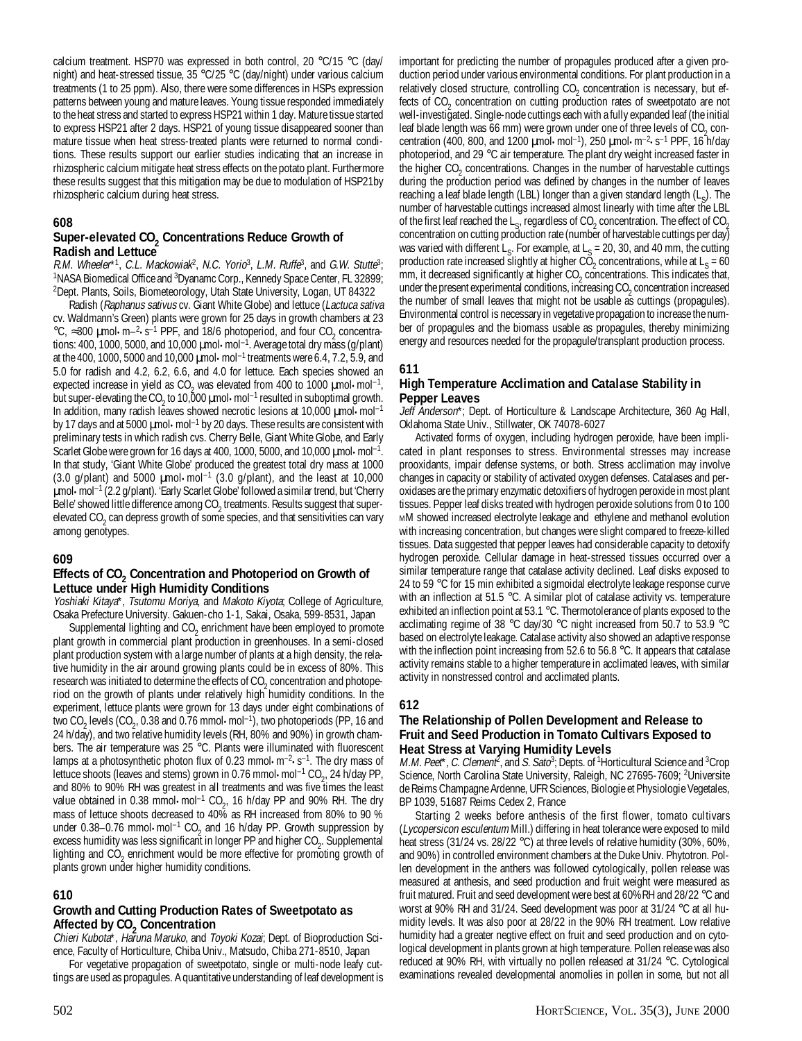calcium treatment. HSP70 was expressed in both control, 20 °C/15 °C (day/ night) and heat-stressed tissue, 35 °C/25 °C (day/night) under various calcium treatments (1 to 25 ppm). Also, there were some differences in HSPs expression patterns between young and mature leaves. Young tissue responded immediately to the heat stress and started to express HSP21 within 1 day. Mature tissue started to express HSP21 after 2 days. HSP21 of young tissue disappeared sooner than mature tissue when heat stress-treated plants were returned to normal conditions. These results support our earlier studies indicating that an increase in rhizospheric calcium mitigate heat stress effects on the potato plant. Furthermore these results suggest that this mitigation may be due to modulation of HSP21by rhizospheric calcium during heat stress.

### **608**

#### Super-elevated CO<sub>2</sub> Concentrations Reduce Growth of **Radish and Lettuce**

R.M. Wheeler\*1, C.L. Mackowiak<sup>2</sup>, N.C. Yorio<sup>3</sup>, L.M. Ruffe<sup>3</sup>, and G.W. Stutte<sup>3</sup>; <sup>1</sup>NASA Biomedical Office and <sup>3</sup>Dyanamc Corp., Kennedy Space Center, FL 32899; 2 Dept. Plants, Soils, Biometeorology, Utah State University, Logan, UT 84322

Radish (Raphanus sativus cv. Giant White Globe) and lettuce (Lactuca sativa cv. Waldmann's Green) plants were grown for 25 days in growth chambers at 23 °C,  $\approx$ 300  $\mu$ mol•m–<sup>2</sup>•s<sup>-1</sup> PPF, and 18/6 photoperiod, and four CO<sub>2</sub> concentrations: 400, 1000, 5000, and 10,000 µmol•mol–1. Average total dry mass (g/plant) at the 400, 1000, 5000 and 10,000 µmol•mol–1 treatments were 6.4, 7.2, 5.9, and 5.0 for radish and 4.2, 6.2, 6.6, and 4.0 for lettuce. Each species showed an expected increase in yield as  $CO_2$  was elevated from 400 to 1000  $\mu$ mol•mol<sup>-1</sup>, but super-elevating the CO<sub>2</sub> to 10,000  $\mu$ mol·mol<sup>-1</sup> resulted in suboptimal growth. In addition, many radish leaves showed necrotic lesions at 10,000  $\mu$ mol $\cdot$ mol<sup>-1</sup> by 17 days and at 5000  $\mu$ mol·mol<sup>-1</sup> by 20 days. These results are consistent with preliminary tests in which radish cvs. Cherry Belle, Giant White Globe, and Early Scarlet Globe were grown for 16 days at 400, 1000, 5000, and 10,000  $\mu$ mol·mol<sup>-1</sup>. In that study, 'Giant White Globe' produced the greatest total dry mass at 1000 (3.0 g/plant) and 5000  $\mu$ mol·mol<sup>-1</sup> (3.0 g/plant), and the least at 10,000 µmol•mol–1 (2.2 g/plant). 'Early Scarlet Globe' followed a similar trend, but 'Cherry Belle' showed little difference among  $\mathrm{CO}_2$  treatments. Results suggest that superelevated CO<sub>2</sub> can depress growth of some species, and that sensitivities can vary among genotypes.

# **609**

# Effects of CO<sub>2</sub> Concentration and Photoperiod on Growth of **Lettuce under High Humidity Conditions**

Yoshiaki Kitaya\*, Tsutomu Moriya, and Makoto Kiyota; College of Agriculture, Osaka Prefecture University. Gakuen-cho 1-1, Sakai, Osaka, 599-8531, Japan

Supplemental lighting and  $CO_2$  enrichment have been employed to promote plant growth in commercial plant production in greenhouses. In a semi-closed plant production system with a large number of plants at a high density, the relative humidity in the air around growing plants could be in excess of 80%. This research was initiated to determine the effects of  $\mathrm{CO}_2$  concentration and photoperiod on the growth of plants under relatively high humidity conditions. In the experiment, lettuce plants were grown for 13 days under eight combinations of two CO<sub>2</sub> levels (CO<sub>2</sub>, 0.38 and 0.76 mmol•mol<sup>-1</sup>), two photoperiods (PP, 16 and 24 h/day), and two relative humidity levels (RH, 80% and 90%) in growth chambers. The air temperature was 25 °C. Plants were illuminated with fluorescent lamps at a photosynthetic photon flux of 0.23 mmol $\cdot$ m<sup>-2</sup> $\cdot$ s<sup>-1</sup>. The dry mass of lettuce shoots (leaves and stems) grown in 0.76 mmol•mol<sup>-1</sup> CO<sub>2</sub>, 24 h/day PP, and 80% to 90% RH was greatest in all treatments and was five times the least value obtained in 0.38 mmol·mol<sup>-1</sup> CO<sub>2</sub>, 16 h/day PP and 90% RH. The dry mass of lettuce shoots decreased to 40% as RH increased from 80% to 90 % under 0.38–0.76 mmol•mol<sup>-1</sup> CO<sub>2</sub> and 16 h/day PP. Growth suppression by excess humidity was less significant in longer PP and higher  $CO_2$ . Supplemental lighting and  $CO_2$  enrichment would be more effective for promoting growth of plants grown under higher humidity conditions.

#### **610**

# **Growth and Cutting Production Rates of Sweetpotato as** Affected by CO<sub>2</sub> Concentration

Chieri Kubota\*, Haruna Maruko, and Toyoki Kozai; Dept. of Bioproduction Science, Faculty of Horticulture, Chiba Univ., Matsudo, Chiba 271-8510, Japan

For vegetative propagation of sweetpotato, single or multi-node leafy cuttings are used as propagules. A quantitative understanding of leaf development is important for predicting the number of propagules produced after a given production period under various environmental conditions. For plant production in a relatively closed structure, controlling CO<sub>2</sub> concentration is necessary, but effects of  $CO_2$  concentration on cutting production rates of sweetpotato are not well-investigated. Single-node cuttings each with a fully expanded leaf (the initial leaf blade length was 66 mm) were grown under one of three levels of  $CO<sub>2</sub>$  concentration (400, 800, and 1200  $\mu$ mol•mol<sup>-1</sup>), 250  $\mu$ mol•m<sup>-2</sup>•s<sup>-1</sup> PPF, 16 h/day photoperiod, and 29 °C air temperature. The plant dry weight increased faster in the higher  $CO_2$  concentrations. Changes in the number of harvestable cuttings during the production period was defined by changes in the number of leaves reaching a leaf blade length (LBL) longer than a given standard length  $(L<sub>s</sub>)$ . The number of harvestable cuttings increased almost linearly with time after the LBL of the first leaf reached the L<sub>S</sub>, regardless of CO<sub>2</sub> concentration. The effect of CO<sub>2</sub> concentration on cutting production rate (number of harvestable cuttings per day) was varied with different  $L_s$ . For example, at  $L_s = 20$ , 30, and 40 mm, the cutting production rate increased slightly at higher CO<sub>2</sub> concentrations, while at L<sub>s</sub> = 60 mm, it decreased significantly at higher  $CO_2$  concentrations. This indicates that, under the present experimental conditions, increasing  $CO_2$  concentration increased the number of small leaves that might not be usable as cuttings (propagules). Environmental control is necessary in vegetative propagation to increase the number of propagules and the biomass usable as propagules, thereby minimizing energy and resources needed for the propagule/transplant production process.

#### **611**

### **High Temperature Acclimation and Catalase Stability in Pepper Leaves**

Jeff Anderson\*; Dept. of Horticulture & Landscape Architecture, 360 Ag Hall, Oklahoma State Univ., Stillwater, OK 74078-6027

Activated forms of oxygen, including hydrogen peroxide, have been implicated in plant responses to stress. Environmental stresses may increase prooxidants, impair defense systems, or both. Stress acclimation may involve changes in capacity or stability of activated oxygen defenses. Catalases and peroxidases are the primary enzymatic detoxifiers of hydrogen peroxide in most plant tissues. Pepper leaf disks treated with hydrogen peroxide solutions from 0 to 100 MM showed increased electrolyte leakage and ethylene and methanol evolution with increasing concentration, but changes were slight compared to freeze-killed tissues. Data suggested that pepper leaves had considerable capacity to detoxify hydrogen peroxide. Cellular damage in heat-stressed tissues occurred over a similar temperature range that catalase activity declined. Leaf disks exposed to 24 to 59 °C for 15 min exhibited a sigmoidal electrolyte leakage response curve with an inflection at 51.5 °C. A similar plot of catalase activity vs. temperature exhibited an inflection point at 53.1 °C. Thermotolerance of plants exposed to the acclimating regime of 38 °C day/30 °C night increased from 50.7 to 53.9 °C based on electrolyte leakage. Catalase activity also showed an adaptive response with the inflection point increasing from 52.6 to 56.8 °C. It appears that catalase activity remains stable to a higher temperature in acclimated leaves, with similar activity in nonstressed control and acclimated plants.

# **612**

### **The Relationship of Pollen Development and Release to Fruit and Seed Production in Tomato Cultivars Exposed to Heat Stress at Varying Humidity Levels**

M.M. Peet\*, C. Clement<sup>2</sup>, and S. Sato<sup>3</sup>; Depts. of <sup>1</sup>Horticultural Science and <sup>3</sup>Crop Science, North Carolina State University, Raleigh, NC 27695-7609; <sup>2</sup>Universite de Reims Champagne Ardenne, UFR Sciences, Biologie et Physiologie Vegetales, BP 1039, 51687 Reims Cedex 2, France

Starting 2 weeks before anthesis of the first flower, tomato cultivars (Lycopersicon esculentum Mill.) differing in heat tolerance were exposed to mild heat stress (31/24 vs. 28/22 °C) at three levels of relative humidity (30%, 60%, and 90%) in controlled environment chambers at the Duke Univ. Phytotron. Pollen development in the anthers was followed cytologically, pollen release was measured at anthesis, and seed production and fruit weight were measured as fruit matured. Fruit and seed development were best at 60%RH and 28/22 °C and worst at 90% RH and 31/24. Seed development was poor at 31/24 °C at all humidity levels. It was also poor at 28/22 in the 90% RH treatment. Low relative humidity had a greater negtive effect on fruit and seed production and on cytological development in plants grown at high temperature. Pollen release was also reduced at 90% RH, with virtually no pollen released at 31/24 °C. Cytological examinations revealed developmental anomolies in pollen in some, but not all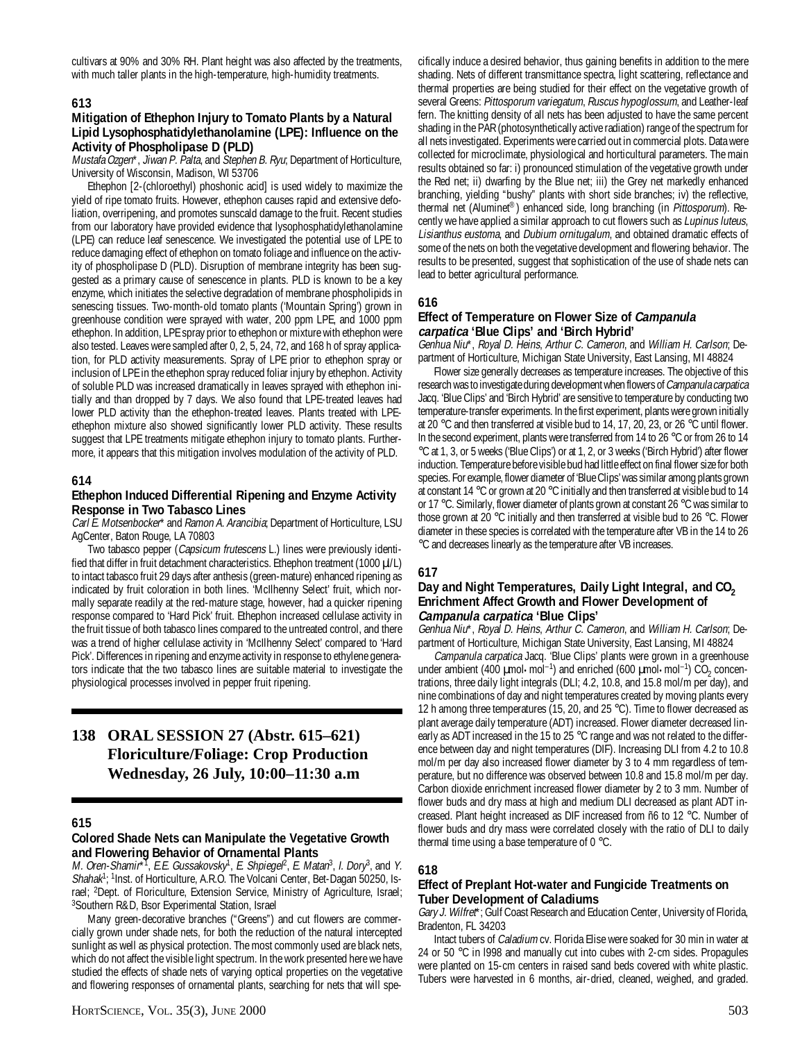cultivars at 90% and 30% RH. Plant height was also affected by the treatments, with much taller plants in the high-temperature, high-humidity treatments.

#### **613**

#### **Mitigation of Ethephon Injury to Tomato Plants by a Natural Lipid Lysophosphatidylethanolamine (LPE): Influence on the Activity of Phospholipase D (PLD)**

Mustafa Ozgen\*, Jiwan P. Palta, and Stephen B. Ryu; Department of Horticulture, University of Wisconsin, Madison, WI 53706

Ethephon [2-(chloroethyl) phoshonic acid] is used widely to maximize the yield of ripe tomato fruits. However, ethephon causes rapid and extensive defoliation, overripening, and promotes sunscald damage to the fruit. Recent studies from our laboratory have provided evidence that lysophosphatidylethanolamine (LPE) can reduce leaf senescence. We investigated the potential use of LPE to reduce damaging effect of ethephon on tomato foliage and influence on the activity of phospholipase D (PLD). Disruption of membrane integrity has been suggested as a primary cause of senescence in plants. PLD is known to be a key enzyme, which initiates the selective degradation of membrane phospholipids in senescing tissues. Two-month-old tomato plants ('Mountain Spring') grown in greenhouse condition were sprayed with water, 200 ppm LPE, and 1000 ppm ethephon. In addition, LPE spray prior to ethephon or mixture with ethephon were also tested. Leaves were sampled after 0, 2, 5, 24, 72, and 168 h of spray application, for PLD activity measurements. Spray of LPE prior to ethephon spray or inclusion of LPE in the ethephon spray reduced foliar injury by ethephon. Activity of soluble PLD was increased dramatically in leaves sprayed with ethephon initially and than dropped by 7 days. We also found that LPE-treated leaves had lower PLD activity than the ethephon-treated leaves. Plants treated with LPEethephon mixture also showed significantly lower PLD activity. These results suggest that LPE treatments mitigate ethephon injury to tomato plants. Furthermore, it appears that this mitigation involves modulation of the activity of PLD.

#### **614**

#### **Ethephon Induced Differential Ripening and Enzyme Activity Response in Two Tabasco Lines**

Carl E. Motsenbocker\* and Ramon A. Arancibia; Department of Horticulture, LSU AgCenter, Baton Rouge, LA 70803

Two tabasco pepper (Capsicum frutescens L.) lines were previously identified that differ in fruit detachment characteristics. Ethephon treatment (1000  $\mu$ /L) to intact tabasco fruit 29 days after anthesis (green-mature) enhanced ripening as indicated by fruit coloration in both lines. 'McIlhenny Select' fruit, which normally separate readily at the red-mature stage, however, had a quicker ripening response compared to 'Hard Pick' fruit. Ethephon increased cellulase activity in the fruit tissue of both tabasco lines compared to the untreated control, and there was a trend of higher cellulase activity in 'McIlhenny Select' compared to 'Hard Pick'. Differences in ripening and enzyme activity in response to ethylene generators indicate that the two tabasco lines are suitable material to investigate the physiological processes involved in pepper fruit ripening.

# **138 ORAL SESSION 27 (Abstr. 615–621) Floriculture/Foliage: Crop Production Wednesday, 26 July, 10:00–11:30 a.m**

#### **615**

#### **Colored Shade Nets can Manipulate the Vegetative Growth and Flowering Behavior of Ornamental Plants**

M. Oren-Shamir\*<sup>1</sup>, E.E. Gussakovsky<sup>1</sup>, E. Shpiegel<sup>2</sup>, E. Matan<sup>3</sup>, I. Dory<sup>3</sup>, and Y. Shahak<sup>1</sup>; <sup>1</sup>Inst. of Horticulture, A.R.O. The Volcani Center, Bet-Dagan 50250, Israel; <sup>2</sup>Dept. of Floriculture, Extension Service, Ministry of Agriculture, Israel; 3 Southern R&D, Bsor Experimental Station, Israel

Many green-decorative branches ("Greens") and cut flowers are commercially grown under shade nets, for both the reduction of the natural intercepted sunlight as well as physical protection. The most commonly used are black nets, which do not affect the visible light spectrum. In the work presented here we have studied the effects of shade nets of varying optical properties on the vegetative and flowering responses of ornamental plants, searching for nets that will specifically induce a desired behavior, thus gaining benefits in addition to the mere shading. Nets of different transmittance spectra, light scattering, reflectance and thermal properties are being studied for their effect on the vegetative growth of several Greens: Pittosporum variegatum, Ruscus hypoglossum, and Leather-leaf fern. The knitting density of all nets has been adjusted to have the same percent shading in the PAR (photosynthetically active radiation) range of the spectrum for all nets investigated. Experiments were carried out in commercial plots. Data were collected for microclimate, physiological and horticultural parameters. The main results obtained so far: i) pronounced stimulation of the vegetative growth under the Red net; ii) dwarfing by the Blue net; iii) the Grey net markedly enhanced branching, yielding "bushy" plants with short side branches; iv) the reflective, thermal net (Aluminet®) enhanced side, long branching (in Pittosporum). Recently we have applied a similar approach to cut flowers such as Lupinus luteus, Lisianthus eustoma, and Dubium ornitugalum, and obtained dramatic effects of some of the nets on both the vegetative development and flowering behavior. The results to be presented, suggest that sophistication of the use of shade nets can lead to better agricultural performance.

# **616**

#### **Effect of Temperature on Flower Size of Campanula carpatica 'Blue Clips' and 'Birch Hybrid'**

Genhua Niu\*, Royal D. Heins, Arthur C. Cameron, and William H. Carlson; Department of Horticulture, Michigan State University, East Lansing, MI 48824

Flower size generally decreases as temperature increases. The objective of this research was to investigate during development when flowers of Campanula carpatica Jacq. 'Blue Clips' and 'Birch Hybrid' are sensitive to temperature by conducting two temperature-transfer experiments. In the first experiment, plants were grown initially at 20 °C and then transferred at visible bud to 14, 17, 20, 23, or 26 °C until flower. In the second experiment, plants were transferred from 14 to 26 °C or from 26 to 14 °C at 1, 3, or 5 weeks ('Blue Clips') or at 1, 2, or 3 weeks ('Birch Hybrid') after flower induction. Temperature before visible bud had little effect on final flower size for both species. For example, flower diameter of 'Blue Clips' was similar among plants grown at constant 14 °C or grown at 20 °C initially and then transferred at visible bud to 14 or 17 °C. Similarly, flower diameter of plants grown at constant 26 °C was similar to those grown at 20 °C initially and then transferred at visible bud to 26 °C. Flower diameter in these species is correlated with the temperature after VB in the 14 to 26 °C and decreases linearly as the temperature after VB increases.

#### **617**

# Day and Night Temperatures, Daily Light Integral, and CO<sub>2</sub> **Enrichment Affect Growth and Flower Development of Campanula carpatica 'Blue Clips'**

Genhua Niu\*, Royal D. Heins, Arthur C. Cameron, and William H. Carlson; Department of Horticulture, Michigan State University, East Lansing, MI 48824

Campanula carpatica Jacq. 'Blue Clips' plants were grown in a greenhouse under ambient (400  $\mu$ mol•mol<sup>-1</sup>) and enriched (600  $\mu$ mol•mol<sup>-1</sup>) CO<sub>2</sub> concentrations, three daily light integrals (DLI; 4.2, 10.8, and 15.8 mol/m per day), and nine combinations of day and night temperatures created by moving plants every 12 h among three temperatures (15, 20, and 25 °C). Time to flower decreased as plant average daily temperature (ADT) increased. Flower diameter decreased linearly as ADT increased in the 15 to 25 °C range and was not related to the difference between day and night temperatures (DIF). Increasing DLI from 4.2 to 10.8 mol/m per day also increased flower diameter by 3 to 4 mm regardless of temperature, but no difference was observed between 10.8 and 15.8 mol/m per day. Carbon dioxide enrichment increased flower diameter by 2 to 3 mm. Number of flower buds and dry mass at high and medium DLI decreased as plant ADT increased. Plant height increased as DIF increased from ñ6 to 12 °C. Number of flower buds and dry mass were correlated closely with the ratio of DLI to daily thermal time using a base temperature of 0 °C.

#### **618**

#### **Effect of Preplant Hot-water and Fungicide Treatments on Tuber Development of Caladiums**

Gary J. Wilfret\*; Gulf Coast Research and Education Center, University of Florida, Bradenton, FL 34203

Intact tubers of Caladium cv. Florida Elise were soaked for 30 min in water at 24 or 50 °C in 1998 and manually cut into cubes with 2-cm sides. Propagules were planted on 15-cm centers in raised sand beds covered with white plastic. Tubers were harvested in 6 months, air-dried, cleaned, weighed, and graded.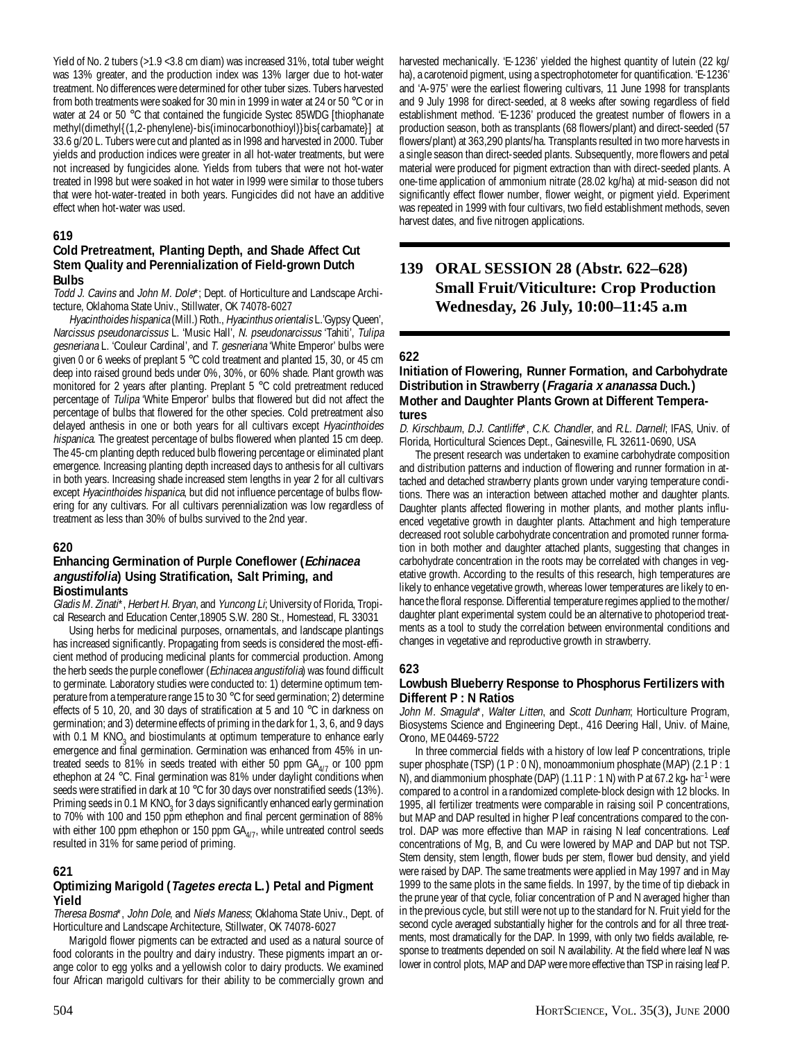Yield of No. 2 tubers (>1.9 <3.8 cm diam) was increased 31%, total tuber weight was 13% greater, and the production index was 13% larger due to hot-water treatment. No differences were determined for other tuber sizes. Tubers harvested from both treatments were soaked for 30 min in 1999 in water at 24 or 50 °C or in water at 24 or 50 °C that contained the fungicide Systec 85WDG [thiophanate methyl(dimethyl{(1,2-phenylene)-bis(iminocarbonothioyl)}bis{carbamate}] at 33.6 g/20 L. Tubers were cut and planted as in l998 and harvested in 2000. Tuber yields and production indices were greater in all hot-water treatments, but were not increased by fungicides alone. Yields from tubers that were not hot-water treated in l998 but were soaked in hot water in l999 were similar to those tubers that were hot-water-treated in both years. Fungicides did not have an additive effect when hot-water was used.

# **619**

#### **Cold Pretreatment, Planting Depth, and Shade Affect Cut Stem Quality and Perennialization of Field-grown Dutch Bulbs**

Todd J. Cavins and John M. Dole\*; Dept. of Horticulture and Landscape Architecture, Oklahoma State Univ., Stillwater, OK 74078-6027

Hyacinthoides hispanica (Mill.) Roth., Hyacinthus orientalis L.'Gypsy Queen', Narcissus pseudonarcissus L. 'Music Hall', N. pseudonarcissus 'Tahiti', Tulipa gesneriana L. 'Couleur Cardinal', and T. gesneriana 'White Emperor' bulbs were given 0 or 6 weeks of preplant 5 °C cold treatment and planted 15, 30, or 45 cm deep into raised ground beds under 0%, 30%, or 60% shade. Plant growth was monitored for 2 years after planting. Preplant 5 °C cold pretreatment reduced percentage of Tulipa 'White Emperor' bulbs that flowered but did not affect the percentage of bulbs that flowered for the other species. Cold pretreatment also delayed anthesis in one or both years for all cultivars except Hyacinthoides hispanica. The greatest percentage of bulbs flowered when planted 15 cm deep. The 45-cm planting depth reduced bulb flowering percentage or eliminated plant emergence. Increasing planting depth increased days to anthesis for all cultivars in both years. Increasing shade increased stem lengths in year 2 for all cultivars except Hyacinthoides hispanica, but did not influence percentage of bulbs flowering for any cultivars. For all cultivars perennialization was low regardless of treatment as less than 30% of bulbs survived to the 2nd year.

#### **620**

### **Enhancing Germination of Purple Coneflower (Echinacea angustifolia) Using Stratification, Salt Priming, and Biostimulants**

Gladis M. Zinati\*, Herbert H. Bryan, and Yuncong Li; University of Florida, Tropical Research and Education Center,18905 S.W. 280 St., Homestead, FL 33031

Using herbs for medicinal purposes, ornamentals, and landscape plantings has increased significantly. Propagating from seeds is considered the most-efficient method of producing medicinal plants for commercial production. Among the herb seeds the purple coneflower (*Echinacea angustifolia*) was found difficult to germinate. Laboratory studies were conducted to: 1) determine optimum temperature from a temperature range 15 to 30 °C for seed germination; 2) determine effects of 5 10, 20, and 30 days of stratification at 5 and 10 °C in darkness on germination; and 3) determine effects of priming in the dark for 1, 3, 6, and 9 days with 0.1 M KNO<sub>3</sub> and biostimulants at optimum temperature to enhance early emergence and final germination. Germination was enhanced from 45% in untreated seeds to 81% in seeds treated with either 50 ppm  $GA<sub>A/7</sub>$  or 100 ppm ethephon at 24 °C. Final germination was 81% under daylight conditions when seeds were stratified in dark at 10 °C for 30 days over nonstratified seeds (13%). Priming seeds in 0.1 M  $KNO<sub>3</sub>$  for 3 days significantly enhanced early germination to 70% with 100 and 150 ppm ethephon and final percent germination of 88% with either 100 ppm ethephon or 150 ppm  $GA_{4/7}$ , while untreated control seeds resulted in 31% for same period of priming.

# **621**

# **Optimizing Marigold (Tagetes erecta L.) Petal and Pigment Yield**

Theresa Bosma\*, John Dole, and Niels Maness; Oklahoma State Univ., Dept. of Horticulture and Landscape Architecture, Stillwater, OK 74078-6027

Marigold flower pigments can be extracted and used as a natural source of food colorants in the poultry and dairy industry. These pigments impart an orange color to egg yolks and a yellowish color to dairy products. We examined four African marigold cultivars for their ability to be commercially grown and

harvested mechanically. 'E-1236' yielded the highest quantity of lutein (22 kg/ ha), a carotenoid pigment, using a spectrophotometer for quantification. 'E-1236' and 'A-975' were the earliest flowering cultivars, 11 June 1998 for transplants and 9 July 1998 for direct-seeded, at 8 weeks after sowing regardless of field establishment method. 'E-1236' produced the greatest number of flowers in a production season, both as transplants (68 flowers/plant) and direct-seeded (57 flowers/plant) at 363,290 plants/ha. Transplants resulted in two more harvests in a single season than direct-seeded plants. Subsequently, more flowers and petal material were produced for pigment extraction than with direct-seeded plants. A one-time application of ammonium nitrate (28.02 kg/ha) at mid-season did not significantly effect flower number, flower weight, or pigment yield. Experiment was repeated in 1999 with four cultivars, two field establishment methods, seven harvest dates, and five nitrogen applications.

# **139 ORAL SESSION 28 (Abstr. 622–628) Small Fruit/Viticulture: Crop Production Wednesday, 26 July, 10:00–11:45 a.m**

# **622**

#### **Initiation of Flowering, Runner Formation, and Carbohydrate Distribution in Strawberry (Fragaria x ananassa Duch.) Mother and Daughter Plants Grown at Different Temperatures**

D. Kirschbaum, D.J. Cantliffe\*, C.K. Chandler, and R.L. Darnell; IFAS, Univ. of Florida, Horticultural Sciences Dept., Gainesville, FL 32611-0690, USA

The present research was undertaken to examine carbohydrate composition and distribution patterns and induction of flowering and runner formation in attached and detached strawberry plants grown under varying temperature conditions. There was an interaction between attached mother and daughter plants. Daughter plants affected flowering in mother plants, and mother plants influenced vegetative growth in daughter plants. Attachment and high temperature decreased root soluble carbohydrate concentration and promoted runner formation in both mother and daughter attached plants, suggesting that changes in carbohydrate concentration in the roots may be correlated with changes in vegetative growth. According to the results of this research, high temperatures are likely to enhance vegetative growth, whereas lower temperatures are likely to enhance the floral response. Differential temperature regimes applied to the mother/ daughter plant experimental system could be an alternative to photoperiod treatments as a tool to study the correlation between environmental conditions and changes in vegetative and reproductive growth in strawberry.

#### **623**

# **Lowbush Blueberry Response to Phosphorus Fertilizers with Different P : N Ratios**

John M. Smagula<sup>\*</sup>, Walter Litten, and Scott Dunham; Horticulture Program, Biosystems Science and Engineering Dept., 416 Deering Hall, Univ. of Maine, Orono, ME 04469-5722

In three commercial fields with a history of low leaf P concentrations, triple super phosphate (TSP) (1 P : 0 N), monoammonium phosphate (MAP) (2.1 P : 1 N), and diammonium phosphate (DAP) (1.11 P : 1 N) with P at 67.2 kg $\cdot$ ha<sup>-1</sup> were compared to a control in a randomized complete-block design with 12 blocks. In 1995, all fertilizer treatments were comparable in raising soil P concentrations, but MAP and DAP resulted in higher P leaf concentrations compared to the control. DAP was more effective than MAP in raising N leaf concentrations. Leaf concentrations of Mg, B, and Cu were lowered by MAP and DAP but not TSP. Stem density, stem length, flower buds per stem, flower bud density, and yield were raised by DAP. The same treatments were applied in May 1997 and in May 1999 to the same plots in the same fields. In 1997, by the time of tip dieback in the prune year of that cycle, foliar concentration of P and N averaged higher than in the previous cycle, but still were not up to the standard for N. Fruit yield for the second cycle averaged substantially higher for the controls and for all three treatments, most dramatically for the DAP. In 1999, with only two fields available, response to treatments depended on soil N availability. At the field where leaf N was lower in control plots, MAP and DAP were more effective than TSP in raising leaf P.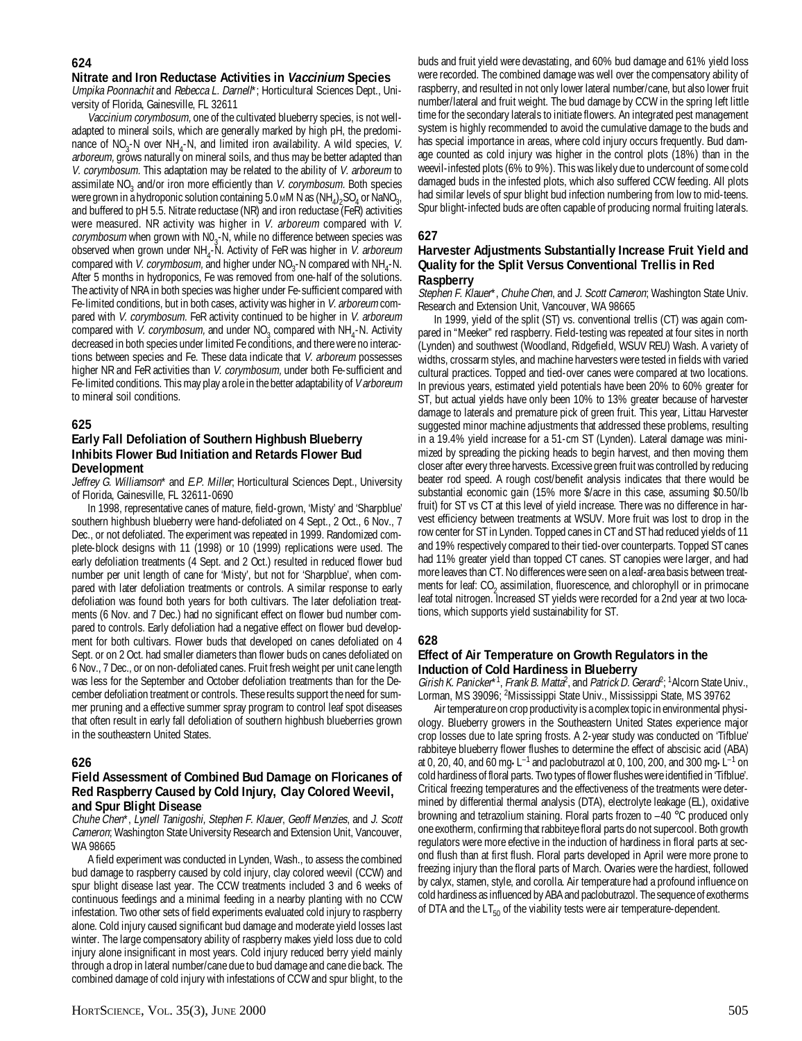#### **624**

#### **Nitrate and Iron Reductase Activities in Vaccinium Species**

Umpika Poonnachit and Rebecca L. Darnell\*; Horticultural Sciences Dept., University of Florida, Gainesville, FL 32611

Vaccinium corymbosum, one of the cultivated blueberry species, is not welladapted to mineral soils, which are generally marked by high pH, the predominance of  $NO_3$ -N over  $NH_4$ -N, and limited iron availability. A wild species, V. arboreum, grows naturally on mineral soils, and thus may be better adapted than V. corymbosum. This adaptation may be related to the ability of V. arboreum to assimilate NO<sub>3</sub> and/or iron more efficiently than V. corymbosum. Both species were grown in a hydroponic solution containing 5.0 mM N as  $(NH_4)_2$ SO<sub>4</sub> or NaNO<sub>3</sub>, and buffered to pH 5.5. Nitrate reductase (NR) and iron reductase (FeR) activities were measured. NR activity was higher in *V. arboreum* compared with *V.* corymbosum when grown with  $NO<sub>3</sub>$ -N, while no difference between species was observed when grown under  $NH_4$ -N. Activity of FeR was higher in *V. arboreum* compared with *V. corymbosum*, and higher under  $NO<sub>3</sub>$ -N compared with  $NH<sub>4</sub>$ -N. After 5 months in hydroponics, Fe was removed from one-half of the solutions. The activity of NRA in both species was higher under Fe-sufficient compared with Fe-limited conditions, but in both cases, activity was higher in V. arboreum compared with V. corymbosum. FeR activity continued to be higher in V. arboreum compared with *V. corymbosum*, and under  $NO<sub>3</sub>$  compared with  $NH<sub>4</sub>$ -N. Activity decreased in both species under limited Fe conditions, and there were no interactions between species and Fe. These data indicate that V. arboreum possesses higher NR and FeR activities than V. corymbosum, under both Fe-sufficient and Fe-limited conditions. This may play a role in the better adaptability of *V arboreum* to mineral soil conditions.

#### **625**

# **Early Fall Defoliation of Southern Highbush Blueberry Inhibits Flower Bud Initiation and Retards Flower Bud Development**

Jeffrey G. Williamson\* and E.P. Miller; Horticultural Sciences Dept., University of Florida, Gainesville, FL 32611-0690

In 1998, representative canes of mature, field-grown, 'Misty' and 'Sharpblue' southern highbush blueberry were hand-defoliated on 4 Sept., 2 Oct., 6 Nov., 7 Dec., or not defoliated. The experiment was repeated in 1999. Randomized complete-block designs with 11 (1998) or 10 (1999) replications were used. The early defoliation treatments (4 Sept. and 2 Oct.) resulted in reduced flower bud number per unit length of cane for 'Misty', but not for 'Sharpblue', when compared with later defoliation treatments or controls. A similar response to early defoliation was found both years for both cultivars. The later defoliation treatments (6 Nov. and 7 Dec.) had no significant effect on flower bud number compared to controls. Early defoliation had a negative effect on flower bud development for both cultivars. Flower buds that developed on canes defoliated on 4 Sept. or on 2 Oct. had smaller diameters than flower buds on canes defoliated on 6 Nov., 7 Dec., or on non-defoliated canes. Fruit fresh weight per unit cane length was less for the September and October defoliation treatments than for the December defoliation treatment or controls. These results support the need for summer pruning and a effective summer spray program to control leaf spot diseases that often result in early fall defoliation of southern highbush blueberries grown in the southeastern United States.

# **626**

#### **Field Assessment of Combined Bud Damage on Floricanes of Red Raspberry Caused by Cold Injury, Clay Colored Weevil, and Spur Blight Disease**

Chuhe Chen\*, Lynell Tanigoshi, Stephen F. Klauer, Geoff Menzies, and J. Scott Cameron; Washington State University Research and Extension Unit, Vancouver, WA 98665

A field experiment was conducted in Lynden, Wash., to assess the combined bud damage to raspberry caused by cold injury, clay colored weevil (CCW) and spur blight disease last year. The CCW treatments included 3 and 6 weeks of continuous feedings and a minimal feeding in a nearby planting with no CCW infestation. Two other sets of field experiments evaluated cold injury to raspberry alone. Cold injury caused significant bud damage and moderate yield losses last winter. The large compensatory ability of raspberry makes yield loss due to cold injury alone insignificant in most years. Cold injury reduced berry yield mainly through a drop in lateral number/cane due to bud damage and cane die back. The combined damage of cold injury with infestations of CCW and spur blight, to the

buds and fruit yield were devastating, and 60% bud damage and 61% yield loss were recorded. The combined damage was well over the compensatory ability of raspberry, and resulted in not only lower lateral number/cane, but also lower fruit number/lateral and fruit weight. The bud damage by CCW in the spring left little time for the secondary laterals to initiate flowers. An integrated pest management system is highly recommended to avoid the cumulative damage to the buds and has special importance in areas, where cold injury occurs frequently. Bud damage counted as cold injury was higher in the control plots (18%) than in the weevil-infested plots (6% to 9%). This was likely due to undercount of some cold damaged buds in the infested plots, which also suffered CCW feeding. All plots had similar levels of spur blight bud infection numbering from low to mid-teens. Spur blight-infected buds are often capable of producing normal fruiting laterals.

# **627**

#### **Harvester Adjustments Substantially Increase Fruit Yield and Quality for the Split Versus Conventional Trellis in Red Raspberry**

Stephen F. Klauer\*, Chuhe Chen, and J. Scott Cameron; Washington State Univ. Research and Extension Unit, Vancouver, WA 98665

In 1999, yield of the split (ST) vs. conventional trellis (CT) was again compared in "Meeker" red raspberry. Field-testing was repeated at four sites in north (Lynden) and southwest (Woodland, Ridgefield, WSUV REU) Wash. A variety of widths, crossarm styles, and machine harvesters were tested in fields with varied cultural practices. Topped and tied-over canes were compared at two locations. In previous years, estimated yield potentials have been 20% to 60% greater for ST, but actual yields have only been 10% to 13% greater because of harvester damage to laterals and premature pick of green fruit. This year, Littau Harvester suggested minor machine adjustments that addressed these problems, resulting in a 19.4% yield increase for a 51-cm ST (Lynden). Lateral damage was minimized by spreading the picking heads to begin harvest, and then moving them closer after every three harvests. Excessive green fruit was controlled by reducing beater rod speed. A rough cost/benefit analysis indicates that there would be substantial economic gain (15% more \$/acre in this case, assuming \$0.50/lb fruit) for ST vs CT at this level of yield increase. There was no difference in harvest efficiency between treatments at WSUV. More fruit was lost to drop in the row center for ST in Lynden. Topped canes in CT and ST had reduced yields of 11 and 19% respectively compared to their tied-over counterparts. Topped ST canes had 11% greater yield than topped CT canes. ST canopies were larger, and had more leaves than CT. No differences were seen on a leaf-area basis between treatments for leaf: CO<sub>2</sub> assimilation, fluorescence, and chlorophyll or in primocane leaf total nitrogen. Increased ST yields were recorded for a 2nd year at two locations, which supports yield sustainability for ST.

#### **628**

# **Effect of Air Temperature on Growth Regulators in the Induction of Cold Hardiness in Blueberry**

Girish K. Panicker<sup>\*1</sup>, Frank B. Matta<sup>2</sup>, and Patrick D. Gerard<sup>2</sup>; <sup>1</sup> Alcorn State Univ., Lorman, MS 39096; 2 Mississippi State Univ., Mississippi State, MS 39762

Air temperature on crop productivity is a complex topic in environmental physiology. Blueberry growers in the Southeastern United States experience major crop losses due to late spring frosts. A 2-year study was conducted on 'Tifblue' rabbiteye blueberry flower flushes to determine the effect of abscisic acid (ABA) at 0, 20, 40, and 60 mg•L<sup>-1</sup> and paclobutrazol at 0, 100, 200, and 300 mg•L<sup>-1</sup> on cold hardiness of floral parts. Two types of flower flushes were identified in 'Tifblue'. Critical freezing temperatures and the effectiveness of the treatments were determined by differential thermal analysis (DTA), electrolyte leakage (EL), oxidative browning and tetrazolium staining. Floral parts frozen to –40 °C produced only one exotherm, confirming that rabbiteye floral parts do not supercool. Both growth regulators were more efective in the induction of hardiness in floral parts at second flush than at first flush. Floral parts developed in April were more prone to freezing injury than the floral parts of March. Ovaries were the hardiest, followed by calyx, stamen, style, and corolla. Air temperature had a profound influence on cold hardiness as influenced by ABA and paclobutrazol. The sequence of exotherms of DTA and the  $LT_{50}$  of the viability tests were air temperature-dependent.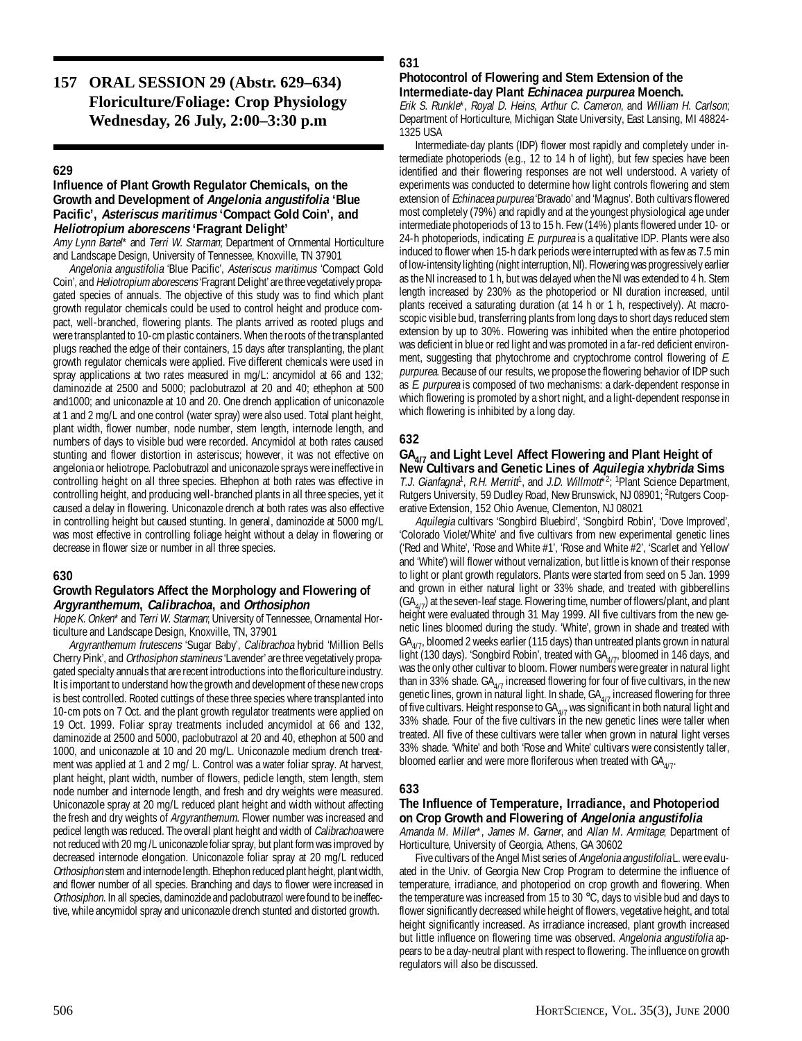# **157 ORAL SESSION 29 (Abstr. 629–634) Floriculture/Foliage: Crop Physiology Wednesday, 26 July, 2:00–3:30 p.m**

# **629**

# **Influence of Plant Growth Regulator Chemicals, on the Growth and Development of Angelonia angustifolia 'Blue Pacific', Asteriscus maritimus 'Compact Gold Coin', and Heliotropium aborescens 'Fragrant Delight'**

Amy Lynn Bartel\* and Terri W. Starman; Department of Ornmental Horticulture and Landscape Design, University of Tennessee, Knoxville, TN 37901

Angelonia angustifolia 'Blue Pacific', Asteriscus maritimus 'Compact Gold Coin', and Heliotropium aborescens 'Fragrant Delight' are three vegetatively propagated species of annuals. The objective of this study was to find which plant growth regulator chemicals could be used to control height and produce compact, well-branched, flowering plants. The plants arrived as rooted plugs and were transplanted to 10-cm plastic containers. When the roots of the transplanted plugs reached the edge of their containers, 15 days after transplanting, the plant growth regulator chemicals were applied. Five different chemicals were used in spray applications at two rates measured in mg/L: ancymidol at 66 and 132; daminozide at 2500 and 5000; paclobutrazol at 20 and 40; ethephon at 500 and1000; and uniconazole at 10 and 20. One drench application of uniconazole at 1 and 2 mg/L and one control (water spray) were also used. Total plant height, plant width, flower number, node number, stem length, internode length, and numbers of days to visible bud were recorded. Ancymidol at both rates caused stunting and flower distortion in asteriscus; however, it was not effective on angelonia or heliotrope. Paclobutrazol and uniconazole sprays were ineffective in controlling height on all three species. Ethephon at both rates was effective in controlling height, and producing well-branched plants in all three species, yet it caused a delay in flowering. Uniconazole drench at both rates was also effective in controlling height but caused stunting. In general, daminozide at 5000 mg/L was most effective in controlling foliage height without a delay in flowering or decrease in flower size or number in all three species.

#### **630**

# **Growth Regulators Affect the Morphology and Flowering of Argyranthemum, Calibrachoa, and Orthosiphon**

Hope K. Onken\* and Terri W. Starman; University of Tennessee, Ornamental Horticulture and Landscape Design, Knoxville, TN, 37901

Argyranthemum frutescens 'Sugar Baby', Calibrachoa hybrid 'Million Bells Cherry Pink', and Orthosiphon stamineus 'Lavender' are three vegetatively propagated specialty annuals that are recent introductions into the floriculture industry. It is important to understand how the growth and development of these new crops is best controlled. Rooted cuttings of these three species where transplanted into 10-cm pots on 7 Oct. and the plant growth regulator treatments were applied on 19 Oct. 1999. Foliar spray treatments included ancymidol at 66 and 132, daminozide at 2500 and 5000, paclobutrazol at 20 and 40, ethephon at 500 and 1000, and uniconazole at 10 and 20 mg/L. Uniconazole medium drench treatment was applied at 1 and 2 mg/ L. Control was a water foliar spray. At harvest, plant height, plant width, number of flowers, pedicle length, stem length, stem node number and internode length, and fresh and dry weights were measured. Uniconazole spray at 20 mg/L reduced plant height and width without affecting the fresh and dry weights of *Argyranthemum*. Flower number was increased and pedicel length was reduced. The overall plant height and width of Calibrachoa were not reduced with 20 mg /L uniconazole foliar spray, but plant form was improved by decreased internode elongation. Uniconazole foliar spray at 20 mg/L reduced Orthosiphon stem and internode length. Ethephon reduced plant height, plant width, and flower number of all species. Branching and days to flower were increased in Orthosiphon. In all species, daminozide and paclobutrazol were found to be ineffective, while ancymidol spray and uniconazole drench stunted and distorted growth.

# **631**

#### **Photocontrol of Flowering and Stem Extension of the Intermediate-day Plant Echinacea purpurea Moench.**

Erik S. Runkle\*, Royal D. Heins, Arthur C. Cameron, and William H. Carlson; Department of Horticulture, Michigan State University, East Lansing, MI 48824- 1325 USA

Intermediate-day plants (IDP) flower most rapidly and completely under intermediate photoperiods (e.g., 12 to 14 h of light), but few species have been identified and their flowering responses are not well understood. A variety of experiments was conducted to determine how light controls flowering and stem extension of Echinacea purpurea 'Bravado' and 'Magnus'. Both cultivars flowered most completely (79%) and rapidly and at the youngest physiological age under intermediate photoperiods of 13 to 15 h. Few (14%) plants flowered under 10- or 24-h photoperiods, indicating E. purpurea is a qualitative IDP. Plants were also induced to flower when 15-h dark periods were interrupted with as few as 7.5 min of low-intensity lighting (night interruption, NI). Flowering was progressively earlier as the NI increased to 1 h, but was delayed when the NI was extended to 4 h. Stem length increased by 230% as the photoperiod or NI duration increased, until plants received a saturating duration (at 14 h or 1 h, respectively). At macroscopic visible bud, transferring plants from long days to short days reduced stem extension by up to 30%. Flowering was inhibited when the entire photoperiod was deficient in blue or red light and was promoted in a far-red deficient environment, suggesting that phytochrome and cryptochrome control flowering of E. purpurea. Because of our results, we propose the flowering behavior of IDP such as E. purpurea is composed of two mechanisms: a dark-dependent response in which flowering is promoted by a short night, and a light-dependent response in which flowering is inhibited by a long day.

#### **632**

# **GA4/7 and Light Level Affect Flowering and Plant Height of New Cultivars and Genetic Lines of Aquilegia xhybrida Sims**

T.J. Gianfagna<sup>1</sup>, R.H. Merritt<sup>1</sup>, and J.D. Willmott<sup>\*2</sup>; <sup>1</sup>Plant Science Department, Rutgers University, 59 Dudley Road, New Brunswick, NJ 08901; <sup>2</sup>Rutgers Cooperative Extension, 152 Ohio Avenue, Clementon, NJ 08021

Aquilegia cultivars 'Songbird Bluebird', 'Songbird Robin', 'Dove Improved', 'Colorado Violet/White' and five cultivars from new experimental genetic lines ('Red and White', 'Rose and White #1', 'Rose and White #2', 'Scarlet and Yellow' and 'White') will flower without vernalization, but little is known of their response to light or plant growth regulators. Plants were started from seed on 5 Jan. 1999 and grown in either natural light or 33% shade, and treated with gibberellins  $(GA<sub>A/7</sub>)$  at the seven-leaf stage. Flowering time, number of flowers/plant, and plant height were evaluated through 31 May 1999. All five cultivars from the new genetic lines bloomed during the study. 'White', grown in shade and treated with  $GA_{4/7}$ , bloomed 2 weeks earlier (115 days) than untreated plants grown in natural light (130 days). 'Songbird Robin', treated with  $GA<sub>4/7</sub>$ , bloomed in 146 days, and was the only other cultivar to bloom. Flower numbers were greater in natural light than in 33% shade.  $GA_{4/7}$  increased flowering for four of five cultivars, in the new genetic lines, grown in natural light. In shade,  $GA_{4/7}$  increased flowering for three of five cultivars. Height response to  $GA_{4/7}$  was significant in both natural light and 33% shade. Four of the five cultivars in the new genetic lines were taller when treated. All five of these cultivars were taller when grown in natural light verses 33% shade. 'White' and both 'Rose and White' cultivars were consistently taller, bloomed earlier and were more floriferous when treated with  $GA_{4/7}$ .

#### **633**

# **The Influence of Temperature, Irradiance, and Photoperiod on Crop Growth and Flowering of Angelonia angustifolia**

Amanda M. Miller\*, James M. Garner, and Allan M. Armitage; Department of Horticulture, University of Georgia, Athens, GA 30602

Five cultivars of the Angel Mist series of Angelonia angustifolia L. were evaluated in the Univ. of Georgia New Crop Program to determine the influence of temperature, irradiance, and photoperiod on crop growth and flowering. When the temperature was increased from 15 to 30 °C, days to visible bud and days to flower significantly decreased while height of flowers, vegetative height, and total height significantly increased. As irradiance increased, plant growth increased but little influence on flowering time was observed. Angelonia angustifolia appears to be a day-neutral plant with respect to flowering. The influence on growth regulators will also be discussed.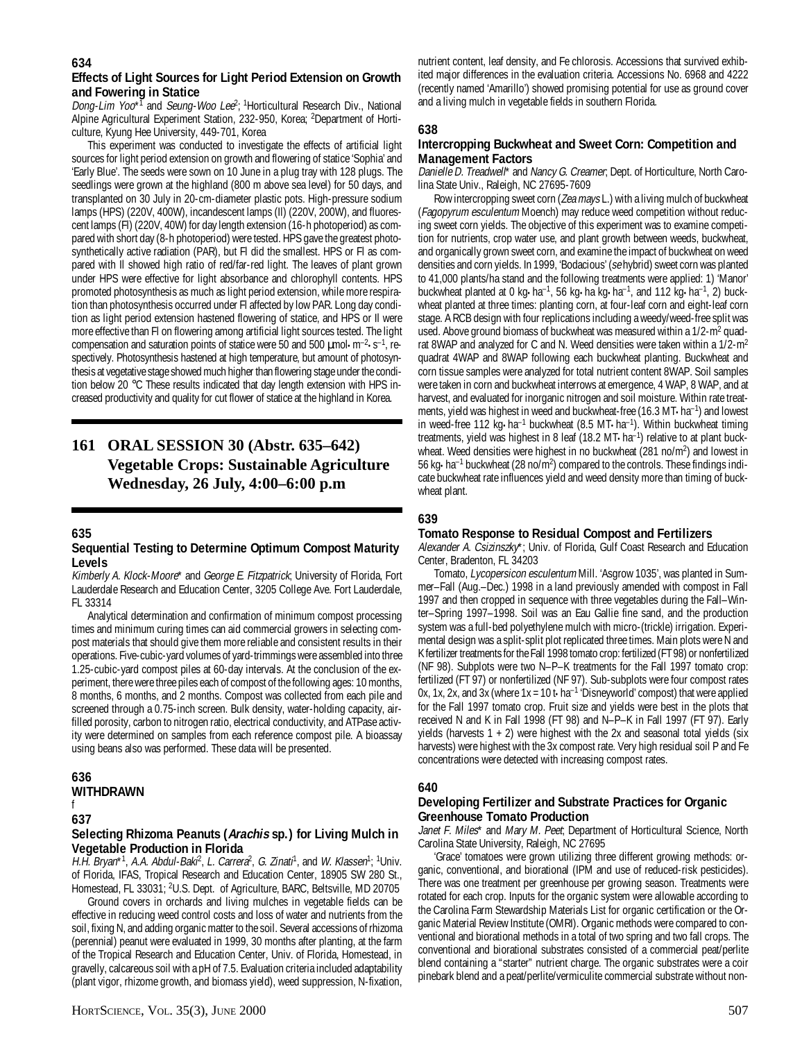# **Effects of Light Sources for Light Period Extension on Growth and Fowering in Statice**

Dong-Lim Yoo\*<sup>T</sup> and Seung-Woo Lee<sup>2</sup>; <sup>1</sup>Horticultural Research Div., National Alpine Agricultural Experiment Station, 232-950, Korea; <sup>2</sup>Department of Horticulture, Kyung Hee University, 449-701, Korea

This experiment was conducted to investigate the effects of artificial light sources for light period extension on growth and flowering of statice 'Sophia' and 'Early Blue'. The seeds were sown on 10 June in a plug tray with 128 plugs. The seedlings were grown at the highland (800 m above sea level) for 50 days, and transplanted on 30 July in 20-cm-diameter plastic pots. High-pressure sodium lamps (HPS) (220V, 400W), incandescent lamps (Il) (220V, 200W), and fluorescent lamps (Fl) (220V, 40W) for day length extension (16-h photoperiod) as compared with short day (8-h photoperiod) were tested. HPS gave the greatest photosynthetically active radiation (PAR), but Fl did the smallest. HPS or Fl as compared with Il showed high ratio of red/far-red light. The leaves of plant grown under HPS were effective for light absorbance and chlorophyll contents. HPS promoted photosynthesis as much as light period extension, while more respiration than photosynthesis occurred under Fl affected by low PAR. Long day condition as light period extension hastened flowering of statice, and HPS or Il were more effective than Fl on flowering among artificial light sources tested. The light compensation and saturation points of statice were 50 and 500  $\mu$ mol $\cdot$ m<sup>-2</sup> $\cdot$ s<sup>-1</sup>, respectively. Photosynthesis hastened at high temperature, but amount of photosynthesis at vegetative stage showed much higher than flowering stage under the condition below 20 °C These results indicated that day length extension with HPS increased productivity and quality for cut flower of statice at the highland in Korea.

# **161 ORAL SESSION 30 (Abstr. 635–642) Vegetable Crops: Sustainable Agriculture Wednesday, 26 July, 4:00–6:00 p.m**

#### **635**

#### **Sequential Testing to Determine Optimum Compost Maturity Levels**

Kimberly A. Klock-Moore\* and George E. Fitzpatrick; University of Florida, Fort Lauderdale Research and Education Center, 3205 College Ave. Fort Lauderdale, FL 33314

Analytical determination and confirmation of minimum compost processing times and minimum curing times can aid commercial growers in selecting compost materials that should give them more reliable and consistent results in their operations. Five-cubic-yard volumes of yard-trimmings were assembled into three 1.25-cubic-yard compost piles at 60-day intervals. At the conclusion of the experiment, there were three piles each of compost of the following ages: 10 months, 8 months, 6 months, and 2 months. Compost was collected from each pile and screened through a 0.75-inch screen. Bulk density, water-holding capacity, airfilled porosity, carbon to nitrogen ratio, electrical conductivity, and ATPase activity were determined on samples from each reference compost pile. A bioassay using beans also was performed. These data will be presented.

#### **636 WITHDRAWN** f

#### **637**

#### **Selecting Rhizoma Peanuts (Arachis sp.) for Living Mulch in Vegetable Production in Florida**

H.H. Bryan\*<sup>1</sup>, A.A. Abdul-Baki<sup>2</sup>, L. Carrera<sup>2</sup>, G. Zinati<sup>1</sup>, and W. Klassen<sup>1</sup>; <sup>1</sup>Univ. of Florida, IFAS, Tropical Research and Education Center, 18905 SW 280 St., Homestead, FL 33031; <sup>2</sup>U.S. Dept. of Agriculture, BARC, Beltsville, MD 20705

Ground covers in orchards and living mulches in vegetable fields can be effective in reducing weed control costs and loss of water and nutrients from the soil, fixing N, and adding organic matter to the soil. Several accessions of rhizoma (perennial) peanut were evaluated in 1999, 30 months after planting, at the farm of the Tropical Research and Education Center, Univ. of Florida, Homestead, in gravelly, calcareous soil with a pH of 7.5. Evaluation criteria included adaptability (plant vigor, rhizome growth, and biomass yield), weed suppression, N-fixation,

nutrient content, leaf density, and Fe chlorosis. Accessions that survived exhibited major differences in the evaluation criteria. Accessions No. 6968 and 4222 (recently named 'Amarillo') showed promising potential for use as ground cover and a living mulch in vegetable fields in southern Florida.

# **638**

# **Intercropping Buckwheat and Sweet Corn: Competition and Management Factors**

Danielle D. Treadwell\* and Nancy G. Creamer; Dept. of Horticulture, North Carolina State Univ., Raleigh, NC 27695-7609

Row intercropping sweet corn (Zea mays L.) with a living mulch of buckwheat (Fagopyrum esculentum Moench) may reduce weed competition without reducing sweet corn yields. The objective of this experiment was to examine competition for nutrients, crop water use, and plant growth between weeds, buckwheat, and organically grown sweet corn, and examine the impact of buckwheat on weed densities and corn yields. In 1999, 'Bodacious' (se hybrid) sweet corn was planted to 41,000 plants/ha stand and the following treatments were applied: 1) 'Manor' buckwheat planted at 0 kg•ha<sup>-1</sup>, 56 kg•ha kg•ha<sup>-1</sup>, and 112 kg•ha<sup>-1</sup>, 2) buckwheat planted at three times: planting corn, at four-leaf corn and eight-leaf corn stage. A RCB design with four replications including a weedy/weed-free split was used. Above ground biomass of buckwheat was measured within a 1/2-m<sup>2</sup> quadrat 8WAP and analyzed for C and N. Weed densities were taken within a 1/2-m<sup>2</sup> quadrat 4WAP and 8WAP following each buckwheat planting. Buckwheat and corn tissue samples were analyzed for total nutrient content 8WAP. Soil samples were taken in corn and buckwheat interrows at emergence, 4 WAP, 8 WAP, and at harvest, and evaluated for inorganic nitrogen and soil moisture. Within rate treatments, yield was highest in weed and buckwheat-free (16.3 MT•ha–1) and lowest in weed-free 112 kg·ha<sup>-1</sup> buckwheat (8.5 MT·ha<sup>-1</sup>). Within buckwheat timing treatments, yield was highest in 8 leaf (18.2 MT•ha<sup>-1</sup>) relative to at plant buckwheat. Weed densities were highest in no buckwheat (281 no/m<sup>2</sup>) and lowest in 56 kg•ha<sup>-1</sup> buckwheat (28 no/m<sup>2</sup>) compared to the controls. These findings indicate buckwheat rate influences yield and weed density more than timing of buckwheat plant.

# **639**

#### **Tomato Response to Residual Compost and Fertilizers**

Alexander A. Csizinszky\*; Univ. of Florida, Gulf Coast Research and Education Center, Bradenton, FL 34203

Tomato, Lycopersicon esculentum Mill. 'Asgrow 1035', was planted in Summer–Fall (Aug.–Dec.) 1998 in a land previously amended with compost in Fall 1997 and then cropped in sequence with three vegetables during the Fall–Winter–Spring 1997–1998. Soil was an Eau Gallie fine sand, and the production system was a full-bed polyethylene mulch with micro-(trickle) irrigation. Experimental design was a split-split plot replicated three times. Main plots were N and K fertilizer treatments for the Fall 1998 tomato crop: fertilized (FT 98) or nonfertilized (NF 98). Subplots were two N–P–K treatments for the Fall 1997 tomato crop: fertilized (FT 97) or nonfertilized (NF 97). Sub-subplots were four compost rates 0x, 1x, 2x, and 3x (where  $1x = 10t \cdot ha^{-1}$  'Disneyworld' compost) that were applied for the Fall 1997 tomato crop. Fruit size and yields were best in the plots that received N and K in Fall 1998 (FT 98) and N–P–K in Fall 1997 (FT 97). Early yields (harvests 1 + 2) were highest with the 2x and seasonal total yields (six harvests) were highest with the 3x compost rate. Very high residual soil P and Fe concentrations were detected with increasing compost rates.

# **640**

# **Developing Fertilizer and Substrate Practices for Organic Greenhouse Tomato Production**

Janet F. Miles\* and Mary M. Peet; Department of Horticultural Science, North Carolina State University, Raleigh, NC 27695

'Grace' tomatoes were grown utilizing three different growing methods: organic, conventional, and biorational (IPM and use of reduced-risk pesticides). There was one treatment per greenhouse per growing season. Treatments were rotated for each crop. Inputs for the organic system were allowable according to the Carolina Farm Stewardship Materials List for organic certification or the Organic Material Review Institute (OMRI). Organic methods were compared to conventional and biorational methods in a total of two spring and two fall crops. The conventional and biorational substrates consisted of a commercial peat/perlite blend containing a "starter" nutrient charge. The organic substrates were a coir pinebark blend and a peat/perlite/vermiculite commercial substrate without non-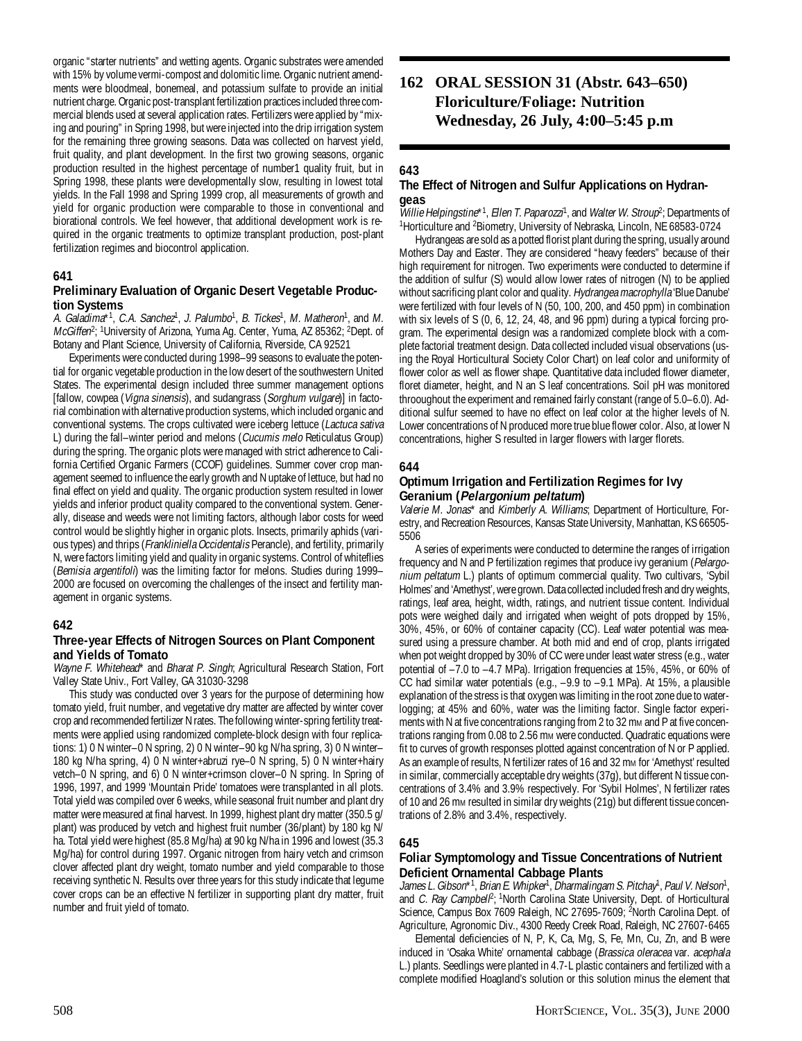organic "starter nutrients" and wetting agents. Organic substrates were amended with 15% by volume vermi-compost and dolomitic lime. Organic nutrient amendments were bloodmeal, bonemeal, and potassium sulfate to provide an initial nutrient charge. Organic post-transplant fertilization practices included three commercial blends used at several application rates. Fertilizers were applied by "mixing and pouring" in Spring 1998, but were injected into the drip irrigation system for the remaining three growing seasons. Data was collected on harvest yield, fruit quality, and plant development. In the first two growing seasons, organic production resulted in the highest percentage of number1 quality fruit, but in Spring 1998, these plants were developmentally slow, resulting in lowest total yields. In the Fall 1998 and Spring 1999 crop, all measurements of growth and yield for organic production were comparable to those in conventional and biorational controls. We feel however, that additional development work is required in the organic treatments to optimize transplant production, post-plant fertilization regimes and biocontrol application.

#### **641**

# **Preliminary Evaluation of Organic Desert Vegetable Production Systems**

A. Galadima<sup>\*1</sup>, C.A. Sanchez<sup>1</sup>, J. Palumbo<sup>1</sup>, B. Tickes<sup>1</sup>, M. Matheron<sup>1</sup>, and M. *McGiffen*<sup>2</sup>; <sup>1</sup>University of Arizona, Yuma Ag. Center, Yuma, AZ 85362; <sup>2</sup>Dept. of Botany and Plant Science, University of California, Riverside, CA 92521

Experiments were conducted during 1998–99 seasons to evaluate the potential for organic vegetable production in the low desert of the southwestern United States. The experimental design included three summer management options [fallow, cowpea (Vigna sinensis), and sudangrass (Sorghum vulgare)] in factorial combination with alternative production systems, which included organic and conventional systems. The crops cultivated were iceberg lettuce (Lactuca sativa L) during the fall–winter period and melons (Cucumis melo Reticulatus Group) during the spring. The organic plots were managed with strict adherence to California Certified Organic Farmers (CCOF) guidelines. Summer cover crop management seemed to influence the early growth and N uptake of lettuce, but had no final effect on yield and quality. The organic production system resulted in lower yields and inferior product quality compared to the conventional system. Generally, disease and weeds were not limiting factors, although labor costs for weed control would be slightly higher in organic plots. Insects, primarily aphids (various types) and thrips (Frankliniella Occidentalis Perancle), and fertility, primarily N, were factors limiting yield and quality in organic systems. Control of whiteflies (Bemisia argentifoli) was the limiting factor for melons. Studies during 1999– 2000 are focused on overcoming the challenges of the insect and fertility management in organic systems.

#### **642**

#### **Three-year Effects of Nitrogen Sources on Plant Component and Yields of Tomato**

Wayne F. Whitehead\* and Bharat P. Singh; Agricultural Research Station, Fort Valley State Univ., Fort Valley, GA 31030-3298

This study was conducted over 3 years for the purpose of determining how tomato yield, fruit number, and vegetative dry matter are affected by winter cover crop and recommended fertilizer N rates. The following winter-spring fertility treatments were applied using randomized complete-block design with four replications: 1) 0 N winter–0 N spring, 2) 0 N winter–90 kg N/ha spring, 3) 0 N winter– 180 kg N/ha spring, 4) 0 N winter+abruzi rye–0 N spring, 5) 0 N winter+hairy vetch–0 N spring, and 6) 0 N winter+crimson clover–0 N spring. In Spring of 1996, 1997, and 1999 'Mountain Pride' tomatoes were transplanted in all plots. Total yield was compiled over 6 weeks, while seasonal fruit number and plant dry matter were measured at final harvest. In 1999, highest plant dry matter (350.5 g/ plant) was produced by vetch and highest fruit number (36/plant) by 180 kg N/ ha. Total yield were highest (85.8 Mg/ha) at 90 kg N/ha in 1996 and lowest (35.3 Mg/ha) for control during 1997. Organic nitrogen from hairy vetch and crimson clover affected plant dry weight, tomato number and yield comparable to those receiving synthetic N. Results over three years for this study indicate that legume cover crops can be an effective N fertilizer in supporting plant dry matter, fruit number and fruit yield of tomato.

# **162 ORAL SESSION 31 (Abstr. 643–650) Floriculture/Foliage: Nutrition Wednesday, 26 July, 4:00–5:45 p.m**

# **643**

# **The Effect of Nitrogen and Sulfur Applications on Hydrangeas**

Willie Helpingstine\*<sup>1</sup>, Ellen T. Paparozzi<sup>1</sup>, and Walter W. Stroup<sup>2</sup>; Departments of <sup>1</sup>Horticulture and <sup>2</sup>Biometry, University of Nebraska, Lincoln, NE 68583-0724

Hydrangeas are sold as a potted florist plant during the spring, usually around Mothers Day and Easter. They are considered "heavy feeders" because of their high requirement for nitrogen. Two experiments were conducted to determine if the addition of sulfur (S) would allow lower rates of nitrogen (N) to be applied without sacrificing plant color and quality. Hydrangea macrophylla 'Blue Danube' were fertilized with four levels of N (50, 100, 200, and 450 ppm) in combination with six levels of S (0, 6, 12, 24, 48, and 96 ppm) during a typical forcing program. The experimental design was a randomized complete block with a complete factorial treatment design. Data collected included visual observations (using the Royal Horticultural Society Color Chart) on leaf color and uniformity of flower color as well as flower shape. Quantitative data included flower diameter, floret diameter, height, and N an S leaf concentrations. Soil pH was monitored throoughout the experiment and remained fairly constant (range of 5.0–6.0). Additional sulfur seemed to have no effect on leaf color at the higher levels of N. Lower concentrations of N produced more true blue flower color. Also, at lower N concentrations, higher S resulted in larger flowers with larger florets.

#### **644**

### **Optimum Irrigation and Fertilization Regimes for Ivy Geranium (Pelargonium peltatum)**

Valerie M. Jonas\* and Kimberly A. Williams; Department of Horticulture, Forestry, and Recreation Resources, Kansas State University, Manhattan, KS 66505- 5506

A series of experiments were conducted to determine the ranges of irrigation frequency and N and P fertilization regimes that produce ivy geranium (Pelargonium peltatum L.) plants of optimum commercial quality. Two cultivars, 'Sybil Holmes' and 'Amethyst', were grown. Data collected included fresh and dry weights, ratings, leaf area, height, width, ratings, and nutrient tissue content. Individual pots were weighed daily and irrigated when weight of pots dropped by 15%, 30%, 45%, or 60% of container capacity (CC). Leaf water potential was measured using a pressure chamber. At both mid and end of crop, plants irrigated when pot weight dropped by 30% of CC were under least water stress (e.g., water potential of –7.0 to –4.7 MPa). Irrigation frequencies at 15%, 45%, or 60% of CC had similar water potentials (e.g., –9.9 to –9.1 MPa). At 15%, a plausible explanation of the stress is that oxygen was limiting in the root zone due to waterlogging; at 45% and 60%, water was the limiting factor. Single factor experiments with N at five concentrations ranging from 2 to 32 mm and P at five concentrations ranging from 0.08 to 2.56 mm were conducted. Quadratic equations were fit to curves of growth responses plotted against concentration of N or P applied. As an example of results, N fertilizer rates of 16 and 32 mm for 'Amethyst' resulted in similar, commercially acceptable dry weights (37g), but different N tissue concentrations of 3.4% and 3.9% respectively. For 'Sybil Holmes', N fertilizer rates of 10 and 26 mm resulted in similar dry weights (21g) but different tissue concentrations of 2.8% and 3.4%, respectively.

#### **645**

#### **Foliar Symptomology and Tissue Concentrations of Nutrient Deficient Ornamental Cabbage Plants**

James L. Gibson\*1, Brian E. Whipker<sup>1</sup>, Dharmalingam S. Pitchay<sup>1</sup>, Paul V. Nelson<sup>1</sup>, and C. Ray Campbel<sup>p</sup>; <sup>1</sup>North Carolina State University, Dept. of Horticultural Science, Campus Box 7609 Raleigh, NC 27695-7609; <sup>2</sup>North Carolina Dept. of Agriculture, Agronomic Div., 4300 Reedy Creek Road, Raleigh, NC 27607-6465

Elemental deficiencies of N, P, K, Ca, Mg, S, Fe, Mn, Cu, Zn, and B were induced in 'Osaka White' ornamental cabbage (Brassica oleracea var. acephala L.) plants. Seedlings were planted in 4.7-L plastic containers and fertilized with a complete modified Hoagland's solution or this solution minus the element that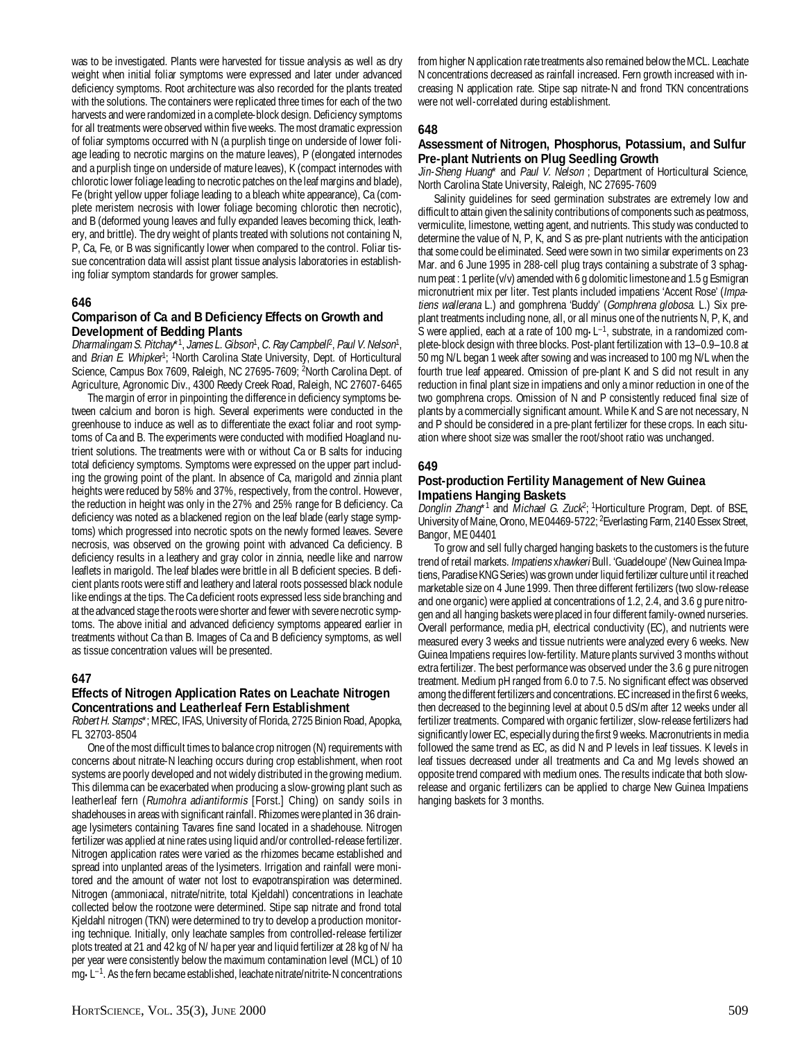was to be investigated. Plants were harvested for tissue analysis as well as dry weight when initial foliar symptoms were expressed and later under advanced deficiency symptoms. Root architecture was also recorded for the plants treated with the solutions. The containers were replicated three times for each of the two harvests and were randomized in a complete-block design. Deficiency symptoms for all treatments were observed within five weeks. The most dramatic expression of foliar symptoms occurred with N (a purplish tinge on underside of lower foliage leading to necrotic margins on the mature leaves), P (elongated internodes and a purplish tinge on underside of mature leaves), K (compact internodes with chlorotic lower foliage leading to necrotic patches on the leaf margins and blade), Fe (bright yellow upper foliage leading to a bleach white appearance), Ca (complete meristem necrosis with lower foliage becoming chlorotic then necrotic), and B (deformed young leaves and fully expanded leaves becoming thick, leathery, and brittle). The dry weight of plants treated with solutions not containing N, P, Ca, Fe, or B was significantly lower when compared to the control. Foliar tissue concentration data will assist plant tissue analysis laboratories in establishing foliar symptom standards for grower samples.

# **646**

#### **Comparison of Ca and B Deficiency Effects on Growth and Development of Bedding Plants**

Dharmalingam S. Pitchay\*1, James L. Gibson<sup>1</sup>, C. Ray Campbell<sup>p</sup>, Paul V. Nelson<sup>1</sup>, and Brian E. Whipker<sup>1</sup>; <sup>1</sup>North Carolina State University, Dept. of Horticultural Science, Campus Box 7609, Raleigh, NC 27695-7609; <sup>2</sup>North Carolina Dept. of Agriculture, Agronomic Div., 4300 Reedy Creek Road, Raleigh, NC 27607-6465

The margin of error in pinpointing the difference in deficiency symptoms between calcium and boron is high. Several experiments were conducted in the greenhouse to induce as well as to differentiate the exact foliar and root symptoms of Ca and B. The experiments were conducted with modified Hoagland nutrient solutions. The treatments were with or without Ca or B salts for inducing total deficiency symptoms. Symptoms were expressed on the upper part including the growing point of the plant. In absence of Ca, marigold and zinnia plant heights were reduced by 58% and 37%, respectively, from the control. However, the reduction in height was only in the 27% and 25% range for B deficiency. Ca deficiency was noted as a blackened region on the leaf blade (early stage symptoms) which progressed into necrotic spots on the newly formed leaves. Severe necrosis, was observed on the growing point with advanced Ca deficiency. B deficiency results in a leathery and gray color in zinnia, needle like and narrow leaflets in marigold. The leaf blades were brittle in all B deficient species. B deficient plants roots were stiff and leathery and lateral roots possessed black nodule like endings at the tips. The Ca deficient roots expressed less side branching and at the advanced stage the roots were shorter and fewer with severe necrotic symptoms. The above initial and advanced deficiency symptoms appeared earlier in treatments without Ca than B. Images of Ca and B deficiency symptoms, as well as tissue concentration values will be presented.

#### **647**

#### **Effects of Nitrogen Application Rates on Leachate Nitrogen Concentrations and Leatherleaf Fern Establishment**

Robert H. Stamps\*; MREC, IFAS, University of Florida, 2725 Binion Road, Apopka, FL 32703-8504

One of the most difficult times to balance crop nitrogen (N) requirements with concerns about nitrate-N leaching occurs during crop establishment, when root systems are poorly developed and not widely distributed in the growing medium. This dilemma can be exacerbated when producing a slow-growing plant such as leatherleaf fern (Rumohra adiantiformis [Forst.] Ching) on sandy soils in shadehouses in areas with significant rainfall. Rhizomes were planted in 36 drainage lysimeters containing Tavares fine sand located in a shadehouse. Nitrogen fertilizer was applied at nine rates using liquid and/or controlled-release fertilizer. Nitrogen application rates were varied as the rhizomes became established and spread into unplanted areas of the lysimeters. Irrigation and rainfall were monitored and the amount of water not lost to evapotranspiration was determined. Nitrogen (ammoniacal, nitrate/nitrite, total Kjeldahl) concentrations in leachate collected below the rootzone were determined. Stipe sap nitrate and frond total Kjeldahl nitrogen (TKN) were determined to try to develop a production monitoring technique. Initially, only leachate samples from controlled-release fertilizer plots treated at 21 and 42 kg of N/ ha per year and liquid fertilizer at 28 kg of N/ ha per year were consistently below the maximum contamination level (MCL) of 10 mg•L–1. As the fern became established, leachate nitrate/nitrite-N concentrations

from higher N application rate treatments also remained below the MCL. Leachate N concentrations decreased as rainfall increased. Fern growth increased with increasing N application rate. Stipe sap nitrate-N and frond TKN concentrations were not well-correlated during establishment.

#### **648**

# **Assessment of Nitrogen, Phosphorus, Potassium, and Sulfur Pre-plant Nutrients on Plug Seedling Growth**

Jin-Sheng Huang\* and Paul V. Nelson ; Department of Horticultural Science, North Carolina State University, Raleigh, NC 27695-7609

Salinity guidelines for seed germination substrates are extremely low and difficult to attain given the salinity contributions of components such as peatmoss, vermiculite, limestone, wetting agent, and nutrients. This study was conducted to determine the value of N, P, K, and S as pre-plant nutrients with the anticipation that some could be eliminated. Seed were sown in two similar experiments on 23 Mar. and 6 June 1995 in 288-cell plug trays containing a substrate of 3 sphagnum peat : 1 perlite (v/v) amended with 6 g dolomitic limestone and 1.5 g Esmigran micronutrient mix per liter. Test plants included impatiens 'Accent Rose' (Impatiens wallerana L.) and gomphrena 'Buddy' (Gomphrena globosa. L.) Six preplant treatments including none, all, or all minus one of the nutrients N, P, K, and S were applied, each at a rate of 100 mg $\cdot$ L<sup>-1</sup>, substrate, in a randomized complete-block design with three blocks. Post-plant fertilization with 13–0.9–10.8 at 50 mg N/L began 1 week after sowing and was increased to 100 mg N/L when the fourth true leaf appeared. Omission of pre-plant K and S did not result in any reduction in final plant size in impatiens and only a minor reduction in one of the two gomphrena crops. Omission of N and P consistently reduced final size of plants by a commercially significant amount. While K and S are not necessary, N and P should be considered in a pre-plant fertilizer for these crops. In each situation where shoot size was smaller the root/shoot ratio was unchanged.

#### **649**

#### **Post-production Fertility Management of New Guinea Impatiens Hanging Baskets**

Donglin Zhang<sup>\*1</sup> and Michael G. Zuck<sup>2</sup>; <sup>1</sup>Horticulture Program, Dept. of BSE, University of Maine, Orono, ME 04469-5722; <sup>2</sup>Everlasting Farm, 2140 Essex Street, Bangor, ME 04401

To grow and sell fully charged hanging baskets to the customers is the future trend of retail markets. Impatiens xhawkeri Bull. 'Guadeloupe' (New Guinea Impatiens, Paradise KNG Series) was grown under liquid fertilizer culture until it reached marketable size on 4 June 1999. Then three different fertilizers (two slow-release and one organic) were applied at concentrations of 1.2, 2.4, and 3.6 g pure nitrogen and all hanging baskets were placed in four different family-owned nurseries. Overall performance, media pH, electrical conductivity (EC), and nutrients were measured every 3 weeks and tissue nutrients were analyzed every 6 weeks. New Guinea Impatiens requires low-fertility. Mature plants survived 3 months without extra fertilizer. The best performance was observed under the 3.6 g pure nitrogen treatment. Medium pH ranged from 6.0 to 7.5. No significant effect was observed among the different fertilizers and concentrations. EC increased in the first 6 weeks, then decreased to the beginning level at about 0.5 dS/m after 12 weeks under all fertilizer treatments. Compared with organic fertilizer, slow-release fertilizers had significantly lower EC, especially during the first 9 weeks. Macronutrients in media followed the same trend as EC, as did N and P levels in leaf tissues. K levels in leaf tissues decreased under all treatments and Ca and Mg levels showed an opposite trend compared with medium ones. The results indicate that both slowrelease and organic fertilizers can be applied to charge New Guinea Impatiens hanging baskets for 3 months.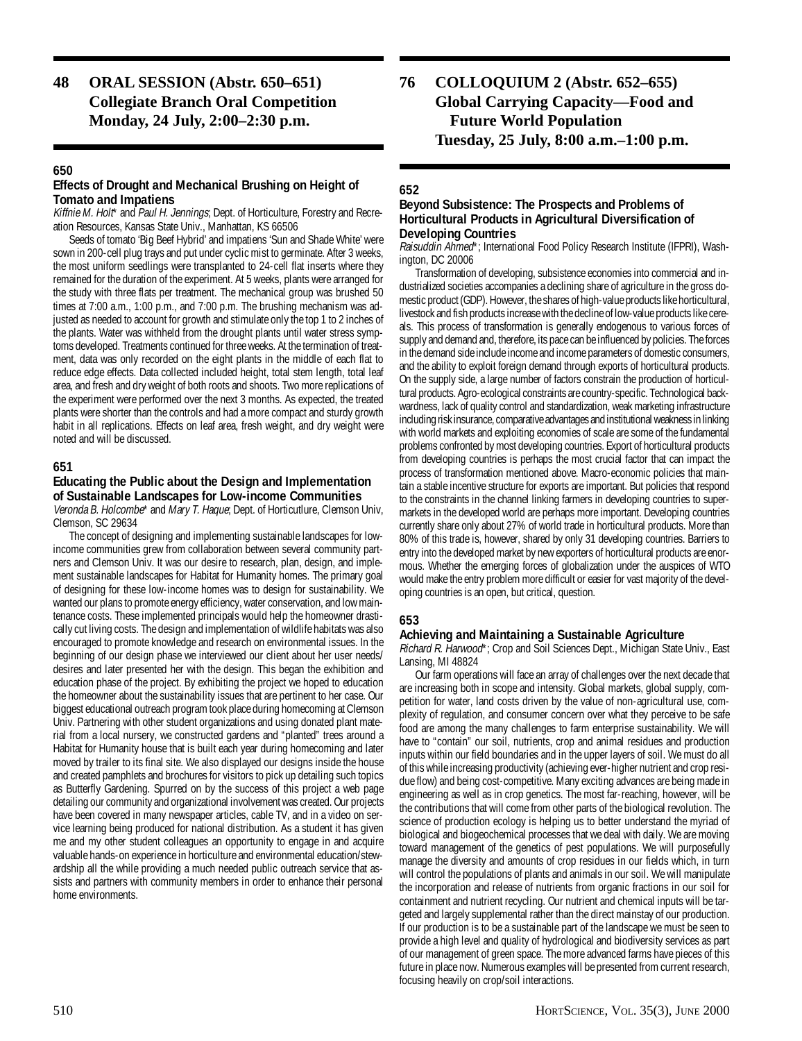**48 ORAL SESSION (Abstr. 650–651) Collegiate Branch Oral Competition Monday, 24 July, 2:00–2:30 p.m.**

# **650**

# **Effects of Drought and Mechanical Brushing on Height of Tomato and Impatiens**

Kiffnie M. Holt\* and Paul H. Jennings; Dept. of Horticulture, Forestry and Recreation Resources, Kansas State Univ., Manhattan, KS 66506

Seeds of tomato 'Big Beef Hybrid' and impatiens 'Sun and Shade White' were sown in 200-cell plug trays and put under cyclic mist to germinate. After 3 weeks, the most uniform seedlings were transplanted to 24-cell flat inserts where they remained for the duration of the experiment. At 5 weeks, plants were arranged for the study with three flats per treatment. The mechanical group was brushed 50 times at 7:00 a.m., 1:00 p.m., and 7:00 p.m. The brushing mechanism was adjusted as needed to account for growth and stimulate only the top 1 to 2 inches of the plants. Water was withheld from the drought plants until water stress symptoms developed. Treatments continued for three weeks. At the termination of treatment, data was only recorded on the eight plants in the middle of each flat to reduce edge effects. Data collected included height, total stem length, total leaf area, and fresh and dry weight of both roots and shoots. Two more replications of the experiment were performed over the next 3 months. As expected, the treated plants were shorter than the controls and had a more compact and sturdy growth habit in all replications. Effects on leaf area, fresh weight, and dry weight were noted and will be discussed.

#### **651**

# **Educating the Public about the Design and Implementation of Sustainable Landscapes for Low-income Communities**

Veronda B. Holcombe\* and Mary T. Haque; Dept. of Horticutlure, Clemson Univ, Clemson, SC 29634

The concept of designing and implementing sustainable landscapes for lowincome communities grew from collaboration between several community partners and Clemson Univ. It was our desire to research, plan, design, and implement sustainable landscapes for Habitat for Humanity homes. The primary goal of designing for these low-income homes was to design for sustainability. We wanted our plans to promote energy efficiency, water conservation, and low maintenance costs. These implemented principals would help the homeowner drastically cut living costs. The design and implementation of wildlife habitats was also encouraged to promote knowledge and research on environmental issues. In the beginning of our design phase we interviewed our client about her user needs/ desires and later presented her with the design. This began the exhibition and education phase of the project. By exhibiting the project we hoped to education the homeowner about the sustainability issues that are pertinent to her case. Our biggest educational outreach program took place during homecoming at Clemson Univ. Partnering with other student organizations and using donated plant material from a local nursery, we constructed gardens and "planted" trees around a Habitat for Humanity house that is built each year during homecoming and later moved by trailer to its final site. We also displayed our designs inside the house and created pamphlets and brochures for visitors to pick up detailing such topics as Butterfly Gardening. Spurred on by the success of this project a web page detailing our community and organizational involvement was created. Our projects have been covered in many newspaper articles, cable TV, and in a video on service learning being produced for national distribution. As a student it has given me and my other student colleagues an opportunity to engage in and acquire valuable hands-on experience in horticulture and environmental education/stewardship all the while providing a much needed public outreach service that assists and partners with community members in order to enhance their personal home environments.

**76 COLLOQUIUM 2 (Abstr. 652–655) Global Carrying Capacity—Food and Future World Population Tuesday, 25 July, 8:00 a.m.–1:00 p.m.**

# **652**

#### **Beyond Subsistence: The Prospects and Problems of Horticultural Products in Agricultural Diversification of Developing Countries**

Raisuddin Ahmed\*; International Food Policy Research Institute (IFPRI), Washington, DC 20006

Transformation of developing, subsistence economies into commercial and industrialized societies accompanies a declining share of agriculture in the gross domestic product (GDP). However, the shares of high-value products like horticultural, livestock and fish products increase with the decline of low-value products like cereals. This process of transformation is generally endogenous to various forces of supply and demand and, therefore, its pace can be influenced by policies. The forces in the demand side include income and income parameters of domestic consumers, and the ability to exploit foreign demand through exports of horticultural products. On the supply side, a large number of factors constrain the production of horticultural products. Agro-ecological constraints are country-specific. Technological backwardness, lack of quality control and standardization, weak marketing infrastructure including risk insurance, comparative advantages and institutional weakness in linking with world markets and exploiting economies of scale are some of the fundamental problems confronted by most developing countries. Export of horticultural products from developing countries is perhaps the most crucial factor that can impact the process of transformation mentioned above. Macro-economic policies that maintain a stable incentive structure for exports are important. But policies that respond to the constraints in the channel linking farmers in developing countries to supermarkets in the developed world are perhaps more important. Developing countries currently share only about 27% of world trade in horticultural products. More than 80% of this trade is, however, shared by only 31 developing countries. Barriers to entry into the developed market by new exporters of horticultural products are enormous. Whether the emerging forces of globalization under the auspices of WTO would make the entry problem more difficult or easier for vast majority of the developing countries is an open, but critical, question.

#### **653**

#### **Achieving and Maintaining a Sustainable Agriculture**

Richard R. Harwood\*; Crop and Soil Sciences Dept., Michigan State Univ., East Lansing, MI 48824

Our farm operations will face an array of challenges over the next decade that are increasing both in scope and intensity. Global markets, global supply, competition for water, land costs driven by the value of non-agricultural use, complexity of regulation, and consumer concern over what they perceive to be safe food are among the many challenges to farm enterprise sustainability. We will have to "contain" our soil, nutrients, crop and animal residues and production inputs within our field boundaries and in the upper layers of soil. We must do all of this while increasing productivity (achieving ever-higher nutrient and crop residue flow) and being cost-competitive. Many exciting advances are being made in engineering as well as in crop genetics. The most far-reaching, however, will be the contributions that will come from other parts of the biological revolution. The science of production ecology is helping us to better understand the myriad of biological and biogeochemical processes that we deal with daily. We are moving toward management of the genetics of pest populations. We will purposefully manage the diversity and amounts of crop residues in our fields which, in turn will control the populations of plants and animals in our soil. We will manipulate the incorporation and release of nutrients from organic fractions in our soil for containment and nutrient recycling. Our nutrient and chemical inputs will be targeted and largely supplemental rather than the direct mainstay of our production. If our production is to be a sustainable part of the landscape we must be seen to provide a high level and quality of hydrological and biodiversity services as part of our management of green space. The more advanced farms have pieces of this future in place now. Numerous examples will be presented from current research, focusing heavily on crop/soil interactions.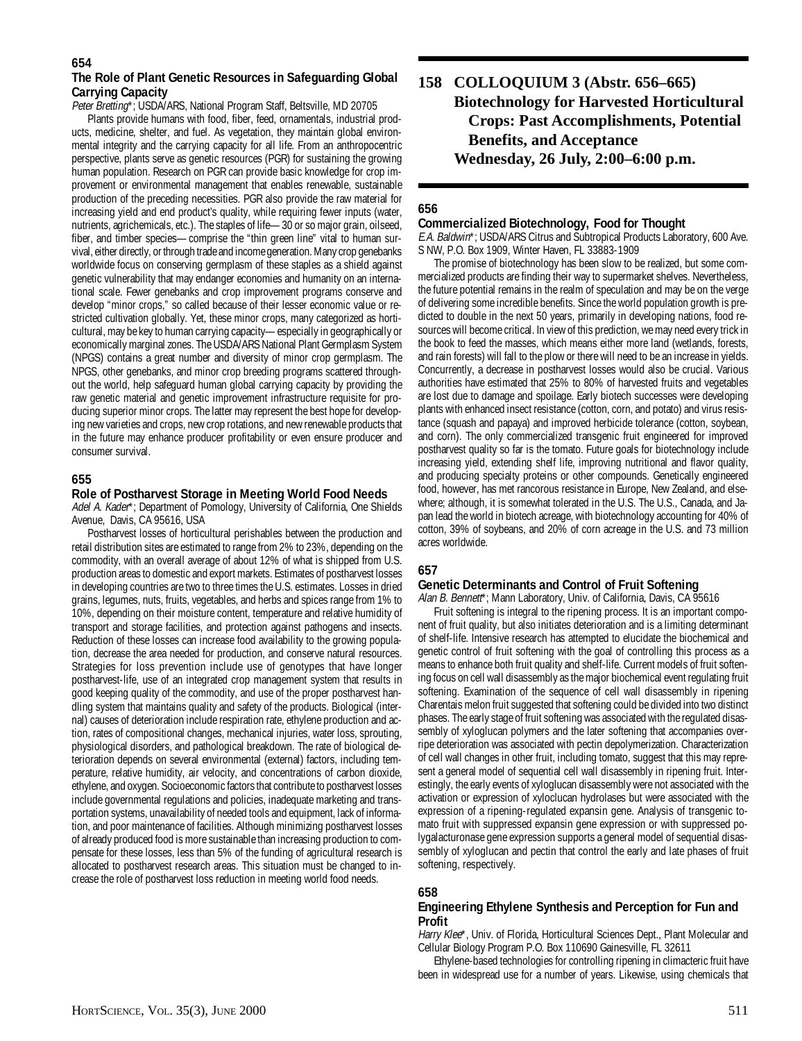# **The Role of Plant Genetic Resources in Safeguarding Global Carrying Capacity**

Peter Bretting\*; USDA/ARS, National Program Staff, Beltsville, MD 20705

Plants provide humans with food, fiber, feed, ornamentals, industrial products, medicine, shelter, and fuel. As vegetation, they maintain global environmental integrity and the carrying capacity for all life. From an anthropocentric perspective, plants serve as genetic resources (PGR) for sustaining the growing human population. Research on PGR can provide basic knowledge for crop improvement or environmental management that enables renewable, sustainable production of the preceding necessities. PGR also provide the raw material for increasing yield and end product's quality, while requiring fewer inputs (water, nutrients, agrichemicals, etc.). The staples of life—30 or so major grain, oilseed, fiber, and timber species—comprise the "thin green line" vital to human survival, either directly, or through trade and income generation. Many crop genebanks worldwide focus on conserving germplasm of these staples as a shield against genetic vulnerability that may endanger economies and humanity on an international scale. Fewer genebanks and crop improvement programs conserve and develop "minor crops," so called because of their lesser economic value or restricted cultivation globally. Yet, these minor crops, many categorized as horticultural, may be key to human carrying capacity—especially in geographically or economically marginal zones. The USDA/ARS National Plant Germplasm System (NPGS) contains a great number and diversity of minor crop germplasm. The NPGS, other genebanks, and minor crop breeding programs scattered throughout the world, help safeguard human global carrying capacity by providing the raw genetic material and genetic improvement infrastructure requisite for producing superior minor crops. The latter may represent the best hope for developing new varieties and crops, new crop rotations, and new renewable products that in the future may enhance producer profitability or even ensure producer and consumer survival.

# **655**

#### **Role of Postharvest Storage in Meeting World Food Needs**

Adel A. Kader\*; Department of Pomology, University of California, One Shields Avenue, Davis, CA 95616, USA

Postharvest losses of horticultural perishables between the production and retail distribution sites are estimated to range from 2% to 23%, depending on the commodity, with an overall average of about 12% of what is shipped from U.S. production areas to domestic and export markets. Estimates of postharvest losses in developing countries are two to three times the U.S. estimates. Losses in dried grains, legumes, nuts, fruits, vegetables, and herbs and spices range from 1% to 10%, depending on their moisture content, temperature and relative humidity of transport and storage facilities, and protection against pathogens and insects. Reduction of these losses can increase food availability to the growing population, decrease the area needed for production, and conserve natural resources. Strategies for loss prevention include use of genotypes that have longer postharvest-life, use of an integrated crop management system that results in good keeping quality of the commodity, and use of the proper postharvest handling system that maintains quality and safety of the products. Biological (internal) causes of deterioration include respiration rate, ethylene production and action, rates of compositional changes, mechanical injuries, water loss, sprouting, physiological disorders, and pathological breakdown. The rate of biological deterioration depends on several environmental (external) factors, including temperature, relative humidity, air velocity, and concentrations of carbon dioxide, ethylene, and oxygen. Socioeconomic factors that contribute to postharvest losses include governmental regulations and policies, inadequate marketing and transportation systems, unavailability of needed tools and equipment, lack of information, and poor maintenance of facilities. Although minimizing postharvest losses of already produced food is more sustainable than increasing production to compensate for these losses, less than 5% of the funding of agricultural research is allocated to postharvest research areas. This situation must be changed to increase the role of postharvest loss reduction in meeting world food needs.

**158 COLLOQUIUM 3 (Abstr. 656–665) Biotechnology for Harvested Horticultural Crops: Past Accomplishments, Potential Benefits, and Acceptance Wednesday, 26 July, 2:00–6:00 p.m.**

# **656**

#### **Commercialized Biotechnology, Food for Thought**

E.A. Baldwin\*; USDA/ARS Citrus and Subtropical Products Laboratory, 600 Ave. S NW, P.O. Box 1909, Winter Haven, FL 33883-1909

The promise of biotechnology has been slow to be realized, but some commercialized products are finding their way to supermarket shelves. Nevertheless, the future potential remains in the realm of speculation and may be on the verge of delivering some incredible benefits. Since the world population growth is predicted to double in the next 50 years, primarily in developing nations, food resources will become critical. In view of this prediction, we may need every trick in the book to feed the masses, which means either more land (wetlands, forests, and rain forests) will fall to the plow or there will need to be an increase in yields. Concurrently, a decrease in postharvest losses would also be crucial. Various authorities have estimated that 25% to 80% of harvested fruits and vegetables are lost due to damage and spoilage. Early biotech successes were developing plants with enhanced insect resistance (cotton, corn, and potato) and virus resistance (squash and papaya) and improved herbicide tolerance (cotton, soybean, and corn). The only commercialized transgenic fruit engineered for improved postharvest quality so far is the tomato. Future goals for biotechnology include increasing yield, extending shelf life, improving nutritional and flavor quality, and producing specialty proteins or other compounds. Genetically engineered food, however, has met rancorous resistance in Europe, New Zealand, and elsewhere; although, it is somewhat tolerated in the U.S. The U.S., Canada, and Japan lead the world in biotech acreage, with biotechnology accounting for 40% of cotton, 39% of soybeans, and 20% of corn acreage in the U.S. and 73 million acres worldwide.

# **657**

#### **Genetic Determinants and Control of Fruit Softening**

Alan B. Bennett\*; Mann Laboratory, Univ. of California, Davis, CA 95616 Fruit softening is integral to the ripening process. It is an important compo-

nent of fruit quality, but also initiates deterioration and is a limiting determinant of shelf-life. Intensive research has attempted to elucidate the biochemical and genetic control of fruit softening with the goal of controlling this process as a means to enhance both fruit quality and shelf-life. Current models of fruit softening focus on cell wall disassembly as the major biochemical event regulating fruit softening. Examination of the sequence of cell wall disassembly in ripening Charentais melon fruit suggested that softening could be divided into two distinct phases. The early stage of fruit softening was associated with the regulated disassembly of xyloglucan polymers and the later softening that accompanies overripe deterioration was associated with pectin depolymerization. Characterization of cell wall changes in other fruit, including tomato, suggest that this may represent a general model of sequential cell wall disassembly in ripening fruit. Interestingly, the early events of xyloglucan disassembly were not associated with the activation or expression of xyloclucan hydrolases but were associated with the expression of a ripening-regulated expansin gene. Analysis of transgenic tomato fruit with suppressed expansin gene expression or with suppressed polygalacturonase gene expression supports a general model of sequential disassembly of xyloglucan and pectin that control the early and late phases of fruit softening, respectively.

# **658**

#### **Engineering Ethylene Synthesis and Perception for Fun and Profit**

Harry Klee\*, Univ. of Florida, Horticultural Sciences Dept., Plant Molecular and Cellular Biology Program P.O. Box 110690 Gainesville, FL 32611

Ethylene-based technologies for controlling ripening in climacteric fruit have been in widespread use for a number of years. Likewise, using chemicals that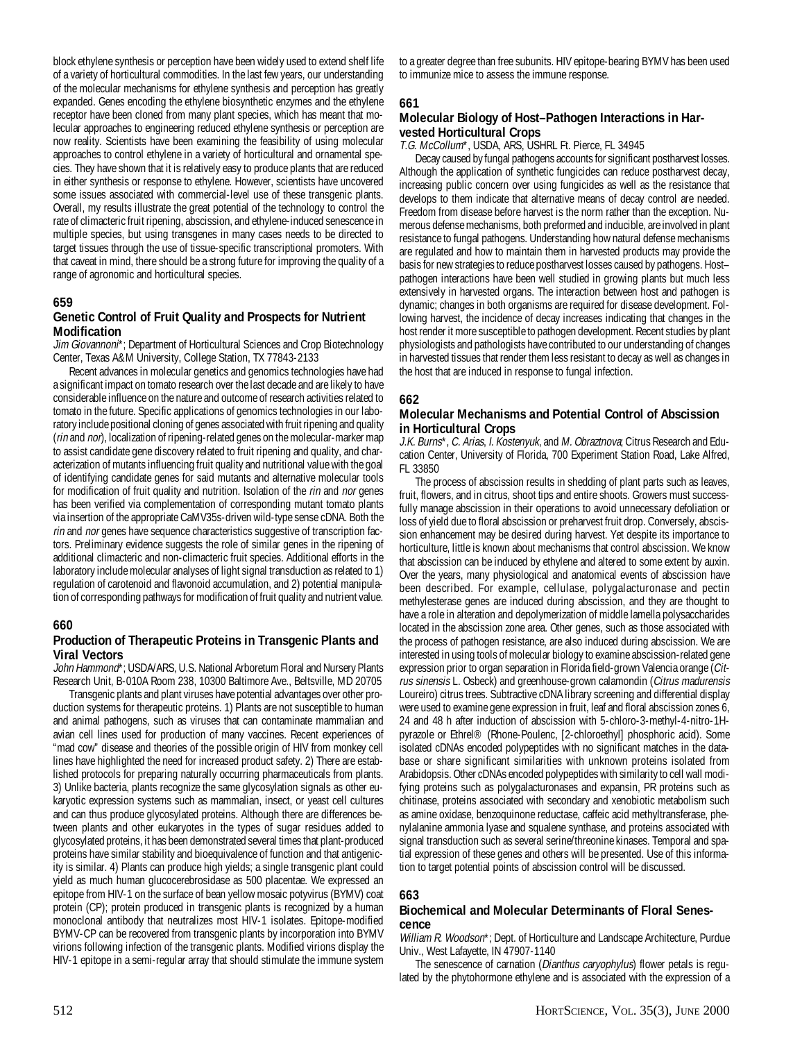block ethylene synthesis or perception have been widely used to extend shelf life of a variety of horticultural commodities. In the last few years, our understanding of the molecular mechanisms for ethylene synthesis and perception has greatly expanded. Genes encoding the ethylene biosynthetic enzymes and the ethylene receptor have been cloned from many plant species, which has meant that molecular approaches to engineering reduced ethylene synthesis or perception are now reality. Scientists have been examining the feasibility of using molecular approaches to control ethylene in a variety of horticultural and ornamental species. They have shown that it is relatively easy to produce plants that are reduced in either synthesis or response to ethylene. However, scientists have uncovered some issues associated with commercial-level use of these transgenic plants. Overall, my results illustrate the great potential of the technology to control the rate of climacteric fruit ripening, abscission, and ethylene-induced senescence in multiple species, but using transgenes in many cases needs to be directed to target tissues through the use of tissue-specific transcriptional promoters. With that caveat in mind, there should be a strong future for improving the quality of a range of agronomic and horticultural species.

# **659**

#### **Genetic Control of Fruit Quality and Prospects for Nutrient Modification**

Jim Giovannoni\*; Department of Horticultural Sciences and Crop Biotechnology Center, Texas A&M University, College Station, TX 77843-2133

Recent advances in molecular genetics and genomics technologies have had a significant impact on tomato research over the last decade and are likely to have considerable influence on the nature and outcome of research activities related to tomato in the future. Specific applications of genomics technologies in our laboratory include positional cloning of genes associated with fruit ripening and quality (rin and nor), localization of ripening-related genes on the molecular-marker map to assist candidate gene discovery related to fruit ripening and quality, and characterization of mutants influencing fruit quality and nutritional value with the goal of identifying candidate genes for said mutants and alternative molecular tools for modification of fruit quality and nutrition. Isolation of the rin and nor genes has been verified via complementation of corresponding mutant tomato plants via insertion of the appropriate CaMV35s-driven wild-type sense cDNA. Both the rin and nor genes have sequence characteristics suggestive of transcription factors. Preliminary evidence suggests the role of similar genes in the ripening of additional climacteric and non-climacteric fruit species. Additional efforts in the laboratory include molecular analyses of light signal transduction as related to 1) regulation of carotenoid and flavonoid accumulation, and 2) potential manipulation of corresponding pathways for modification of fruit quality and nutrient value.

#### **660**

#### **Production of Therapeutic Proteins in Transgenic Plants and Viral Vectors**

John Hammond<sup>\*</sup>; USDA/ARS, U.S. National Arboretum Floral and Nursery Plants Research Unit, B-010A Room 238, 10300 Baltimore Ave., Beltsville, MD 20705

Transgenic plants and plant viruses have potential advantages over other production systems for therapeutic proteins. 1) Plants are not susceptible to human and animal pathogens, such as viruses that can contaminate mammalian and avian cell lines used for production of many vaccines. Recent experiences of "mad cow" disease and theories of the possible origin of HIV from monkey cell lines have highlighted the need for increased product safety. 2) There are established protocols for preparing naturally occurring pharmaceuticals from plants. 3) Unlike bacteria, plants recognize the same glycosylation signals as other eukaryotic expression systems such as mammalian, insect, or yeast cell cultures and can thus produce glycosylated proteins. Although there are differences between plants and other eukaryotes in the types of sugar residues added to glycosylated proteins, it has been demonstrated several times that plant-produced proteins have similar stability and bioequivalence of function and that antigenicity is similar. 4) Plants can produce high yields; a single transgenic plant could yield as much human glucocerebrosidase as 500 placentae. We expressed an epitope from HIV-1 on the surface of bean yellow mosaic potyvirus (BYMV) coat protein (CP); protein produced in transgenic plants is recognized by a human monoclonal antibody that neutralizes most HIV-1 isolates. Epitope-modified BYMV-CP can be recovered from transgenic plants by incorporation into BYMV virions following infection of the transgenic plants. Modified virions display the HIV-1 epitope in a semi-regular array that should stimulate the immune system

to a greater degree than free subunits. HIV epitope-bearing BYMV has been used to immunize mice to assess the immune response.

#### **661**

#### **Molecular Biology of Host–Pathogen Interactions in Harvested Horticultural Crops**

T.G. McCollum\*, USDA, ARS, USHRL Ft. Pierce, FL 34945

Decay caused by fungal pathogens accounts for significant postharvest losses. Although the application of synthetic fungicides can reduce postharvest decay, increasing public concern over using fungicides as well as the resistance that develops to them indicate that alternative means of decay control are needed. Freedom from disease before harvest is the norm rather than the exception. Numerous defense mechanisms, both preformed and inducible, are involved in plant resistance to fungal pathogens. Understanding how natural defense mechanisms are regulated and how to maintain them in harvested products may provide the basis for new strategies to reduce postharvest losses caused by pathogens. Host– pathogen interactions have been well studied in growing plants but much less extensively in harvested organs. The interaction between host and pathogen is dynamic; changes in both organisms are required for disease development. Following harvest, the incidence of decay increases indicating that changes in the host render it more susceptible to pathogen development. Recent studies by plant physiologists and pathologists have contributed to our understanding of changes in harvested tissues that render them less resistant to decay as well as changes in the host that are induced in response to fungal infection.

#### **662**

#### **Molecular Mechanisms and Potential Control of Abscission in Horticultural Crops**

J.K. Burns\*, C. Arias, I. Kostenyuk, and M. Obraztnova; Citrus Research and Education Center, University of Florida, 700 Experiment Station Road, Lake Alfred, FL 33850

The process of abscission results in shedding of plant parts such as leaves, fruit, flowers, and in citrus, shoot tips and entire shoots. Growers must successfully manage abscission in their operations to avoid unnecessary defoliation or loss of yield due to floral abscission or preharvest fruit drop. Conversely, abscission enhancement may be desired during harvest. Yet despite its importance to horticulture, little is known about mechanisms that control abscission. We know that abscission can be induced by ethylene and altered to some extent by auxin. Over the years, many physiological and anatomical events of abscission have been described. For example, cellulase, polygalacturonase and pectin methylesterase genes are induced during abscission, and they are thought to have a role in alteration and depolymerization of middle lamella polysaccharides located in the abscission zone area. Other genes, such as those associated with the process of pathogen resistance, are also induced during abscission. We are interested in using tools of molecular biology to examine abscission-related gene expression prior to organ separation in Florida field-grown Valencia orange (Citrus sinensis L. Osbeck) and greenhouse-grown calamondin (Citrus madurensis Loureiro) citrus trees. Subtractive cDNA library screening and differential display were used to examine gene expression in fruit, leaf and floral abscission zones 6, 24 and 48 h after induction of abscission with 5-chloro-3-methyl-4-nitro-1Hpyrazole or Ethrel® (Rhone-Poulenc, [2-chloroethyl] phosphoric acid). Some isolated cDNAs encoded polypeptides with no significant matches in the database or share significant similarities with unknown proteins isolated from Arabidopsis. Other cDNAs encoded polypeptides with similarity to cell wall modifying proteins such as polygalacturonases and expansin, PR proteins such as chitinase, proteins associated with secondary and xenobiotic metabolism such as amine oxidase, benzoquinone reductase, caffeic acid methyltransferase, phenylalanine ammonia lyase and squalene synthase, and proteins associated with signal transduction such as several serine/threonine kinases. Temporal and spatial expression of these genes and others will be presented. Use of this information to target potential points of abscission control will be discussed.

#### **663**

#### **Biochemical and Molecular Determinants of Floral Senescence**

William R. Woodson\*; Dept. of Horticulture and Landscape Architecture, Purdue Univ., West Lafayette, IN 47907-1140

The senescence of carnation (*Dianthus caryophylus*) flower petals is regulated by the phytohormone ethylene and is associated with the expression of a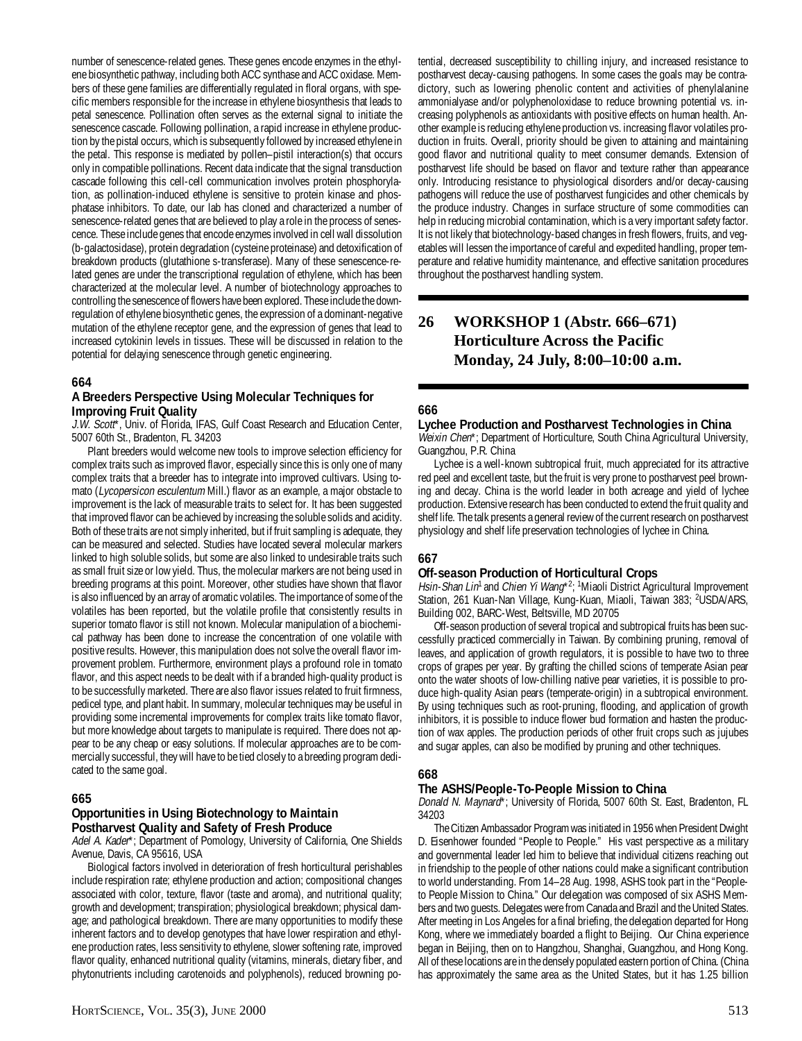number of senescence-related genes. These genes encode enzymes in the ethylene biosynthetic pathway, including both ACC synthase and ACC oxidase. Members of these gene families are differentially regulated in floral organs, with specific members responsible for the increase in ethylene biosynthesis that leads to petal senescence. Pollination often serves as the external signal to initiate the senescence cascade. Following pollination, a rapid increase in ethylene production by the pistal occurs, which is subsequently followed by increased ethylene in the petal. This response is mediated by pollen–pistil interaction(s) that occurs only in compatible pollinations. Recent data indicate that the signal transduction cascade following this cell-cell communication involves protein phosphorylation, as pollination-induced ethylene is sensitive to protein kinase and phosphatase inhibitors. To date, our lab has cloned and characterized a number of senescence-related genes that are believed to play a role in the process of senescence. These include genes that encode enzymes involved in cell wall dissolution (b-galactosidase), protein degradation (cysteine proteinase) and detoxification of breakdown products (glutathione s-transferase). Many of these senescence-related genes are under the transcriptional regulation of ethylene, which has been characterized at the molecular level. A number of biotechnology approaches to controlling the senescence of flowers have been explored. These include the downregulation of ethylene biosynthetic genes, the expression of a dominant-negative mutation of the ethylene receptor gene, and the expression of genes that lead to increased cytokinin levels in tissues. These will be discussed in relation to the potential for delaying senescence through genetic engineering.

#### **664**

### **A Breeders Perspective Using Molecular Techniques for Improving Fruit Quality**

J.W. Scott\*, Univ. of Florida, IFAS, Gulf Coast Research and Education Center, 5007 60th St., Bradenton, FL 34203

Plant breeders would welcome new tools to improve selection efficiency for complex traits such as improved flavor, especially since this is only one of many complex traits that a breeder has to integrate into improved cultivars. Using tomato (Lycopersicon esculentum Mill.) flavor as an example, a major obstacle to improvement is the lack of measurable traits to select for. It has been suggested that improved flavor can be achieved by increasing the soluble solids and acidity. Both of these traits are not simply inherited, but if fruit sampling is adequate, they can be measured and selected. Studies have located several molecular markers linked to high soluble solids, but some are also linked to undesirable traits such as small fruit size or low yield. Thus, the molecular markers are not being used in breeding programs at this point. Moreover, other studies have shown that flavor is also influenced by an array of aromatic volatiles. The importance of some of the volatiles has been reported, but the volatile profile that consistently results in superior tomato flavor is still not known. Molecular manipulation of a biochemical pathway has been done to increase the concentration of one volatile with positive results. However, this manipulation does not solve the overall flavor improvement problem. Furthermore, environment plays a profound role in tomato flavor, and this aspect needs to be dealt with if a branded high-quality product is to be successfully marketed. There are also flavor issues related to fruit firmness, pedicel type, and plant habit. In summary, molecular techniques may be useful in providing some incremental improvements for complex traits like tomato flavor, but more knowledge about targets to manipulate is required. There does not appear to be any cheap or easy solutions. If molecular approaches are to be commercially successful, they will have to be tied closely to a breeding program dedicated to the same goal.

# **665**

#### **Opportunities in Using Biotechnology to Maintain Postharvest Quality and Safety of Fresh Produce**

Adel A. Kader\*; Department of Pomology, University of California, One Shields Avenue, Davis, CA 95616, USA

Biological factors involved in deterioration of fresh horticultural perishables include respiration rate; ethylene production and action; compositional changes associated with color, texture, flavor (taste and aroma), and nutritional quality; growth and development; transpiration; physiological breakdown; physical damage; and pathological breakdown. There are many opportunities to modify these inherent factors and to develop genotypes that have lower respiration and ethylene production rates, less sensitivity to ethylene, slower softening rate, improved flavor quality, enhanced nutritional quality (vitamins, minerals, dietary fiber, and phytonutrients including carotenoids and polyphenols), reduced browning potential, decreased susceptibility to chilling injury, and increased resistance to postharvest decay-causing pathogens. In some cases the goals may be contradictory, such as lowering phenolic content and activities of phenylalanine ammonialyase and/or polyphenoloxidase to reduce browning potential vs. increasing polyphenols as antioxidants with positive effects on human health. Another example is reducing ethylene production vs. increasing flavor volatiles production in fruits. Overall, priority should be given to attaining and maintaining good flavor and nutritional quality to meet consumer demands. Extension of postharvest life should be based on flavor and texture rather than appearance only. Introducing resistance to physiological disorders and/or decay-causing pathogens will reduce the use of postharvest fungicides and other chemicals by the produce industry. Changes in surface structure of some commodities can help in reducing microbial contamination, which is a very important safety factor. It is not likely that biotechnology-based changes in fresh flowers, fruits, and vegetables will lessen the importance of careful and expedited handling, proper temperature and relative humidity maintenance, and effective sanitation procedures throughout the postharvest handling system.

# **26 WORKSHOP 1 (Abstr. 666–671) Horticulture Across the Pacific Monday, 24 July, 8:00–10:00 a.m.**

# **666**

#### **Lychee Production and Postharvest Technologies in China**

Weixin Chen\*; Department of Horticulture, South China Agricultural University, Guangzhou, P.R. China

Lychee is a well-known subtropical fruit, much appreciated for its attractive red peel and excellent taste, but the fruit is very prone to postharvest peel browning and decay. China is the world leader in both acreage and yield of lychee production. Extensive research has been conducted to extend the fruit quality and shelf life. The talk presents a general review of the current research on postharvest physiology and shelf life preservation technologies of lychee in China.

# **667**

#### **Off-season Production of Horticultural Crops**

Hsin-Shan Lin<sup>1</sup> and *Chien Yi Wang*\*<sup>2</sup>; <sup>1</sup>Miaoli District Agricultural Improvement Station, 261 Kuan-Nan Village, Kung-Kuan, Miaoli, Taiwan 383; <sup>2</sup>USDA/ARS, Building 002, BARC-West, Beltsville, MD 20705

Off-season production of several tropical and subtropical fruits has been successfully practiced commercially in Taiwan. By combining pruning, removal of leaves, and application of growth regulators, it is possible to have two to three crops of grapes per year. By grafting the chilled scions of temperate Asian pear onto the water shoots of low-chilling native pear varieties, it is possible to produce high-quality Asian pears (temperate-origin) in a subtropical environment. By using techniques such as root-pruning, flooding, and application of growth inhibitors, it is possible to induce flower bud formation and hasten the production of wax apples. The production periods of other fruit crops such as jujubes and sugar apples, can also be modified by pruning and other techniques.

#### **668**

#### **The ASHS/People-To-People Mission to China**

Donald N. Maynard\*; University of Florida, 5007 60th St. East, Bradenton, FL 34203

The Citizen Ambassador Program was initiated in 1956 when President Dwight D. Eisenhower founded "People to People." His vast perspective as a military and governmental leader led him to believe that individual citizens reaching out in friendship to the people of other nations could make a significant contribution to world understanding. From 14–28 Aug. 1998, ASHS took part in the "Peopleto People Mission to China." Our delegation was composed of six ASHS Members and two guests. Delegates were from Canada and Brazil and the United States. After meeting in Los Angeles for a final briefing, the delegation departed for Hong Kong, where we immediately boarded a flight to Beijing. Our China experience began in Beijing, then on to Hangzhou, Shanghai, Guangzhou, and Hong Kong. All of these locations are in the densely populated eastern portion of China. (China has approximately the same area as the United States, but it has 1.25 billion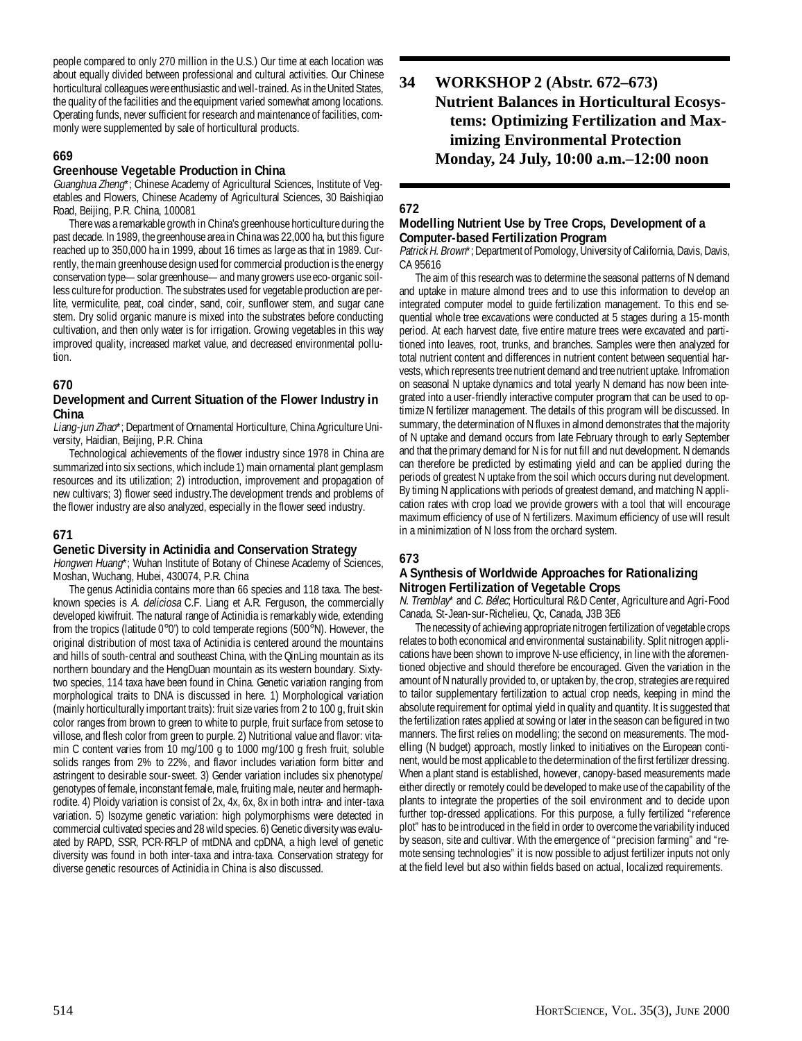people compared to only 270 million in the U.S.) Our time at each location was about equally divided between professional and cultural activities. Our Chinese horticultural colleagues were enthusiastic and well-trained. As in the United States, the quality of the facilities and the equipment varied somewhat among locations. Operating funds, never sufficient for research and maintenance of facilities, commonly were supplemented by sale of horticultural products.

# **669**

#### **Greenhouse Vegetable Production in China**

Guanghua Zheng\*; Chinese Academy of Agricultural Sciences, Institute of Vegetables and Flowers, Chinese Academy of Agricultural Sciences, 30 Baishiqiao Road, Beijing, P.R. China, 100081

There was a remarkable growth in China's greenhouse horticulture during the past decade. In 1989, the greenhouse area in China was 22,000 ha, but this figure reached up to 350,000 ha in 1999, about 16 times as large as that in 1989. Currently, the main greenhouse design used for commercial production is the energy conservation type—solar greenhouse—and many growers use eco-organic soilless culture for production. The substrates used for vegetable production are perlite, vermiculite, peat, coal cinder, sand, coir, sunflower stem, and sugar cane stem. Dry solid organic manure is mixed into the substrates before conducting cultivation, and then only water is for irrigation. Growing vegetables in this way improved quality, increased market value, and decreased environmental pollution.

# **670**

### **Development and Current Situation of the Flower Industry in China**

Liang-jun Zhao\*; Department of Ornamental Horticulture, China Agriculture University, Haidian, Beijing, P.R. China

Technological achievements of the flower industry since 1978 in China are summarized into six sections, which include 1) main ornamental plant gemplasm resources and its utilization; 2) introduction, improvement and propagation of new cultivars; 3) flower seed industry.The development trends and problems of the flower industry are also analyzed, especially in the flower seed industry.

# **671**

# **Genetic Diversity in Actinidia and Conservation Strategy**

Hongwen Huang\*; Wuhan Institute of Botany of Chinese Academy of Sciences, Moshan, Wuchang, Hubei, 430074, P.R. China

The genus Actinidia contains more than 66 species and 118 taxa. The bestknown species is A. deliciosa C.F. Liang et A.R. Ferguson, the commercially developed kiwifruit. The natural range of Actinidia is remarkably wide, extending from the tropics (latitude 0°0') to cold temperate regions (500°N). However, the original distribution of most taxa of Actinidia is centered around the mountains and hills of south-central and southeast China, with the QinLing mountain as its northern boundary and the HengDuan mountain as its western boundary. Sixtytwo species, 114 taxa have been found in China. Genetic variation ranging from morphological traits to DNA is discussed in here. 1) Morphological variation (mainly horticulturally important traits): fruit size varies from 2 to 100 g, fruit skin color ranges from brown to green to white to purple, fruit surface from setose to villose, and flesh color from green to purple. 2) Nutritional value and flavor: vitamin C content varies from 10 mg/100 g to 1000 mg/100 g fresh fruit, soluble solids ranges from 2% to 22%, and flavor includes variation form bitter and astringent to desirable sour-sweet. 3) Gender variation includes six phenotype/ genotypes of female, inconstant female, male, fruiting male, neuter and hermaphrodite. 4) Ploidy variation is consist of 2x, 4x, 6x, 8x in both intra- and inter-taxa variation. 5) Isozyme genetic variation: high polymorphisms were detected in commercial cultivated species and 28 wild species. 6) Genetic diversity was evaluated by RAPD, SSR, PCR-RFLP of mtDNA and cpDNA, a high level of genetic diversity was found in both inter-taxa and intra-taxa. Conservation strategy for diverse genetic resources of Actinidia in China is also discussed.

**34 WORKSHOP 2 (Abstr. 672–673) Nutrient Balances in Horticultural Ecosystems: Optimizing Fertilization and Maximizing Environmental Protection Monday, 24 July, 10:00 a.m.–12:00 noon**

# **672**

#### **Modelling Nutrient Use by Tree Crops, Development of a Computer-based Fertilization Program**

Patrick H. Brown\*; Department of Pomology, University of California, Davis, Davis, CA 95616

The aim of this research was to determine the seasonal patterns of N demand and uptake in mature almond trees and to use this information to develop an integrated computer model to guide fertilization management. To this end sequential whole tree excavations were conducted at 5 stages during a 15-month period. At each harvest date, five entire mature trees were excavated and partitioned into leaves, root, trunks, and branches. Samples were then analyzed for total nutrient content and differences in nutrient content between sequential harvests, which represents tree nutrient demand and tree nutrient uptake. Infromation on seasonal N uptake dynamics and total yearly N demand has now been integrated into a user-friendly interactive computer program that can be used to optimize N fertilizer management. The details of this program will be discussed. In summary, the determination of N fluxes in almond demonstrates that the majority of N uptake and demand occurs from late February through to early September and that the primary demand for N is for nut fill and nut development. N demands can therefore be predicted by estimating yield and can be applied during the periods of greatest N uptake from the soil which occurs during nut development. By timing N applications with periods of greatest demand, and matching N application rates with crop load we provide growers with a tool that will encourage maximum efficiency of use of N fertilizers. Maximum efficiency of use will result in a minimization of N loss from the orchard system.

# **673**

#### **A Synthesis of Worldwide Approaches for Rationalizing Nitrogen Fertilization of Vegetable Crops**

N. Tremblay\* and C. Bélec; Horticultural R&D Center, Agriculture and Agri-Food Canada, St-Jean-sur-Richelieu, Qc, Canada, J3B 3E6

The necessity of achieving appropriate nitrogen fertilization of vegetable crops relates to both economical and environmental sustainability. Split nitrogen applications have been shown to improve N-use efficiency, in line with the aforementioned objective and should therefore be encouraged. Given the variation in the amount of N naturally provided to, or uptaken by, the crop, strategies are required to tailor supplementary fertilization to actual crop needs, keeping in mind the absolute requirement for optimal yield in quality and quantity. It is suggested that the fertilization rates applied at sowing or later in the season can be figured in two manners. The first relies on modelling; the second on measurements. The modelling (N budget) approach, mostly linked to initiatives on the European continent, would be most applicable to the determination of the first fertilizer dressing. When a plant stand is established, however, canopy-based measurements made either directly or remotely could be developed to make use of the capability of the plants to integrate the properties of the soil environment and to decide upon further top-dressed applications. For this purpose, a fully fertilized "reference plot" has to be introduced in the field in order to overcome the variability induced by season, site and cultivar. With the emergence of "precision farming" and "remote sensing technologies" it is now possible to adjust fertilizer inputs not only at the field level but also within fields based on actual, localized requirements.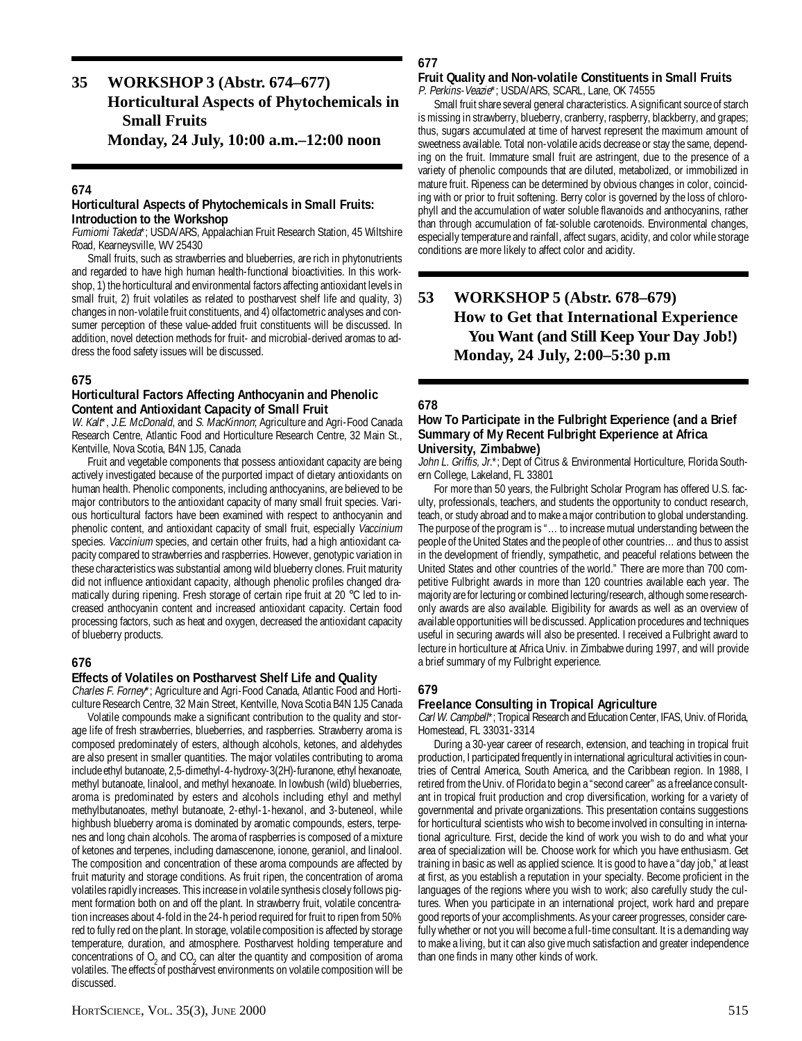# **35 WORKSHOP 3 (Abstr. 674–677) Horticultural Aspects of Phytochemicals in Small Fruits**

**Monday, 24 July, 10:00 a.m.–12:00 noon**

### **674**

#### **Horticultural Aspects of Phytochemicals in Small Fruits: Introduction to the Workshop**

Fumiomi Takeda\*; USDA/ARS, Appalachian Fruit Research Station, 45 Wiltshire Road, Kearneysville, WV 25430

Small fruits, such as strawberries and blueberries, are rich in phytonutrients and regarded to have high human health-functional bioactivities. In this workshop, 1) the horticultural and environmental factors affecting antioxidant levels in small fruit, 2) fruit volatiles as related to postharvest shelf life and quality, 3) changes in non-volatile fruit constituents, and 4) olfactometric analyses and consumer perception of these value-added fruit constituents will be discussed. In addition, novel detection methods for fruit- and microbial-derived aromas to address the food safety issues will be discussed.

# **675**

### **Horticultural Factors Affecting Anthocyanin and Phenolic Content and Antioxidant Capacity of Small Fruit**

W. Kalt\*, J.E. McDonald, and S. MacKinnon; Agriculture and Agri-Food Canada Research Centre, Atlantic Food and Horticulture Research Centre, 32 Main St., Kentville, Nova Scotia, B4N 1J5, Canada

Fruit and vegetable components that possess antioxidant capacity are being actively investigated because of the purported impact of dietary antioxidants on human health. Phenolic components, including anthocyanins, are believed to be major contributors to the antioxidant capacity of many small fruit species. Various horticultural factors have been examined with respect to anthocyanin and phenolic content, and antioxidant capacity of small fruit, especially Vaccinium species. Vaccinium species, and certain other fruits, had a high antioxidant capacity compared to strawberries and raspberries. However, genotypic variation in these characteristics was substantial among wild blueberry clones. Fruit maturity did not influence antioxidant capacity, although phenolic profiles changed dramatically during ripening. Fresh storage of certain ripe fruit at 20 °C led to increased anthocyanin content and increased antioxidant capacity. Certain food processing factors, such as heat and oxygen, decreased the antioxidant capacity of blueberry products.

# **676**

#### **Effects of Volatiles on Postharvest Shelf Life and Quality**

Charles F. Forney\*; Agriculture and Agri-Food Canada, Atlantic Food and Horticulture Research Centre, 32 Main Street, Kentville, Nova Scotia B4N 1J5 Canada

Volatile compounds make a significant contribution to the quality and storage life of fresh strawberries, blueberries, and raspberries. Strawberry aroma is composed predominately of esters, although alcohols, ketones, and aldehydes are also present in smaller quantities. The major volatiles contributing to aroma include ethyl butanoate, 2,5-dimethyl-4-hydroxy-3(2H)-furanone, ethyl hexanoate, methyl butanoate, linalool, and methyl hexanoate. In lowbush (wild) blueberries, aroma is predominated by esters and alcohols including ethyl and methyl methylbutanoates, methyl butanoate, 2-ethyl-1-hexanol, and 3-buteneol, while highbush blueberry aroma is dominated by aromatic compounds, esters, terpenes and long chain alcohols. The aroma of raspberries is composed of a mixture of ketones and terpenes, including damascenone, ionone, geraniol, and linalool. The composition and concentration of these aroma compounds are affected by fruit maturity and storage conditions. As fruit ripen, the concentration of aroma volatiles rapidly increases. This increase in volatile synthesis closely follows pigment formation both on and off the plant. In strawberry fruit, volatile concentration increases about 4-fold in the 24-h period required for fruit to ripen from 50% red to fully red on the plant. In storage, volatile composition is affected by storage temperature, duration, and atmosphere. Postharvest holding temperature and concentrations of  $O_2$  and  $CO_2$  can alter the quantity and composition of aroma volatiles. The effects of postharvest environments on volatile composition will be discussed.

# **677**

#### **Fruit Quality and Non-volatile Constituents in Small Fruits** P. Perkins-Veazie\*; USDA/ARS, SCARL, Lane, OK 74555

Small fruit share several general characteristics. A significant source of starch is missing in strawberry, blueberry, cranberry, raspberry, blackberry, and grapes; thus, sugars accumulated at time of harvest represent the maximum amount of sweetness available. Total non-volatile acids decrease or stay the same, depending on the fruit. Immature small fruit are astringent, due to the presence of a variety of phenolic compounds that are diluted, metabolized, or immobilized in mature fruit. Ripeness can be determined by obvious changes in color, coinciding with or prior to fruit softening. Berry color is governed by the loss of chlorophyll and the accumulation of water soluble flavanoids and anthocyanins, rather than through accumulation of fat-soluble carotenoids. Environmental changes, especially temperature and rainfall, affect sugars, acidity, and color while storage conditions are more likely to affect color and acidity.

# **53 WORKSHOP 5 (Abstr. 678–679) How to Get that International Experience You Want (and Still Keep Your Day Job!) Monday, 24 July, 2:00–5:30 p.m**

# **678**

#### **How To Participate in the Fulbright Experience (and a Brief Summary of My Recent Fulbright Experience at Africa University, Zimbabwe)**

John L. Griffis, Jr.\*; Dept of Citrus & Environmental Horticulture, Florida Southern College, Lakeland, FL 33801

For more than 50 years, the Fulbright Scholar Program has offered U.S. faculty, professionals, teachers, and students the opportunity to conduct research, teach, or study abroad and to make a major contribution to global understanding. The purpose of the program is "…to increase mutual understanding between the people of the United States and the people of other countries…and thus to assist in the development of friendly, sympathetic, and peaceful relations between the United States and other countries of the world." There are more than 700 competitive Fulbright awards in more than 120 countries available each year. The majority are for lecturing or combined lecturing/research, although some researchonly awards are also available. Eligibility for awards as well as an overview of available opportunities will be discussed. Application procedures and techniques useful in securing awards will also be presented. I received a Fulbright award to lecture in horticulture at Africa Univ. in Zimbabwe during 1997, and will provide a brief summary of my Fulbright experience.

# **679**

#### **Freelance Consulting in Tropical Agriculture**

Carl W. Campbell\*; Tropical Research and Education Center, IFAS, Univ. of Florida, Homestead, FL 33031-3314

During a 30-year career of research, extension, and teaching in tropical fruit production, I participated frequently in international agricultural activities in countries of Central America, South America, and the Caribbean region. In 1988, I retired from the Univ. of Florida to begin a "second career" as a freelance consultant in tropical fruit production and crop diversification, working for a variety of governmental and private organizations. This presentation contains suggestions for horticultural scientists who wish to become involved in consulting in international agriculture. First, decide the kind of work you wish to do and what your area of specialization will be. Choose work for which you have enthusiasm. Get training in basic as well as applied science. It is good to have a "day job," at least at first, as you establish a reputation in your specialty. Become proficient in the languages of the regions where you wish to work; also carefully study the cultures. When you participate in an international project, work hard and prepare good reports of your accomplishments. As your career progresses, consider carefully whether or not you will become a full-time consultant. It is a demanding way to make a living, but it can also give much satisfaction and greater independence than one finds in many other kinds of work.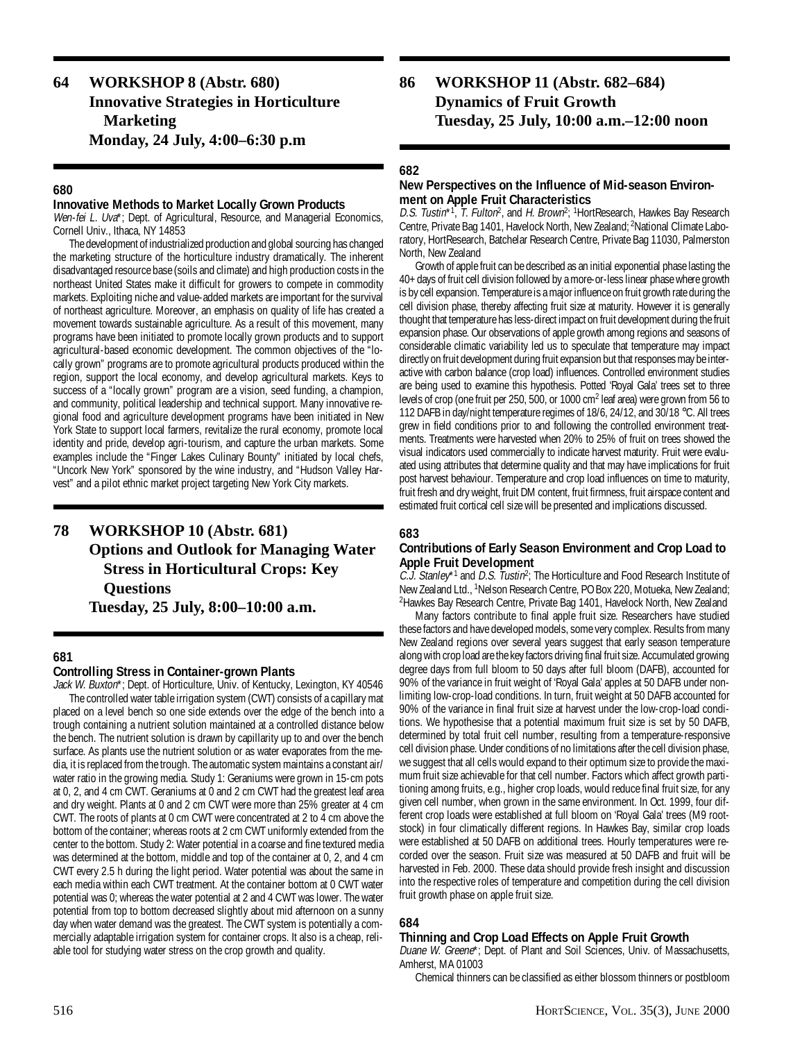# **64 WORKSHOP 8 (Abstr. 680) Innovative Strategies in Horticulture Marketing Monday, 24 July, 4:00–6:30 p.m**

# **680**

### **Innovative Methods to Market Locally Grown Products**

Wen-fei L. Uva<sup>\*</sup>; Dept. of Agricultural, Resource, and Managerial Economics, Cornell Univ., Ithaca, NY 14853

The development of industrialized production and global sourcing has changed the marketing structure of the horticulture industry dramatically. The inherent disadvantaged resource base (soils and climate) and high production costs in the northeast United States make it difficult for growers to compete in commodity markets. Exploiting niche and value-added markets are important for the survival of northeast agriculture. Moreover, an emphasis on quality of life has created a movement towards sustainable agriculture. As a result of this movement, many programs have been initiated to promote locally grown products and to support agricultural-based economic development. The common objectives of the "locally grown" programs are to promote agricultural products produced within the region, support the local economy, and develop agricultural markets. Keys to success of a "locally grown" program are a vision, seed funding, a champion, and community, political leadership and technical support. Many innovative regional food and agriculture development programs have been initiated in New York State to support local farmers, revitalize the rural economy, promote local identity and pride, develop agri-tourism, and capture the urban markets. Some examples include the "Finger Lakes Culinary Bounty" initiated by local chefs, "Uncork New York" sponsored by the wine industry, and "Hudson Valley Harvest" and a pilot ethnic market project targeting New York City markets.

# **78 WORKSHOP 10 (Abstr. 681) Options and Outlook for Managing Water Stress in Horticultural Crops: Key Questions Tuesday, 25 July, 8:00–10:00 a.m.**

# **681**

#### **Controlling Stress in Container-grown Plants**

Jack W. Buxton\*; Dept. of Horticulture, Univ. of Kentucky, Lexington, KY 40546 The controlled water table irrigation system (CWT) consists of a capillary mat placed on a level bench so one side extends over the edge of the bench into a trough containing a nutrient solution maintained at a controlled distance below the bench. The nutrient solution is drawn by capillarity up to and over the bench surface. As plants use the nutrient solution or as water evaporates from the media, it is replaced from the trough. The automatic system maintains a constant air/ water ratio in the growing media. Study 1: Geraniums were grown in 15-cm pots at 0, 2, and 4 cm CWT. Geraniums at 0 and 2 cm CWT had the greatest leaf area and dry weight. Plants at 0 and 2 cm CWT were more than 25% greater at 4 cm CWT. The roots of plants at 0 cm CWT were concentrated at 2 to 4 cm above the bottom of the container; whereas roots at 2 cm CWT uniformly extended from the center to the bottom. Study 2: Water potential in a coarse and fine textured media was determined at the bottom, middle and top of the container at 0, 2, and 4 cm CWT every 2.5 h during the light period. Water potential was about the same in each media within each CWT treatment. At the container bottom at 0 CWT water potential was 0; whereas the water potential at 2 and 4 CWT was lower. The water potential from top to bottom decreased slightly about mid afternoon on a sunny day when water demand was the greatest. The CWT system is potentially a commercially adaptable irrigation system for container crops. It also is a cheap, reliable tool for studying water stress on the crop growth and quality.

**86 WORKSHOP 11 (Abstr. 682–684) Dynamics of Fruit Growth Tuesday, 25 July, 10:00 a.m.–12:00 noon**

# **682**

# **New Perspectives on the Influence of Mid-season Environment on Apple Fruit Characteristics**

D.S. Tustin\*<sup>1</sup>, T. Fulton<sup>2</sup>, and H. Brown<sup>2</sup>; <sup>1</sup>HortResearch, Hawkes Bay Research Centre, Private Bag 1401, Havelock North, New Zealand; 2National Climate Laboratory, HortResearch, Batchelar Research Centre, Private Bag 11030, Palmerston North, New Zealand

Growth of apple fruit can be described as an initial exponential phase lasting the 40+ days of fruit cell division followed by a more-or-less linear phase where growth is by cell expansion. Temperature is a major influence on fruit growth rate during the cell division phase, thereby affecting fruit size at maturity. However it is generally thought that temperature has less-direct impact on fruit development during the fruit expansion phase. Our observations of apple growth among regions and seasons of considerable climatic variability led us to speculate that temperature may impact directly on fruit development during fruit expansion but that responses may be interactive with carbon balance (crop load) influences. Controlled environment studies are being used to examine this hypothesis. Potted 'Royal Gala' trees set to three levels of crop (one fruit per 250, 500, or 1000 cm<sup>2</sup> leaf area) were grown from 56 to 112 DAFB in day/night temperature regimes of 18/6, 24/12, and 30/18 °C. All trees grew in field conditions prior to and following the controlled environment treatments. Treatments were harvested when 20% to 25% of fruit on trees showed the visual indicators used commercially to indicate harvest maturity. Fruit were evaluated using attributes that determine quality and that may have implications for fruit post harvest behaviour. Temperature and crop load influences on time to maturity, fruit fresh and dry weight, fruit DM content, fruit firmness, fruit airspace content and estimated fruit cortical cell size will be presented and implications discussed.

# **683**

# **Contributions of Early Season Environment and Crop Load to Apple Fruit Development**

C.J. Stanley<sup>\*1</sup> and D.S. Tustin<sup>2</sup>; The Horticulture and Food Research Institute of New Zealand Ltd., <sup>1</sup>Nelson Research Centre, PO Box 220, Motueka, New Zealand; <sup>2</sup> Hawkes Bay Research Centre, Private Bag 1401, Havelock North, New Zealand

Many factors contribute to final apple fruit size. Researchers have studied these factors and have developed models, some very complex. Results from many New Zealand regions over several years suggest that early season temperature along with crop load are the key factors driving final fruit size. Accumulated growing degree days from full bloom to 50 days after full bloom (DAFB), accounted for 90% of the variance in fruit weight of 'Royal Gala' apples at 50 DAFB under nonlimiting low-crop-load conditions. In turn, fruit weight at 50 DAFB accounted for 90% of the variance in final fruit size at harvest under the low-crop-load conditions. We hypothesise that a potential maximum fruit size is set by 50 DAFB, determined by total fruit cell number, resulting from a temperature-responsive cell division phase. Under conditions of no limitations after the cell division phase, we suggest that all cells would expand to their optimum size to provide the maximum fruit size achievable for that cell number. Factors which affect growth partitioning among fruits, e.g., higher crop loads, would reduce final fruit size, for any given cell number, when grown in the same environment. In Oct. 1999, four different crop loads were established at full bloom on 'Royal Gala' trees (M9 rootstock) in four climatically different regions. In Hawkes Bay, similar crop loads were established at 50 DAFB on additional trees. Hourly temperatures were recorded over the season. Fruit size was measured at 50 DAFB and fruit will be harvested in Feb. 2000. These data should provide fresh insight and discussion into the respective roles of temperature and competition during the cell division fruit growth phase on apple fruit size.

# **684**

# **Thinning and Crop Load Effects on Apple Fruit Growth**

Duane W. Greene\*; Dept. of Plant and Soil Sciences, Univ. of Massachusetts, Amherst, MA 01003

Chemical thinners can be classified as either blossom thinners or postbloom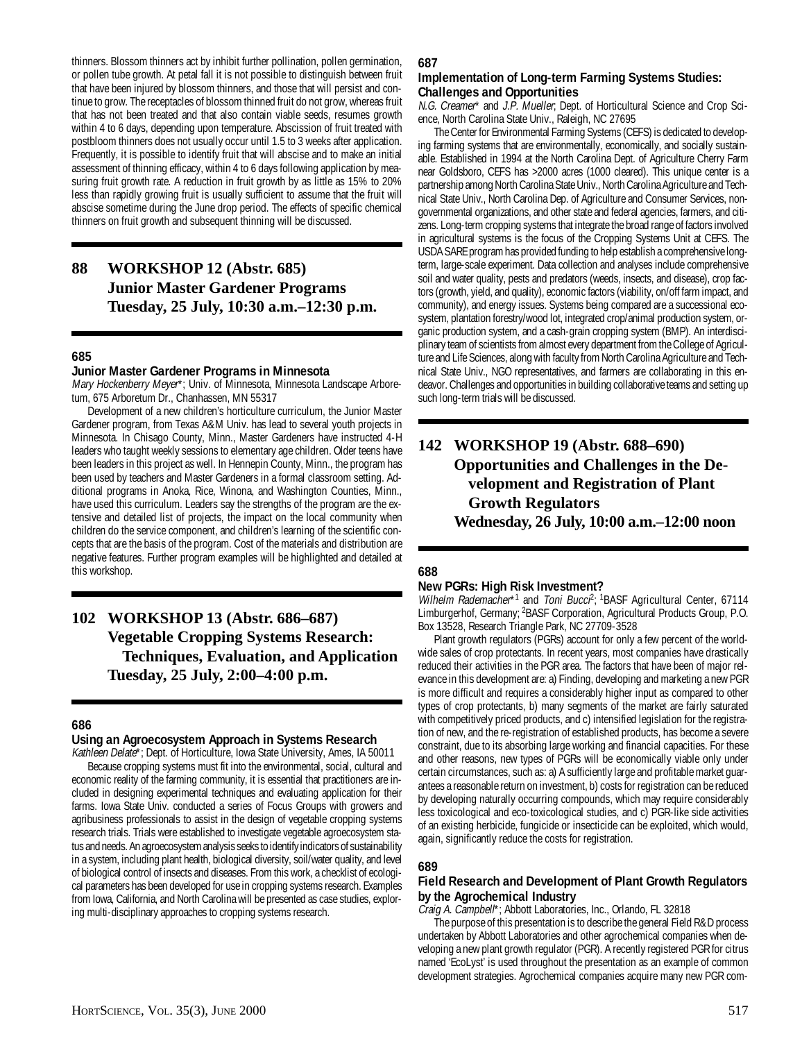thinners. Blossom thinners act by inhibit further pollination, pollen germination, or pollen tube growth. At petal fall it is not possible to distinguish between fruit that have been injured by blossom thinners, and those that will persist and continue to grow. The receptacles of blossom thinned fruit do not grow, whereas fruit that has not been treated and that also contain viable seeds, resumes growth within 4 to 6 days, depending upon temperature. Abscission of fruit treated with postbloom thinners does not usually occur until 1.5 to 3 weeks after application. Frequently, it is possible to identify fruit that will abscise and to make an initial assessment of thinning efficacy, within 4 to 6 days following application by measuring fruit growth rate. A reduction in fruit growth by as little as 15% to 20% less than rapidly growing fruit is usually sufficient to assume that the fruit will abscise sometime during the June drop period. The effects of specific chemical thinners on fruit growth and subsequent thinning will be discussed.

# **88 WORKSHOP 12 (Abstr. 685) Junior Master Gardener Programs Tuesday, 25 July, 10:30 a.m.–12:30 p.m.**

#### **685**

#### **Junior Master Gardener Programs in Minnesota**

Mary Hockenberry Meyer\*; Univ. of Minnesota, Minnesota Landscape Arboretum, 675 Arboretum Dr., Chanhassen, MN 55317

Development of a new children's horticulture curriculum, the Junior Master Gardener program, from Texas A&M Univ. has lead to several youth projects in Minnesota. In Chisago County, Minn., Master Gardeners have instructed 4-H leaders who taught weekly sessions to elementary age children. Older teens have been leaders in this project as well. In Hennepin County, Minn., the program has been used by teachers and Master Gardeners in a formal classroom setting. Additional programs in Anoka, Rice, Winona, and Washington Counties, Minn., have used this curriculum. Leaders say the strengths of the program are the extensive and detailed list of projects, the impact on the local community when children do the service component, and children's learning of the scientific concepts that are the basis of the program. Cost of the materials and distribution are negative features. Further program examples will be highlighted and detailed at this workshop.

# **102 WORKSHOP 13 (Abstr. 686–687) Vegetable Cropping Systems Research: Techniques, Evaluation, and Application Tuesday, 25 July, 2:00–4:00 p.m.**

# **686**

# **Using an Agroecosystem Approach in Systems Research**

Kathleen Delate\*; Dept. of Horticulture, Iowa State University, Ames, IA 50011 Because cropping systems must fit into the environmental, social, cultural and economic reality of the farming community, it is essential that practitioners are included in designing experimental techniques and evaluating application for their farms. Iowa State Univ. conducted a series of Focus Groups with growers and agribusiness professionals to assist in the design of vegetable cropping systems research trials. Trials were established to investigate vegetable agroecosystem status and needs. An agroecosystem analysis seeks to identify indicators of sustainability in a system, including plant health, biological diversity, soil/water quality, and level of biological control of insects and diseases. From this work, a checklist of ecological parameters has been developed for use in cropping systems research. Examples from Iowa, California, and North Carolina will be presented as case studies, exploring multi-disciplinary approaches to cropping systems research.

#### **687**

#### **Implementation of Long-term Farming Systems Studies: Challenges and Opportunities**

N.G. Creamer\* and J.P. Mueller; Dept. of Horticultural Science and Crop Science, North Carolina State Univ., Raleigh, NC 27695

The Center for Environmental Farming Systems (CEFS) is dedicated to developing farming systems that are environmentally, economically, and socially sustainable. Established in 1994 at the North Carolina Dept. of Agriculture Cherry Farm near Goldsboro, CEFS has >2000 acres (1000 cleared). This unique center is a partnership among North Carolina State Univ., North Carolina Agriculture and Technical State Univ., North Carolina Dep. of Agriculture and Consumer Services, nongovernmental organizations, and other state and federal agencies, farmers, and citizens. Long-term cropping systems that integrate the broad range of factors involved in agricultural systems is the focus of the Cropping Systems Unit at CEFS. The USDA SARE program has provided funding to help establish a comprehensive longterm, large-scale experiment. Data collection and analyses include comprehensive soil and water quality, pests and predators (weeds, insects, and disease), crop factors (growth, yield, and quality), economic factors (viability, on/off farm impact, and community), and energy issues. Systems being compared are a successional ecosystem, plantation forestry/wood lot, integrated crop/animal production system, organic production system, and a cash-grain cropping system (BMP). An interdisciplinary team of scientists from almost every department from the College of Agriculture and Life Sciences, along with faculty from North Carolina Agriculture and Technical State Univ., NGO representatives, and farmers are collaborating in this endeavor. Challenges and opportunities in building collaborative teams and setting up such long-term trials will be discussed.

# **142 WORKSHOP 19 (Abstr. 688–690) Opportunities and Challenges in the Development and Registration of Plant Growth Regulators Wednesday, 26 July, 10:00 a.m.–12:00 noon**

# **688**

# **New PGRs: High Risk Investment?**

Wilhelm Rademacher\*1 and Toni Bucc<sup>p</sup>; <sup>1</sup>BASF Agricultural Center, 67114 Limburgerhof, Germany; 2BASF Corporation, Agricultural Products Group, P.O. Box 13528, Research Triangle Park, NC 27709-3528

Plant growth regulators (PGRs) account for only a few percent of the worldwide sales of crop protectants. In recent years, most companies have drastically reduced their activities in the PGR area. The factors that have been of major relevance in this development are: a) Finding, developing and marketing a new PGR is more difficult and requires a considerably higher input as compared to other types of crop protectants, b) many segments of the market are fairly saturated with competitively priced products, and c) intensified legislation for the registration of new, and the re-registration of established products, has become a severe constraint, due to its absorbing large working and financial capacities. For these and other reasons, new types of PGRs will be economically viable only under certain circumstances, such as: a) A sufficiently large and profitable market guarantees a reasonable return on investment, b) costs for registration can be reduced by developing naturally occurring compounds, which may require considerably less toxicological and eco-toxicological studies, and c) PGR-like side activities of an existing herbicide, fungicide or insecticide can be exploited, which would, again, significantly reduce the costs for registration.

# **689**

#### **Field Research and Development of Plant Growth Regulators by the Agrochemical Industry**

Craig A. Campbell\*; Abbott Laboratories, Inc., Orlando, FL 32818

The purpose of this presentation is to describe the general Field R&D process undertaken by Abbott Laboratories and other agrochemical companies when developing a new plant growth regulator (PGR). A recently registered PGR for citrus named 'EcoLyst' is used throughout the presentation as an example of common development strategies. Agrochemical companies acquire many new PGR com-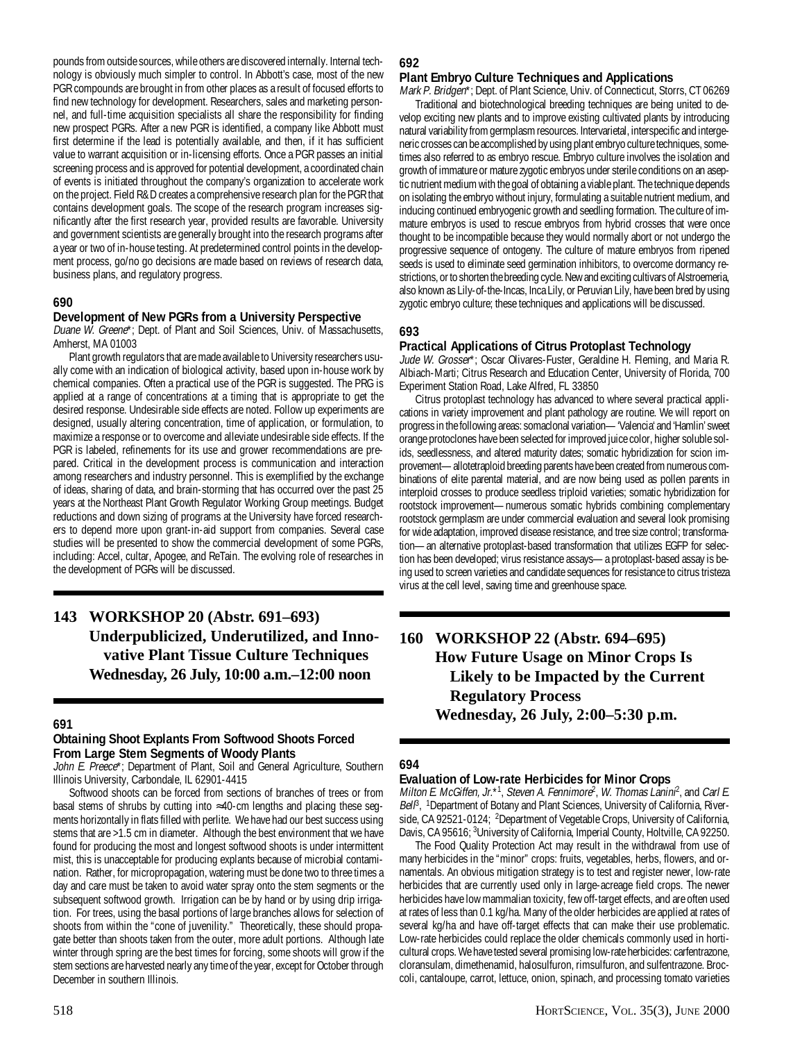pounds from outside sources, while others are discovered internally. Internal technology is obviously much simpler to control. In Abbott's case, most of the new PGR compounds are brought in from other places as a result of focused efforts to find new technology for development. Researchers, sales and marketing personnel, and full-time acquisition specialists all share the responsibility for finding new prospect PGRs. After a new PGR is identified, a company like Abbott must first determine if the lead is potentially available, and then, if it has sufficient value to warrant acquisition or in-licensing efforts. Once a PGR passes an initial screening process and is approved for potential development, a coordinated chain of events is initiated throughout the company's organization to accelerate work on the project. Field R&D creates a comprehensive research plan for the PGR that contains development goals. The scope of the research program increases significantly after the first research year, provided results are favorable. University and government scientists are generally brought into the research programs after a year or two of in-house testing. At predetermined control points in the development process, go/no go decisions are made based on reviews of research data, business plans, and regulatory progress.

# **690**

# **Development of New PGRs from a University Perspective**

Duane W. Greene\*; Dept. of Plant and Soil Sciences, Univ. of Massachusetts, Amherst, MA 01003

Plant growth regulators that are made available to University researchers usually come with an indication of biological activity, based upon in-house work by chemical companies. Often a practical use of the PGR is suggested. The PRG is applied at a range of concentrations at a timing that is appropriate to get the desired response. Undesirable side effects are noted. Follow up experiments are designed, usually altering concentration, time of application, or formulation, to maximize a response or to overcome and alleviate undesirable side effects. If the PGR is labeled, refinements for its use and grower recommendations are prepared. Critical in the development process is communication and interaction among researchers and industry personnel. This is exemplified by the exchange of ideas, sharing of data, and brain-storming that has occurred over the past 25 years at the Northeast Plant Growth Regulator Working Group meetings. Budget reductions and down sizing of programs at the University have forced researchers to depend more upon grant-in-aid support from companies. Several case studies will be presented to show the commercial development of some PGRs, including: Accel, cultar, Apogee, and ReTain. The evolving role of researches in the development of PGRs will be discussed.

# **143 WORKSHOP 20 (Abstr. 691–693) Underpublicized, Underutilized, and Innovative Plant Tissue Culture Techniques Wednesday, 26 July, 10:00 a.m.–12:00 noon**

# **691**

# **Obtaining Shoot Explants From Softwood Shoots Forced From Large Stem Segments of Woody Plants**

John E. Preece\*; Department of Plant, Soil and General Agriculture, Southern Illinois University, Carbondale, IL 62901-4415

Softwood shoots can be forced from sections of branches of trees or from basal stems of shrubs by cutting into ≈40-cm lengths and placing these segments horizontally in flats filled with perlite. We have had our best success using stems that are >1.5 cm in diameter. Although the best environment that we have found for producing the most and longest softwood shoots is under intermittent mist, this is unacceptable for producing explants because of microbial contamination. Rather, for micropropagation, watering must be done two to three times a day and care must be taken to avoid water spray onto the stem segments or the subsequent softwood growth. Irrigation can be by hand or by using drip irrigation. For trees, using the basal portions of large branches allows for selection of shoots from within the "cone of juvenility." Theoretically, these should propagate better than shoots taken from the outer, more adult portions. Although late winter through spring are the best times for forcing, some shoots will grow if the stem sections are harvested nearly any time of the year, except for October through December in southern Illinois.

# **692**

# **Plant Embryo Culture Techniques and Applications**

Mark P. Bridgen\*; Dept. of Plant Science, Univ. of Connecticut, Storrs, CT 06269 Traditional and biotechnological breeding techniques are being united to develop exciting new plants and to improve existing cultivated plants by introducing natural variability from germplasm resources. Intervarietal, interspecific and intergeneric crosses can be accomplished by using plant embryo culture techniques, sometimes also referred to as embryo rescue. Embryo culture involves the isolation and growth of immature or mature zygotic embryos under sterile conditions on an aseptic nutrient medium with the goal of obtaining a viable plant. The technique depends on isolating the embryo without injury, formulating a suitable nutrient medium, and inducing continued embryogenic growth and seedling formation. The culture of immature embryos is used to rescue embryos from hybrid crosses that were once thought to be incompatible because they would normally abort or not undergo the progressive sequence of ontogeny. The culture of mature embryos from ripened seeds is used to eliminate seed germination inhibitors, to overcome dormancy restrictions, or to shorten the breeding cycle. New and exciting cultivars of Alstroemeria, also known as Lily-of-the-Incas, Inca Lily, or Peruvian Lily, have been bred by using zygotic embryo culture; these techniques and applications will be discussed.

# **693**

# **Practical Applications of Citrus Protoplast Technology**

Jude W. Grosser\*; Oscar Olivares-Fuster, Geraldine H. Fleming, and Maria R. Albiach-Marti; Citrus Research and Education Center, University of Florida, 700 Experiment Station Road, Lake Alfred, FL 33850

Citrus protoplast technology has advanced to where several practical applications in variety improvement and plant pathology are routine. We will report on progress in the following areas: somaclonal variation—'Valencia' and 'Hamlin' sweet orange protoclones have been selected for improved juice color, higher soluble solids, seedlessness, and altered maturity dates; somatic hybridization for scion improvement—allotetraploid breeding parents have been created from numerous combinations of elite parental material, and are now being used as pollen parents in interploid crosses to produce seedless triploid varieties; somatic hybridization for rootstock improvement—numerous somatic hybrids combining complementary rootstock germplasm are under commercial evaluation and several look promising for wide adaptation, improved disease resistance, and tree size control; transformation—an alternative protoplast-based transformation that utilizes EGFP for selection has been developed; virus resistance assays—a protoplast-based assay is being used to screen varieties and candidate sequences for resistance to citrus tristeza virus at the cell level, saving time and greenhouse space.

# **160 WORKSHOP 22 (Abstr. 694–695) How Future Usage on Minor Crops Is Likely to be Impacted by the Current Regulatory Process Wednesday, 26 July, 2:00–5:30 p.m.**

# **694**

# **Evaluation of Low-rate Herbicides for Minor Crops**

Milton E. McGiffen, Jr.\*1, Steven A. Fennimore<sup>2</sup>, W. Thomas Lanini<sup>2</sup>, and Carl E. Bel<sup>β</sup>, <sup>1</sup>Department of Botany and Plant Sciences, University of California, Riverside, CA 92521-0124; <sup>2</sup>Department of Vegetable Crops, University of California, Davis, CA 95616; <sup>3</sup>University of California, Imperial County, Holtville, CA 92250.

The Food Quality Protection Act may result in the withdrawal from use of many herbicides in the "minor" crops: fruits, vegetables, herbs, flowers, and ornamentals. An obvious mitigation strategy is to test and register newer, low-rate herbicides that are currently used only in large-acreage field crops. The newer herbicides have low mammalian toxicity, few off-target effects, and are often used at rates of less than 0.1 kg/ha. Many of the older herbicides are applied at rates of several kg/ha and have off-target effects that can make their use problematic. Low-rate herbicides could replace the older chemicals commonly used in horticultural crops. We have tested several promising low-rate herbicides: carfentrazone, cloransulam, dimethenamid, halosulfuron, rimsulfuron, and sulfentrazone. Broccoli, cantaloupe, carrot, lettuce, onion, spinach, and processing tomato varieties